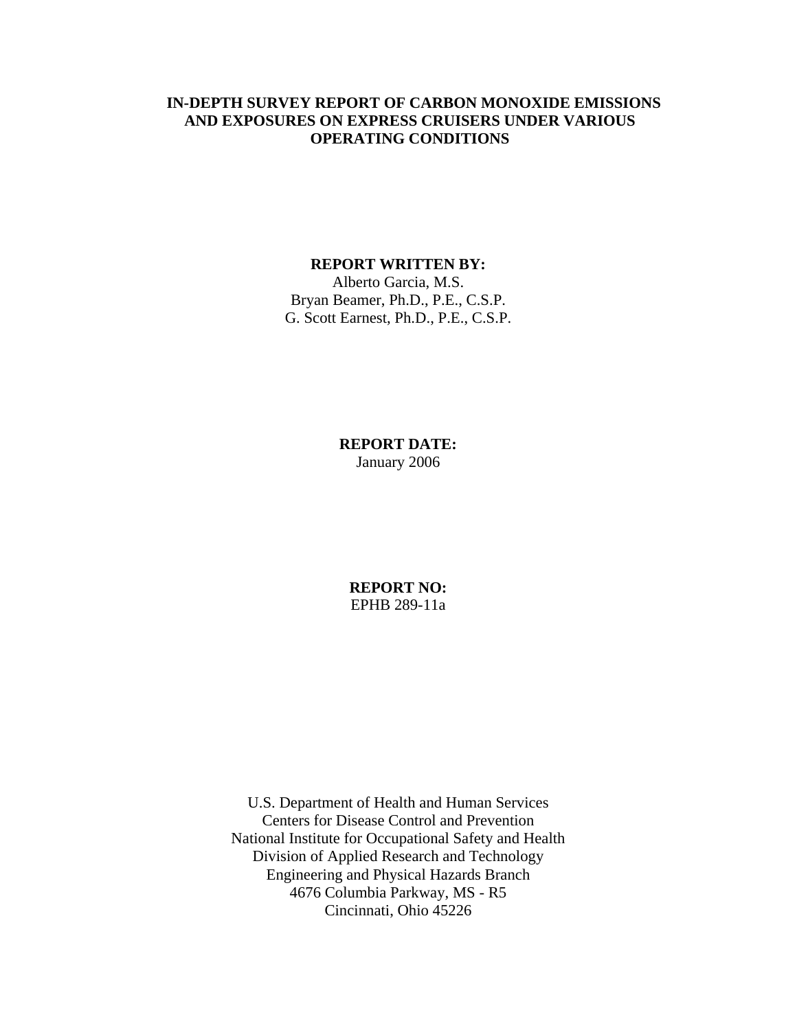#### **IN-DEPTH SURVEY REPORT OF CARBON MONOXIDE EMISSIONS AND EXPOSURES ON EXPRESS CRUISERS UNDER VARIOUS OPERATING CONDITIONS**

#### **REPORT WRITTEN BY:**

Alberto Garcia, M.S. Bryan Beamer, Ph.D., P.E., C.S.P. G. Scott Earnest, Ph.D., P.E., C.S.P.

## **REPORT DATE:** January 2006

**REPORT NO:** EPHB 289-11a

U.S. Department of Health and Human Services Centers for Disease Control and Prevention National Institute for Occupational Safety and Health Division of Applied Research and Technology Engineering and Physical Hazards Branch 4676 Columbia Parkway, MS - R5 Cincinnati, Ohio 45226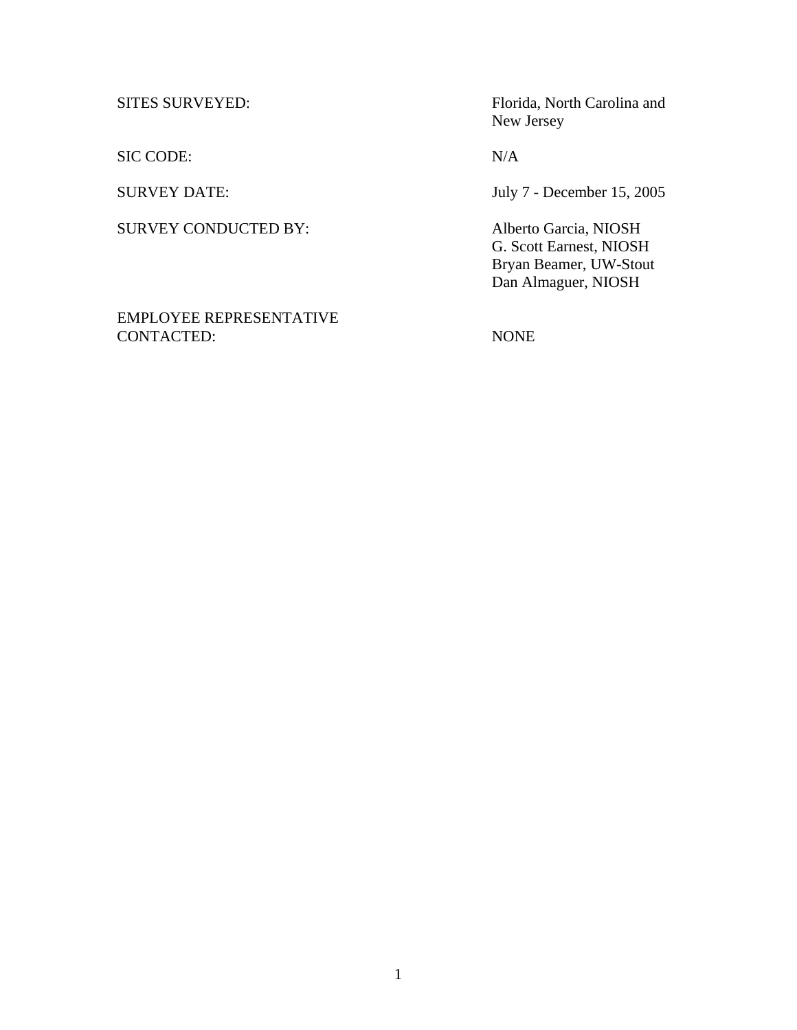SIC CODE: N/A

SURVEY CONDUCTED BY: Alberto Garcia, NIOSH

EMPLOYEE REPRESENTATIVE CONTACTED: NONE

SITES SURVEYED: Florida, North Carolina and New Jersey

SURVEY DATE: July 7 - December 15, 2005

 G. Scott Earnest, NIOSH Bryan Beamer, UW-Stout Dan Almaguer, NIOSH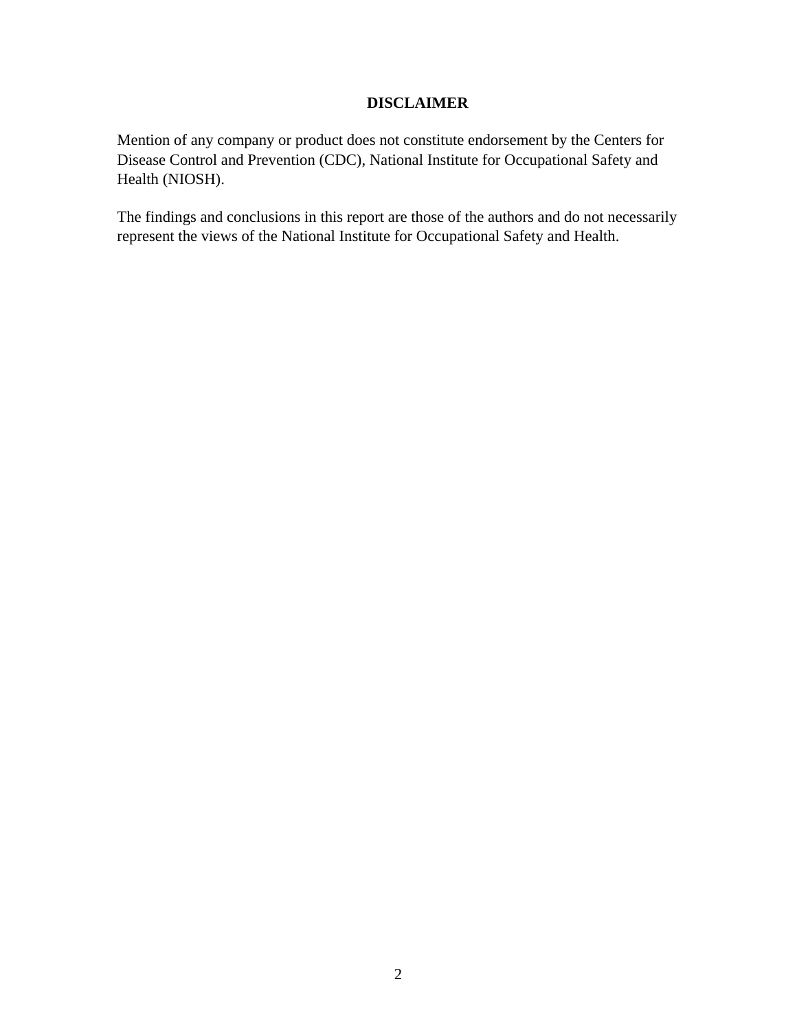## **DISCLAIMER**

Mention of any company or product does not constitute endorsement by the Centers for Disease Control and Prevention (CDC), National Institute for Occupational Safety and Health (NIOSH).

The findings and conclusions in this report are those of the authors and do not necessarily represent the views of the National Institute for Occupational Safety and Health.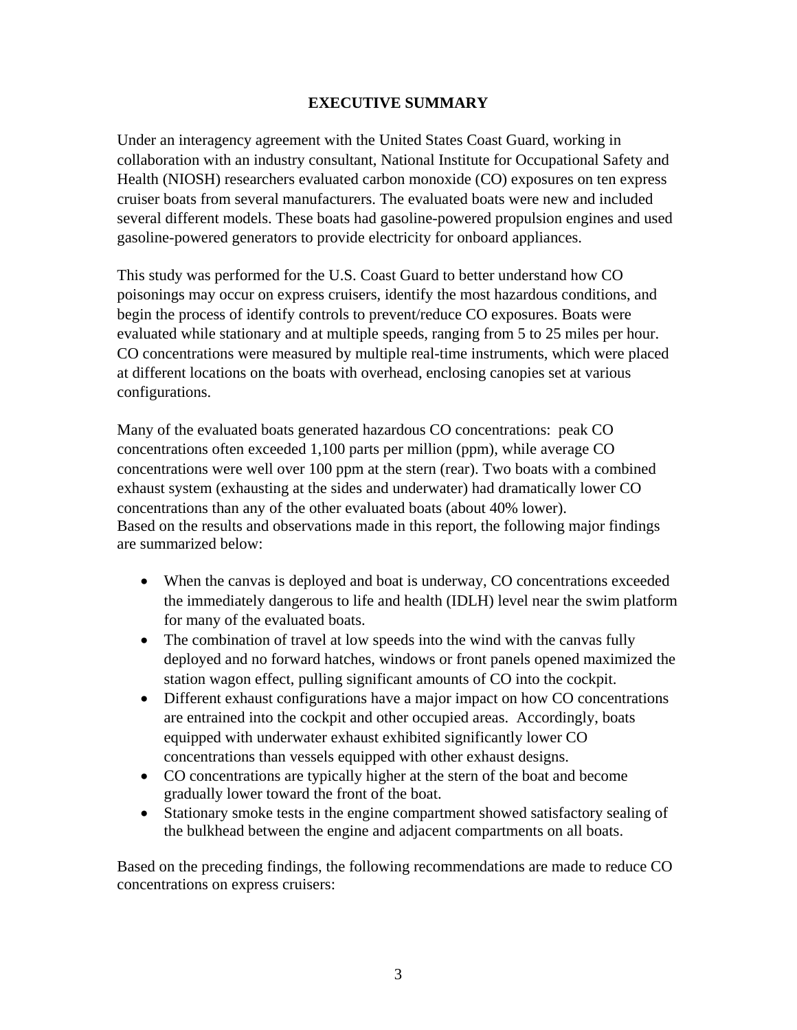## **EXECUTIVE SUMMARY**

Under an interagency agreement with the United States Coast Guard, working in collaboration with an industry consultant, National Institute for Occupational Safety and Health (NIOSH) researchers evaluated carbon monoxide (CO) exposures on ten express cruiser boats from several manufacturers. The evaluated boats were new and included several different models. These boats had gasoline-powered propulsion engines and used gasoline-powered generators to provide electricity for onboard appliances.

This study was performed for the U.S. Coast Guard to better understand how CO poisonings may occur on express cruisers, identify the most hazardous conditions, and begin the process of identify controls to prevent/reduce CO exposures. Boats were evaluated while stationary and at multiple speeds, ranging from 5 to 25 miles per hour. CO concentrations were measured by multiple real-time instruments, which were placed at different locations on the boats with overhead, enclosing canopies set at various configurations.

Many of the evaluated boats generated hazardous CO concentrations: peak CO concentrations often exceeded 1,100 parts per million (ppm), while average CO concentrations were well over 100 ppm at the stern (rear). Two boats with a combined exhaust system (exhausting at the sides and underwater) had dramatically lower CO concentrations than any of the other evaluated boats (about 40% lower). Based on the results and observations made in this report, the following major findings are summarized below:

- When the canvas is deployed and boat is underway, CO concentrations exceeded the immediately dangerous to life and health (IDLH) level near the swim platform for many of the evaluated boats.
- The combination of travel at low speeds into the wind with the canvas fully deployed and no forward hatches, windows or front panels opened maximized the station wagon effect, pulling significant amounts of CO into the cockpit.
- Different exhaust configurations have a major impact on how CO concentrations are entrained into the cockpit and other occupied areas. Accordingly, boats equipped with underwater exhaust exhibited significantly lower CO concentrations than vessels equipped with other exhaust designs.
- CO concentrations are typically higher at the stern of the boat and become gradually lower toward the front of the boat.
- Stationary smoke tests in the engine compartment showed satisfactory sealing of the bulkhead between the engine and adjacent compartments on all boats.

Based on the preceding findings, the following recommendations are made to reduce CO concentrations on express cruisers: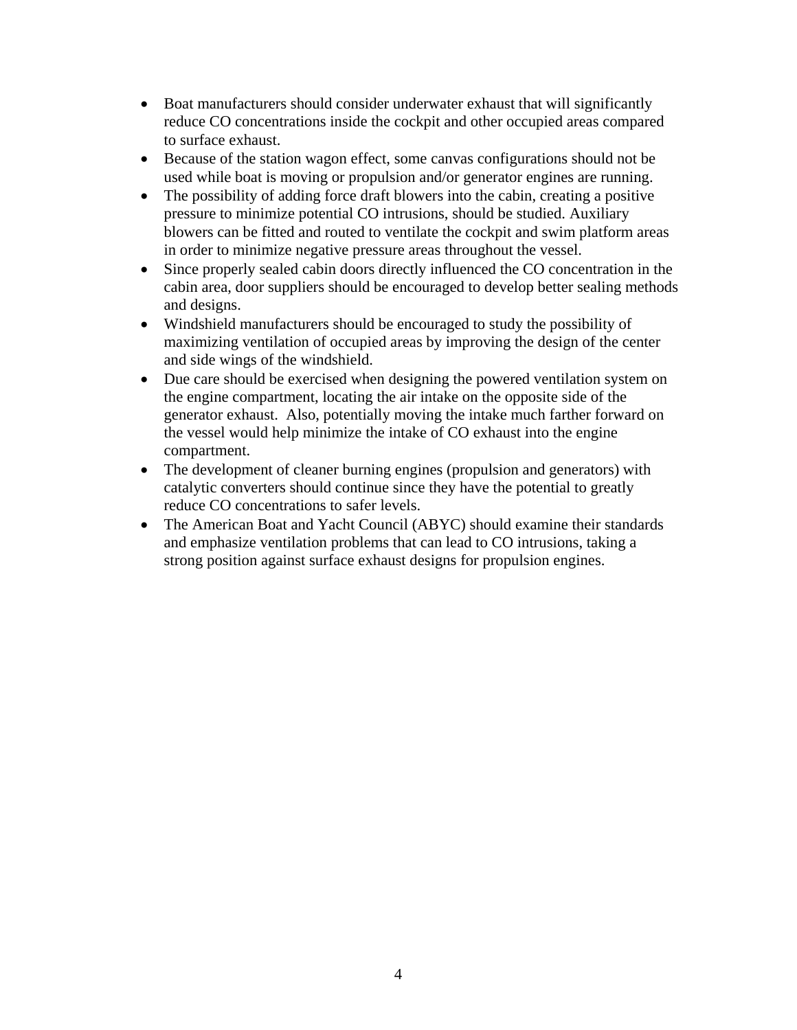- Boat manufacturers should consider underwater exhaust that will significantly reduce CO concentrations inside the cockpit and other occupied areas compared to surface exhaust.
- Because of the station wagon effect, some canvas configurations should not be used while boat is moving or propulsion and/or generator engines are running.
- The possibility of adding force draft blowers into the cabin, creating a positive pressure to minimize potential CO intrusions, should be studied. Auxiliary blowers can be fitted and routed to ventilate the cockpit and swim platform areas in order to minimize negative pressure areas throughout the vessel.
- Since properly sealed cabin doors directly influenced the CO concentration in the cabin area, door suppliers should be encouraged to develop better sealing methods and designs.
- Windshield manufacturers should be encouraged to study the possibility of maximizing ventilation of occupied areas by improving the design of the center and side wings of the windshield.
- Due care should be exercised when designing the powered ventilation system on the engine compartment, locating the air intake on the opposite side of the generator exhaust. Also, potentially moving the intake much farther forward on the vessel would help minimize the intake of CO exhaust into the engine compartment.
- The development of cleaner burning engines (propulsion and generators) with catalytic converters should continue since they have the potential to greatly reduce CO concentrations to safer levels.
- The American Boat and Yacht Council (ABYC) should examine their standards and emphasize ventilation problems that can lead to CO intrusions, taking a strong position against surface exhaust designs for propulsion engines.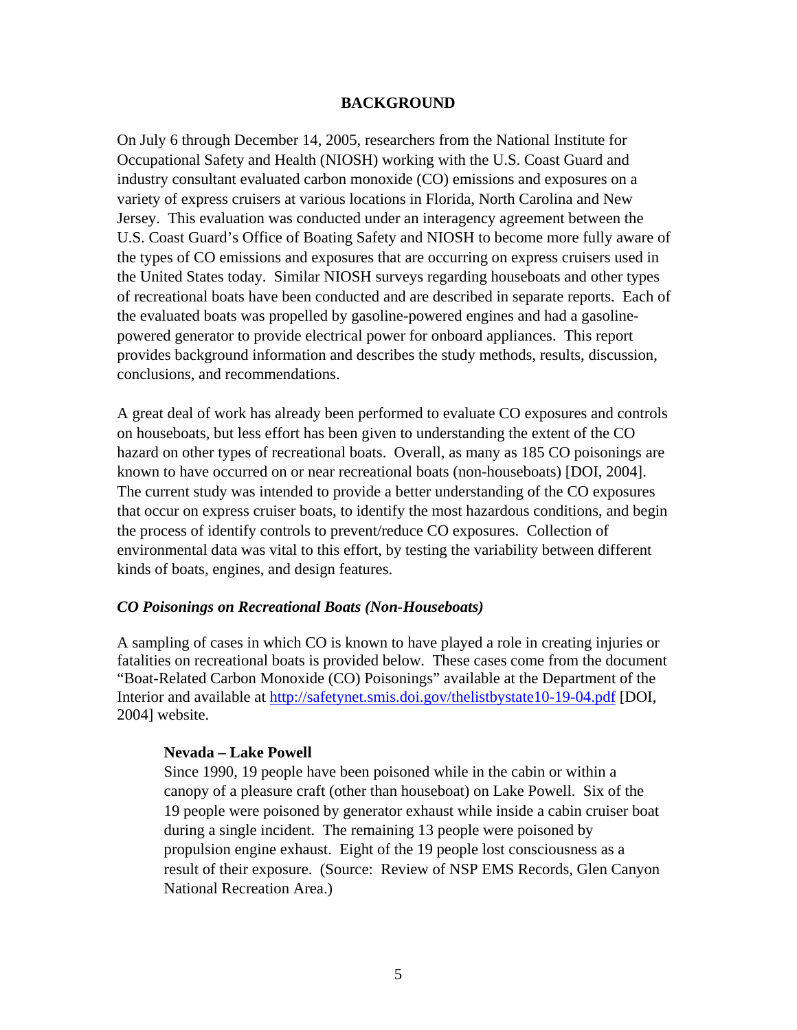#### **BACKGROUND**

On July 6 through December 14, 2005, researchers from the National Institute for Occupational Safety and Health (NIOSH) working with the U.S. Coast Guard and industry consultant evaluated carbon monoxide (CO) emissions and exposures on a variety of express cruisers at various locations in Florida, North Carolina and New Jersey. This evaluation was conducted under an interagency agreement between the U.S. Coast Guard's Office of Boating Safety and NIOSH to become more fully aware of the types of CO emissions and exposures that are occurring on express cruisers used in the United States today. Similar NIOSH surveys regarding houseboats and other types of recreational boats have been conducted and are described in separate reports. Each of the evaluated boats was propelled by gasoline-powered engines and had a gasolinepowered generator to provide electrical power for onboard appliances. This report provides background information and describes the study methods, results, discussion, conclusions, and recommendations.

A great deal of work has already been performed to evaluate CO exposures and controls on houseboats, but less effort has been given to understanding the extent of the CO hazard on other types of recreational boats. Overall, as many as 185 CO poisonings are known to have occurred on or near recreational boats (non-houseboats) [DOI, 2004]. The current study was intended to provide a better understanding of the CO exposures that occur on express cruiser boats, to identify the most hazardous conditions, and begin the process of identify controls to prevent/reduce CO exposures. Collection of environmental data was vital to this effort, by testing the variability between different kinds of boats, engines, and design features.

#### *CO Poisonings on Recreational Boats (Non-Houseboats)*

A sampling of cases in which CO is known to have played a role in creating injuries or fatalities on recreational boats is provided below. These cases come from the document "Boat-Related Carbon Monoxide (CO) Poisonings" available at the Department of the Interior and available at http://safetynet.smis.doi.gov/thelistbystate10-19-04.pdf [DOI, 2004] website.

#### **Nevada – Lake Powell**

Since 1990, 19 people have been poisoned while in the cabin or within a canopy of a pleasure craft (other than houseboat) on Lake Powell. Six of the 19 people were poisoned by generator exhaust while inside a cabin cruiser boat during a single incident. The remaining 13 people were poisoned by propulsion engine exhaust. Eight of the 19 people lost consciousness as a result of their exposure. (Source: Review of NSP EMS Records, Glen Canyon National Recreation Area.)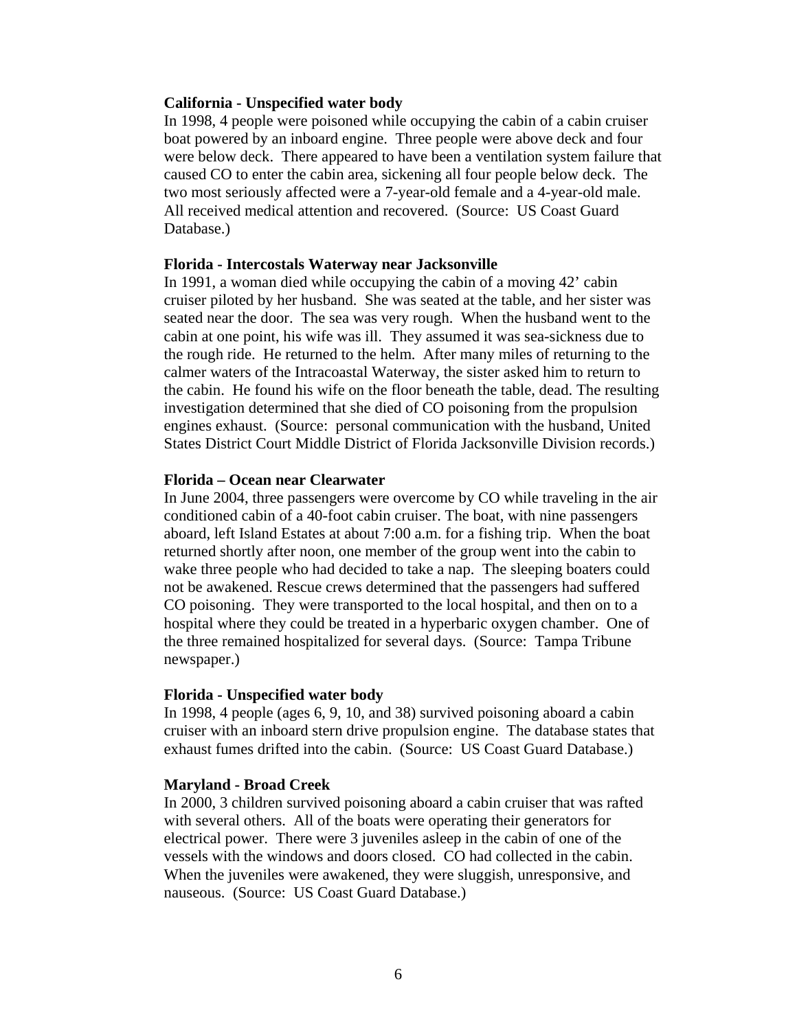#### **California - Unspecified water body**

In 1998, 4 people were poisoned while occupying the cabin of a cabin cruiser boat powered by an inboard engine. Three people were above deck and four were below deck. There appeared to have been a ventilation system failure that caused CO to enter the cabin area, sickening all four people below deck. The two most seriously affected were a 7-year-old female and a 4-year-old male. All received medical attention and recovered. (Source: US Coast Guard Database.)

#### **Florida - Intercostals Waterway near Jacksonville**

In 1991, a woman died while occupying the cabin of a moving 42' cabin cruiser piloted by her husband. She was seated at the table, and her sister was seated near the door. The sea was very rough. When the husband went to the cabin at one point, his wife was ill. They assumed it was sea-sickness due to the rough ride. He returned to the helm. After many miles of returning to the calmer waters of the Intracoastal Waterway, the sister asked him to return to the cabin. He found his wife on the floor beneath the table, dead. The resulting investigation determined that she died of CO poisoning from the propulsion engines exhaust. (Source: personal communication with the husband, United States District Court Middle District of Florida Jacksonville Division records.)

#### **Florida – Ocean near Clearwater**

In June 2004, three passengers were overcome by CO while traveling in the air conditioned cabin of a 40-foot cabin cruiser. The boat, with nine passengers aboard, left Island Estates at about 7:00 a.m. for a fishing trip. When the boat returned shortly after noon, one member of the group went into the cabin to wake three people who had decided to take a nap. The sleeping boaters could not be awakened. Rescue crews determined that the passengers had suffered CO poisoning. They were transported to the local hospital, and then on to a hospital where they could be treated in a hyperbaric oxygen chamber. One of the three remained hospitalized for several days. (Source: Tampa Tribune newspaper.)

#### **Florida - Unspecified water body**

In 1998, 4 people (ages 6, 9, 10, and 38) survived poisoning aboard a cabin cruiser with an inboard stern drive propulsion engine. The database states that exhaust fumes drifted into the cabin. (Source: US Coast Guard Database.)

#### **Maryland - Broad Creek**

In 2000, 3 children survived poisoning aboard a cabin cruiser that was rafted with several others. All of the boats were operating their generators for electrical power. There were 3 juveniles asleep in the cabin of one of the vessels with the windows and doors closed. CO had collected in the cabin. When the juveniles were awakened, they were sluggish, unresponsive, and nauseous. (Source: US Coast Guard Database.)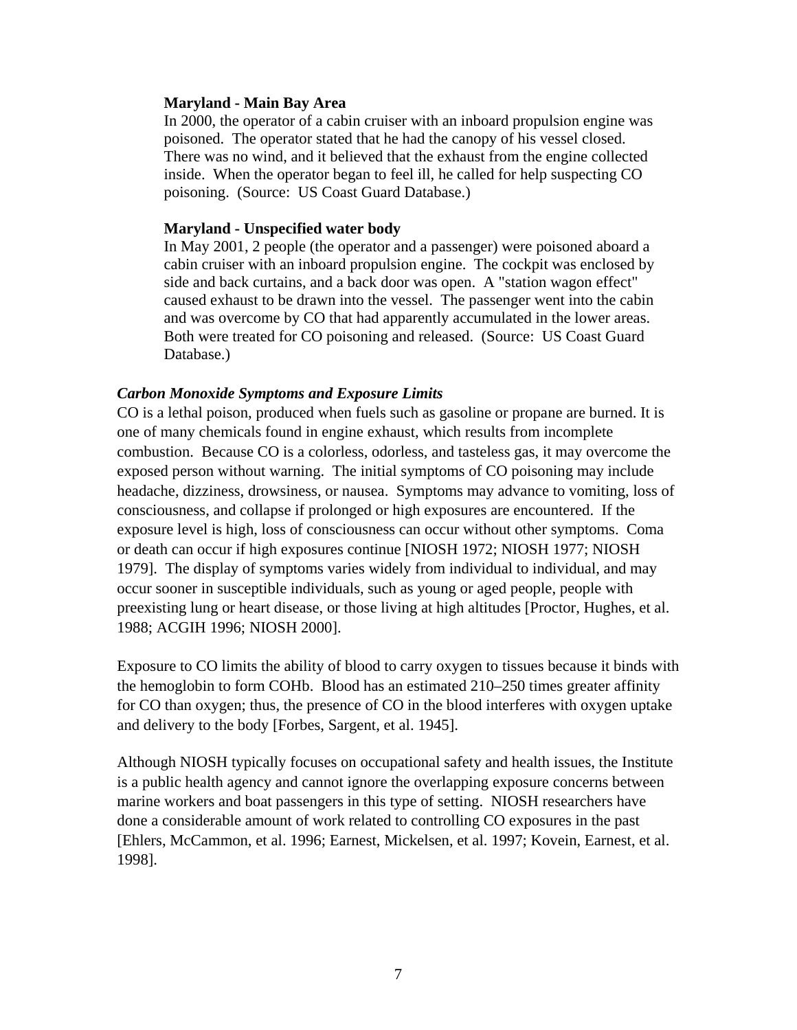#### **Maryland - Main Bay Area**

In 2000, the operator of a cabin cruiser with an inboard propulsion engine was poisoned. The operator stated that he had the canopy of his vessel closed. There was no wind, and it believed that the exhaust from the engine collected inside. When the operator began to feel ill, he called for help suspecting CO poisoning. (Source: US Coast Guard Database.)

#### **Maryland - Unspecified water body**

In May 2001, 2 people (the operator and a passenger) were poisoned aboard a cabin cruiser with an inboard propulsion engine. The cockpit was enclosed by side and back curtains, and a back door was open. A "station wagon effect" caused exhaust to be drawn into the vessel. The passenger went into the cabin and was overcome by CO that had apparently accumulated in the lower areas. Both were treated for CO poisoning and released. (Source: US Coast Guard Database.)

#### *Carbon Monoxide Symptoms and Exposure Limits*

CO is a lethal poison, produced when fuels such as gasoline or propane are burned. It is one of many chemicals found in engine exhaust, which results from incomplete combustion. Because CO is a colorless, odorless, and tasteless gas, it may overcome the exposed person without warning. The initial symptoms of CO poisoning may include headache, dizziness, drowsiness, or nausea. Symptoms may advance to vomiting, loss of consciousness, and collapse if prolonged or high exposures are encountered. If the exposure level is high, loss of consciousness can occur without other symptoms. Coma or death can occur if high exposures continue [NIOSH 1972; NIOSH 1977; NIOSH 1979]. The display of symptoms varies widely from individual to individual, and may occur sooner in susceptible individuals, such as young or aged people, people with preexisting lung or heart disease, or those living at high altitudes [Proctor, Hughes, et al. 1988; ACGIH 1996; NIOSH 2000].

Exposure to CO limits the ability of blood to carry oxygen to tissues because it binds with the hemoglobin to form COHb. Blood has an estimated 210–250 times greater affinity for CO than oxygen; thus, the presence of CO in the blood interferes with oxygen uptake and delivery to the body [Forbes, Sargent, et al. 1945].

Although NIOSH typically focuses on occupational safety and health issues, the Institute is a public health agency and cannot ignore the overlapping exposure concerns between marine workers and boat passengers in this type of setting. NIOSH researchers have done a considerable amount of work related to controlling CO exposures in the past [Ehlers, McCammon, et al. 1996; Earnest, Mickelsen, et al. 1997; Kovein, Earnest, et al. 1998].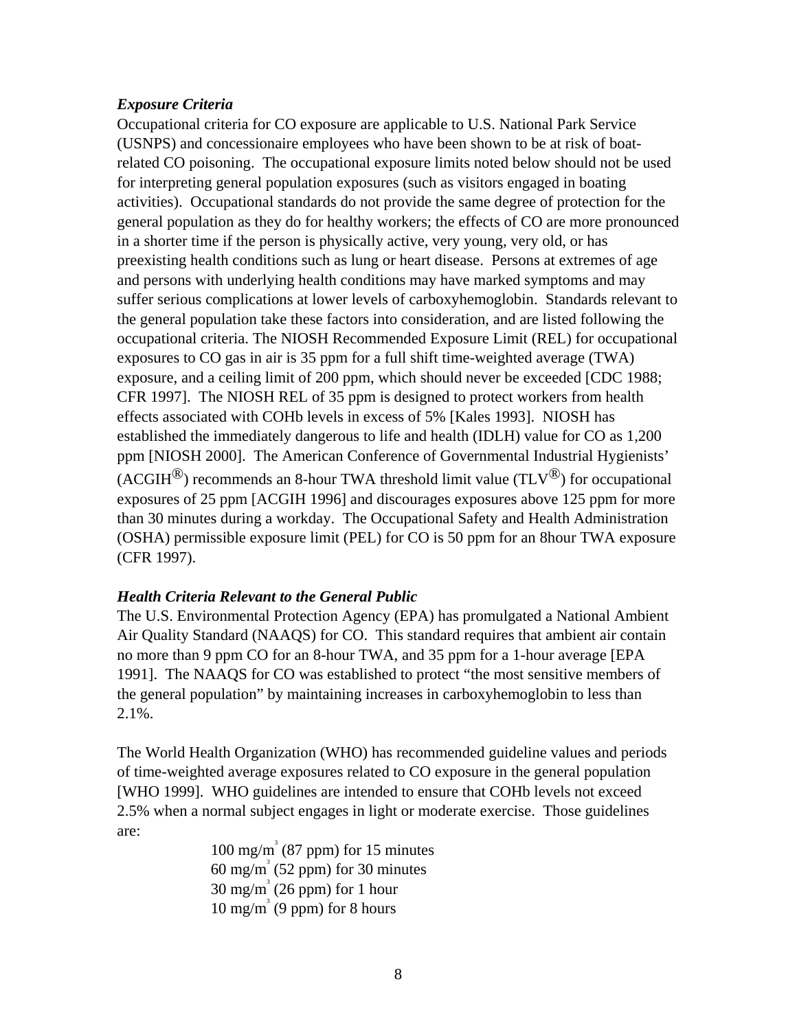#### *Exposure Criteria*

Occupational criteria for CO exposure are applicable to U.S. National Park Service (USNPS) and concessionaire employees who have been shown to be at risk of boatrelated CO poisoning. The occupational exposure limits noted below should not be used for interpreting general population exposures (such as visitors engaged in boating activities). Occupational standards do not provide the same degree of protection for the general population as they do for healthy workers; the effects of CO are more pronounced in a shorter time if the person is physically active, very young, very old, or has preexisting health conditions such as lung or heart disease. Persons at extremes of age and persons with underlying health conditions may have marked symptoms and may suffer serious complications at lower levels of carboxyhemoglobin. Standards relevant to the general population take these factors into consideration, and are listed following the occupational criteria. The NIOSH Recommended Exposure Limit (REL) for occupational exposures to CO gas in air is 35 ppm for a full shift time-weighted average (TWA) exposure, and a ceiling limit of 200 ppm, which should never be exceeded [CDC 1988; CFR 1997]. The NIOSH REL of 35 ppm is designed to protect workers from health effects associated with COHb levels in excess of 5% [Kales 1993]. NIOSH has established the immediately dangerous to life and health (IDLH) value for CO as 1,200 ppm [NIOSH 2000]. The American Conference of Governmental Industrial Hygienists' (ACGIH<sup>®</sup>) recommends an 8-hour TWA threshold limit value (TLV<sup>®</sup>) for occupational exposures of 25 ppm [ACGIH 1996] and discourages exposures above 125 ppm for more than 30 minutes during a workday. The Occupational Safety and Health Administration (OSHA) permissible exposure limit (PEL) for CO is 50 ppm for an 8hour TWA exposure (CFR 1997).

#### *Health Criteria Relevant to the General Public*

The U.S. Environmental Protection Agency (EPA) has promulgated a National Ambient Air Quality Standard (NAAQS) for CO. This standard requires that ambient air contain no more than 9 ppm CO for an 8-hour TWA, and 35 ppm for a 1-hour average [EPA 1991]. The NAAQS for CO was established to protect "the most sensitive members of the general population" by maintaining increases in carboxyhemoglobin to less than 2.1%.

The World Health Organization (WHO) has recommended guideline values and periods of time-weighted average exposures related to CO exposure in the general population [WHO 1999]. WHO guidelines are intended to ensure that COHb levels not exceed 2.5% when a normal subject engages in light or moderate exercise. Those guidelines are:

 $100 \text{ mg/m}^3$  (87 ppm) for 15 minutes  $60 \text{ mg/m}^3$  (52 ppm) for 30 minutes  $30 \text{ mg/m}^3$  (26 ppm) for 1 hour  $10 \text{ mg/m}^3$  (9 ppm) for 8 hours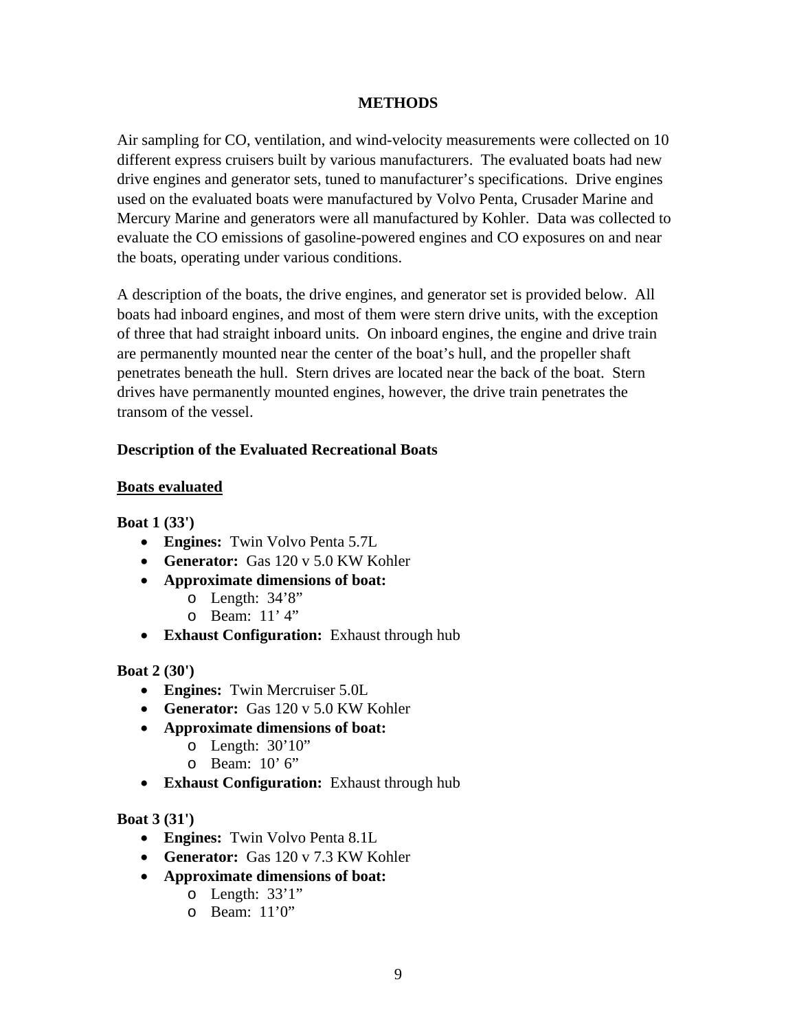#### **METHODS**

Air sampling for CO, ventilation, and wind-velocity measurements were collected on 10 different express cruisers built by various manufacturers. The evaluated boats had new drive engines and generator sets, tuned to manufacturer's specifications. Drive engines used on the evaluated boats were manufactured by Volvo Penta, Crusader Marine and Mercury Marine and generators were all manufactured by Kohler. Data was collected to evaluate the CO emissions of gasoline-powered engines and CO exposures on and near the boats, operating under various conditions.

A description of the boats, the drive engines, and generator set is provided below. All boats had inboard engines, and most of them were stern drive units, with the exception of three that had straight inboard units. On inboard engines, the engine and drive train are permanently mounted near the center of the boat's hull, and the propeller shaft penetrates beneath the hull. Stern drives are located near the back of the boat. Stern drives have permanently mounted engines, however, the drive train penetrates the transom of the vessel.

## **Description of the Evaluated Recreational Boats**

#### **Boats evaluated**

**Boat 1 (33')**

- **Engines:** Twin Volvo Penta 5.7L
- **Generator:** Gas 120 v 5.0 KW Kohler
- **Approximate dimensions of boat:**
	- o Length: 34'8"
	- o Beam: 11' 4"
- **Exhaust Configuration:** Exhaust through hub

#### **Boat 2 (30')**

- **Engines:** Twin Mercruiser 5.0L
- **Generator:** Gas 120 v 5.0 KW Kohler
- **Approximate dimensions of boat:**
	- o Length: 30'10"
	- o Beam: 10' 6"
- **Exhaust Configuration:** Exhaust through hub

# **Boat 3 (31')**

- **Engines:** Twin Volvo Penta 8.1L
- **Generator:** Gas 120 v 7.3 KW Kohler
- **Approximate dimensions of boat:**
	- o Length: 33'1"
		- o Beam: 11'0"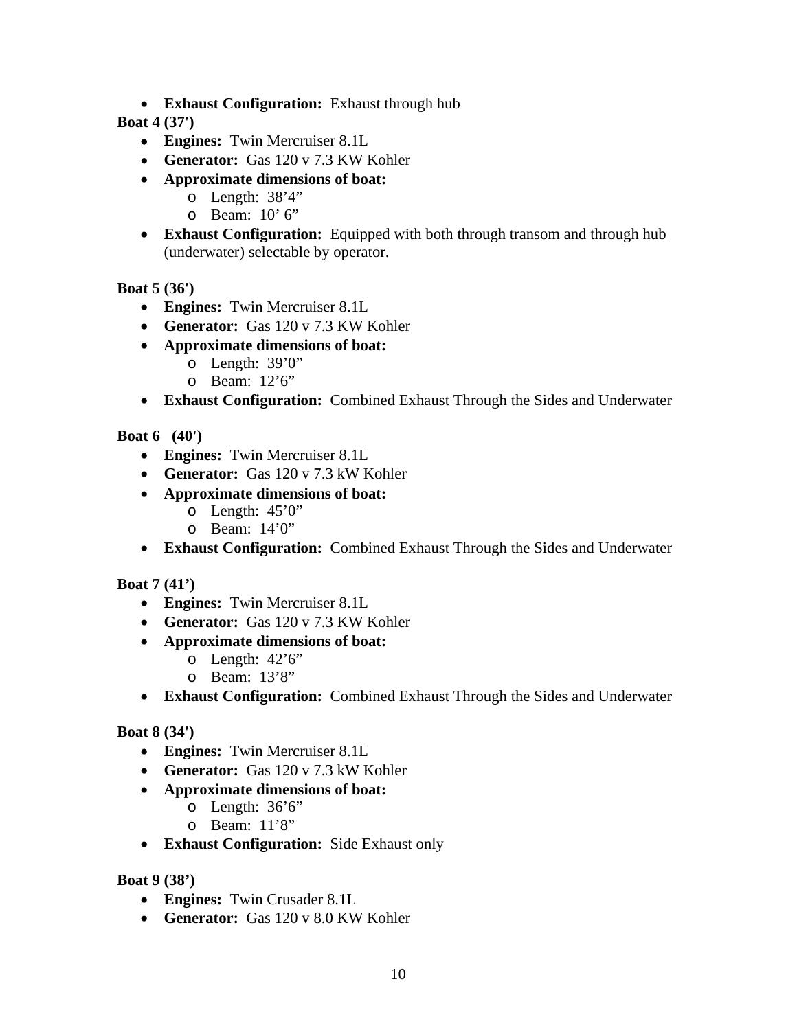• **Exhaust Configuration:** Exhaust through hub

# **Boat 4 (37')**

- **Engines:** Twin Mercruiser 8.1L
- **Generator:** Gas 120 v 7.3 KW Kohler
- **Approximate dimensions of boat:**
	- o Length: 38'4"
	- o Beam: 10' 6"
- **Exhaust Configuration:** Equipped with both through transom and through hub (underwater) selectable by operator.

## **Boat 5 (36')**

- **Engines:** Twin Mercruiser 8.1L
- **Generator:** Gas 120 v 7.3 KW Kohler
- **Approximate dimensions of boat:**
	- o Length: 39'0"
	- o Beam: 12'6"
- **Exhaust Configuration:** Combined Exhaust Through the Sides and Underwater

## **Boat 6 (40')**

- **Engines:** Twin Mercruiser 8.1L
- **Generator:** Gas 120 v 7.3 kW Kohler
- **Approximate dimensions of boat:**
	- o Length: 45'0"
		- o Beam: 14'0"
- **Exhaust Configuration:** Combined Exhaust Through the Sides and Underwater

#### **Boat 7 (41')**

- **Engines:** Twin Mercruiser 8.1L
- **Generator:** Gas 120 v 7.3 KW Kohler
- **Approximate dimensions of boat:**
	- o Length: 42'6"
	- o Beam: 13'8"
- **Exhaust Configuration:** Combined Exhaust Through the Sides and Underwater

#### **Boat 8 (34')**

- **Engines:** Twin Mercruiser 8.1L
- **Generator:** Gas 120 v 7.3 kW Kohler
- **Approximate dimensions of boat:**
	- o Length: 36'6"
		- o Beam: 11'8"
- **Exhaust Configuration:** Side Exhaust only

#### **Boat 9 (38')**

- **Engines:** Twin Crusader 8.1L
- **Generator:** Gas 120 v 8.0 KW Kohler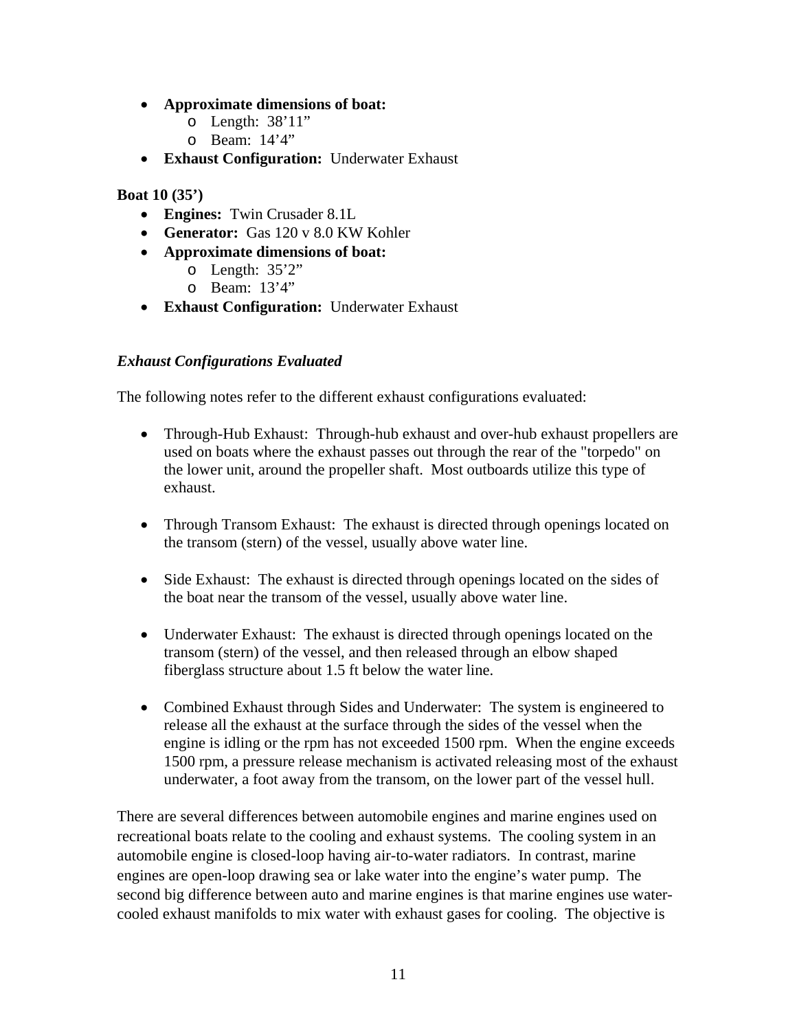- **Approximate dimensions of boat:**
	- o Length: 38'11"
	- o Beam: 14'4"
- **Exhaust Configuration:** Underwater Exhaust

## **Boat 10 (35')**

- **Engines:** Twin Crusader 8.1L
- **Generator:** Gas 120 v 8.0 KW Kohler
- **Approximate dimensions of boat:**
	- o Length: 35'2"
	- o Beam: 13'4"
- **Exhaust Configuration:** Underwater Exhaust

# *Exhaust Configurations Evaluated*

The following notes refer to the different exhaust configurations evaluated:

- Through-Hub Exhaust: Through-hub exhaust and over-hub exhaust propellers are used on boats where the exhaust passes out through the rear of the "torpedo" on the lower unit, around the propeller shaft. Most outboards utilize this type of exhaust.
- Through Transom Exhaust: The exhaust is directed through openings located on the transom (stern) of the vessel, usually above water line.
- Side Exhaust: The exhaust is directed through openings located on the sides of the boat near the transom of the vessel, usually above water line.
- Underwater Exhaust: The exhaust is directed through openings located on the transom (stern) of the vessel, and then released through an elbow shaped fiberglass structure about 1.5 ft below the water line.
- Combined Exhaust through Sides and Underwater: The system is engineered to release all the exhaust at the surface through the sides of the vessel when the engine is idling or the rpm has not exceeded 1500 rpm. When the engine exceeds 1500 rpm, a pressure release mechanism is activated releasing most of the exhaust underwater, a foot away from the transom, on the lower part of the vessel hull.

There are several differences between automobile engines and marine engines used on recreational boats relate to the cooling and exhaust systems. The cooling system in an automobile engine is closed-loop having air-to-water radiators. In contrast, marine engines are open-loop drawing sea or lake water into the engine's water pump. The second big difference between auto and marine engines is that marine engines use watercooled exhaust manifolds to mix water with exhaust gases for cooling. The objective is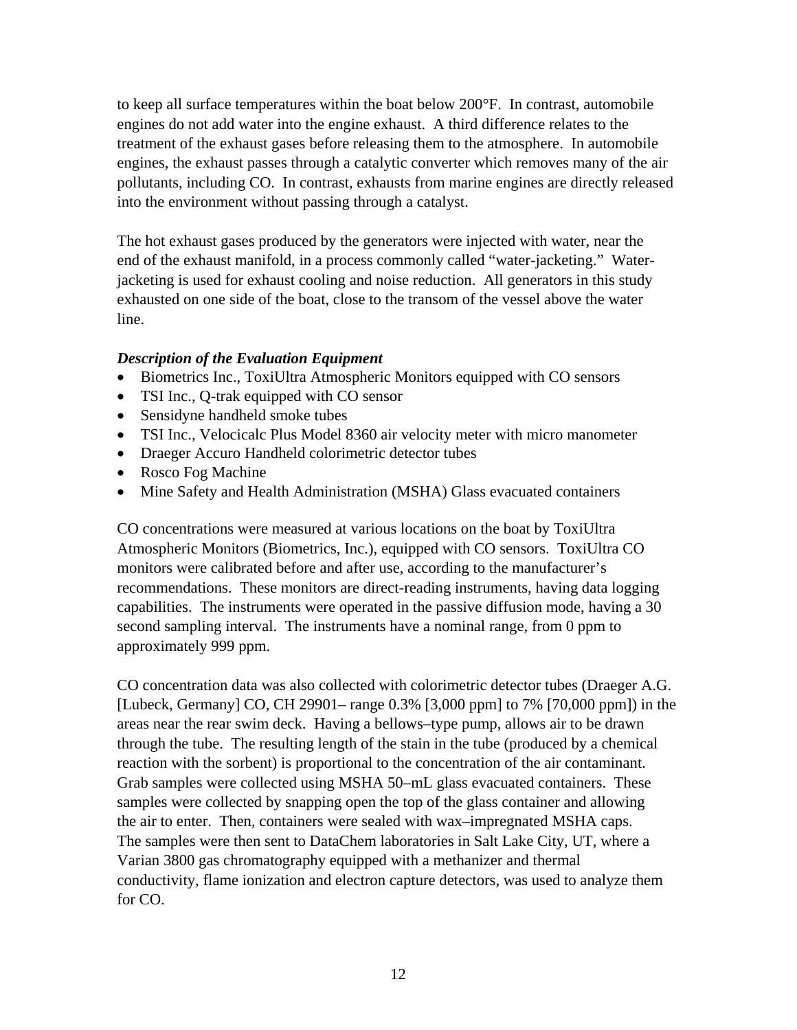to keep all surface temperatures within the boat below 200°F. In contrast, automobile engines do not add water into the engine exhaust. A third difference relates to the treatment of the exhaust gases before releasing them to the atmosphere. In automobile engines, the exhaust passes through a catalytic converter which removes many of the air pollutants, including CO. In contrast, exhausts from marine engines are directly released into the environment without passing through a catalyst.

The hot exhaust gases produced by the generators were injected with water, near the end of the exhaust manifold, in a process commonly called "water-jacketing." Waterjacketing is used for exhaust cooling and noise reduction. All generators in this study exhausted on one side of the boat, close to the transom of the vessel above the water line.

## *Description of the Evaluation Equipment*

- Biometrics Inc., ToxiUltra Atmospheric Monitors equipped with CO sensors
- TSI Inc., Q-trak equipped with CO sensor
- Sensidyne handheld smoke tubes
- TSI Inc., Velocicalc Plus Model 8360 air velocity meter with micro manometer
- Draeger Accuro Handheld colorimetric detector tubes
- Rosco Fog Machine
- Mine Safety and Health Administration (MSHA) Glass evacuated containers

CO concentrations were measured at various locations on the boat by ToxiUltra Atmospheric Monitors (Biometrics, Inc.), equipped with CO sensors. ToxiUltra CO monitors were calibrated before and after use, according to the manufacturer's recommendations. These monitors are direct-reading instruments, having data logging capabilities. The instruments were operated in the passive diffusion mode, having a 30 second sampling interval. The instruments have a nominal range, from 0 ppm to approximately 999 ppm.

CO concentration data was also collected with colorimetric detector tubes (Draeger A.G. [Lubeck, Germany] CO, CH 29901– range 0.3% [3,000 ppm] to 7% [70,000 ppm]) in the areas near the rear swim deck. Having a bellows–type pump, allows air to be drawn through the tube. The resulting length of the stain in the tube (produced by a chemical reaction with the sorbent) is proportional to the concentration of the air contaminant. Grab samples were collected using MSHA 50–mL glass evacuated containers. These samples were collected by snapping open the top of the glass container and allowing the air to enter. Then, containers were sealed with wax–impregnated MSHA caps. The samples were then sent to DataChem laboratories in Salt Lake City, UT, where a Varian 3800 gas chromatography equipped with a methanizer and thermal conductivity, flame ionization and electron capture detectors, was used to analyze them for CO.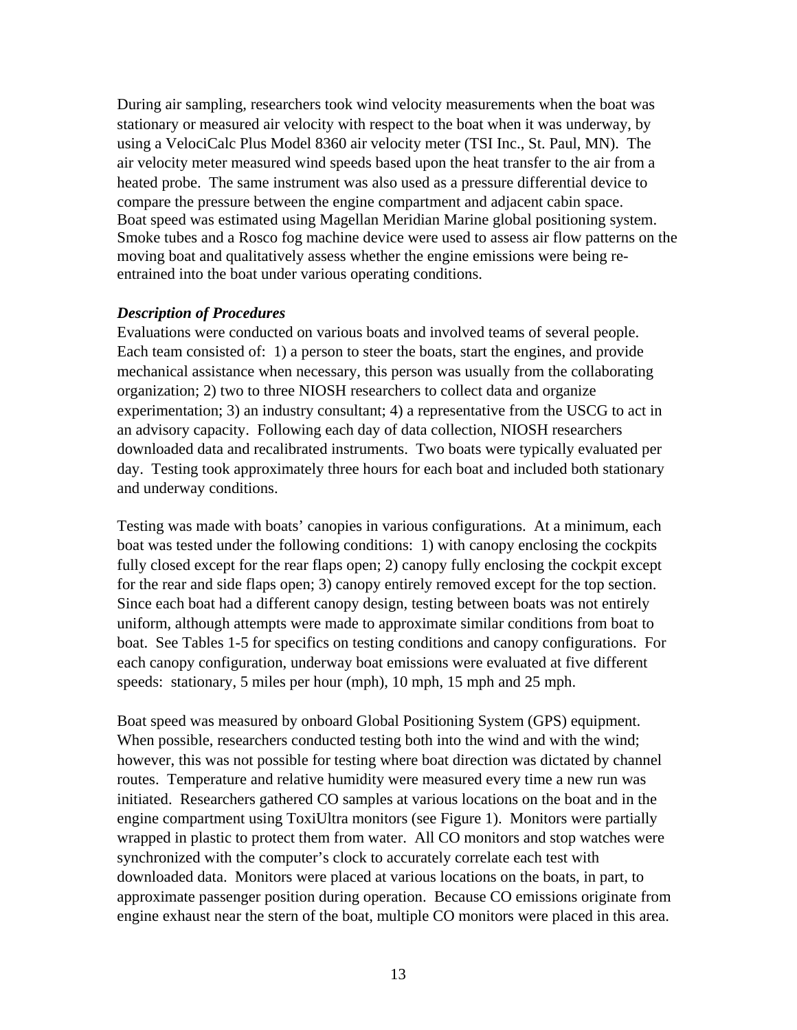During air sampling, researchers took wind velocity measurements when the boat was stationary or measured air velocity with respect to the boat when it was underway, by using a VelociCalc Plus Model 8360 air velocity meter (TSI Inc., St. Paul, MN). The air velocity meter measured wind speeds based upon the heat transfer to the air from a heated probe. The same instrument was also used as a pressure differential device to compare the pressure between the engine compartment and adjacent cabin space. Boat speed was estimated using Magellan Meridian Marine global positioning system. Smoke tubes and a Rosco fog machine device were used to assess air flow patterns on the moving boat and qualitatively assess whether the engine emissions were being reentrained into the boat under various operating conditions.

#### *Description of Procedures*

Evaluations were conducted on various boats and involved teams of several people. Each team consisted of: 1) a person to steer the boats, start the engines, and provide mechanical assistance when necessary, this person was usually from the collaborating organization; 2) two to three NIOSH researchers to collect data and organize experimentation; 3) an industry consultant; 4) a representative from the USCG to act in an advisory capacity. Following each day of data collection, NIOSH researchers downloaded data and recalibrated instruments. Two boats were typically evaluated per day. Testing took approximately three hours for each boat and included both stationary and underway conditions.

Testing was made with boats' canopies in various configurations. At a minimum, each boat was tested under the following conditions: 1) with canopy enclosing the cockpits fully closed except for the rear flaps open; 2) canopy fully enclosing the cockpit except for the rear and side flaps open; 3) canopy entirely removed except for the top section. Since each boat had a different canopy design, testing between boats was not entirely uniform, although attempts were made to approximate similar conditions from boat to boat. See Tables 1-5 for specifics on testing conditions and canopy configurations. For each canopy configuration, underway boat emissions were evaluated at five different speeds: stationary, 5 miles per hour (mph), 10 mph, 15 mph and 25 mph.

Boat speed was measured by onboard Global Positioning System (GPS) equipment. When possible, researchers conducted testing both into the wind and with the wind; however, this was not possible for testing where boat direction was dictated by channel routes. Temperature and relative humidity were measured every time a new run was initiated. Researchers gathered CO samples at various locations on the boat and in the engine compartment using ToxiUltra monitors (see Figure 1). Monitors were partially wrapped in plastic to protect them from water. All CO monitors and stop watches were synchronized with the computer's clock to accurately correlate each test with downloaded data. Monitors were placed at various locations on the boats, in part, to approximate passenger position during operation. Because CO emissions originate from engine exhaust near the stern of the boat, multiple CO monitors were placed in this area.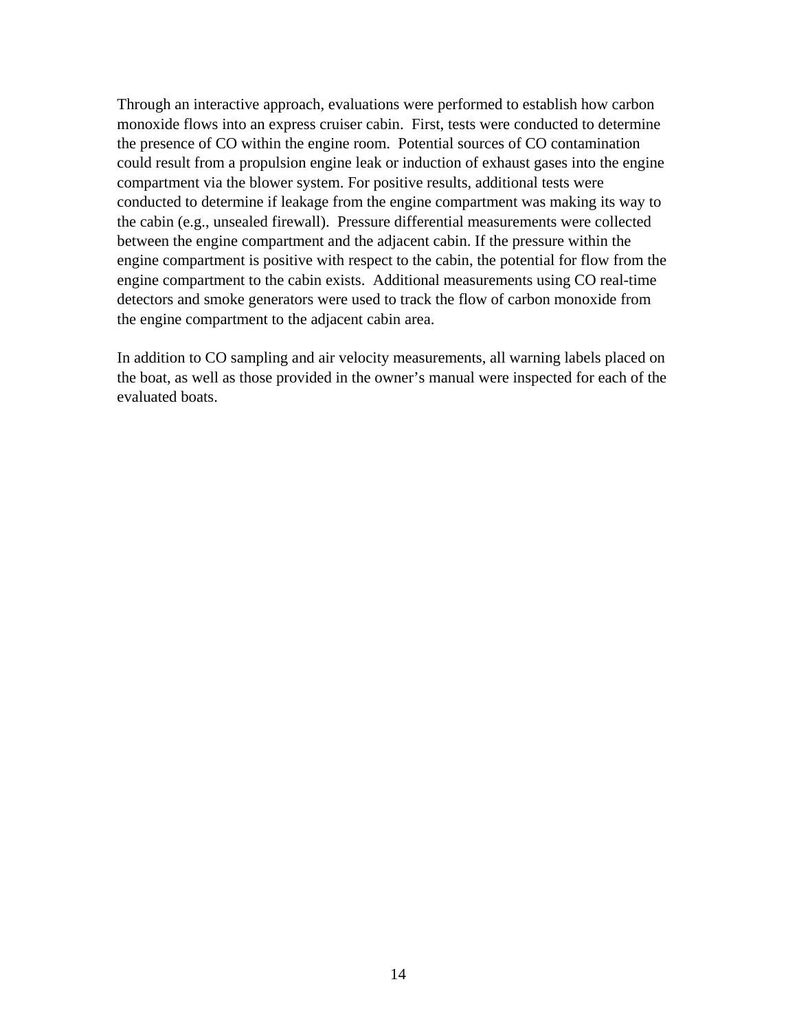Through an interactive approach, evaluations were performed to establish how carbon monoxide flows into an express cruiser cabin. First, tests were conducted to determine the presence of CO within the engine room. Potential sources of CO contamination could result from a propulsion engine leak or induction of exhaust gases into the engine compartment via the blower system. For positive results, additional tests were conducted to determine if leakage from the engine compartment was making its way to the cabin (e.g., unsealed firewall). Pressure differential measurements were collected between the engine compartment and the adjacent cabin. If the pressure within the engine compartment is positive with respect to the cabin, the potential for flow from the engine compartment to the cabin exists. Additional measurements using CO real-time detectors and smoke generators were used to track the flow of carbon monoxide from the engine compartment to the adjacent cabin area.

In addition to CO sampling and air velocity measurements, all warning labels placed on the boat, as well as those provided in the owner's manual were inspected for each of the evaluated boats.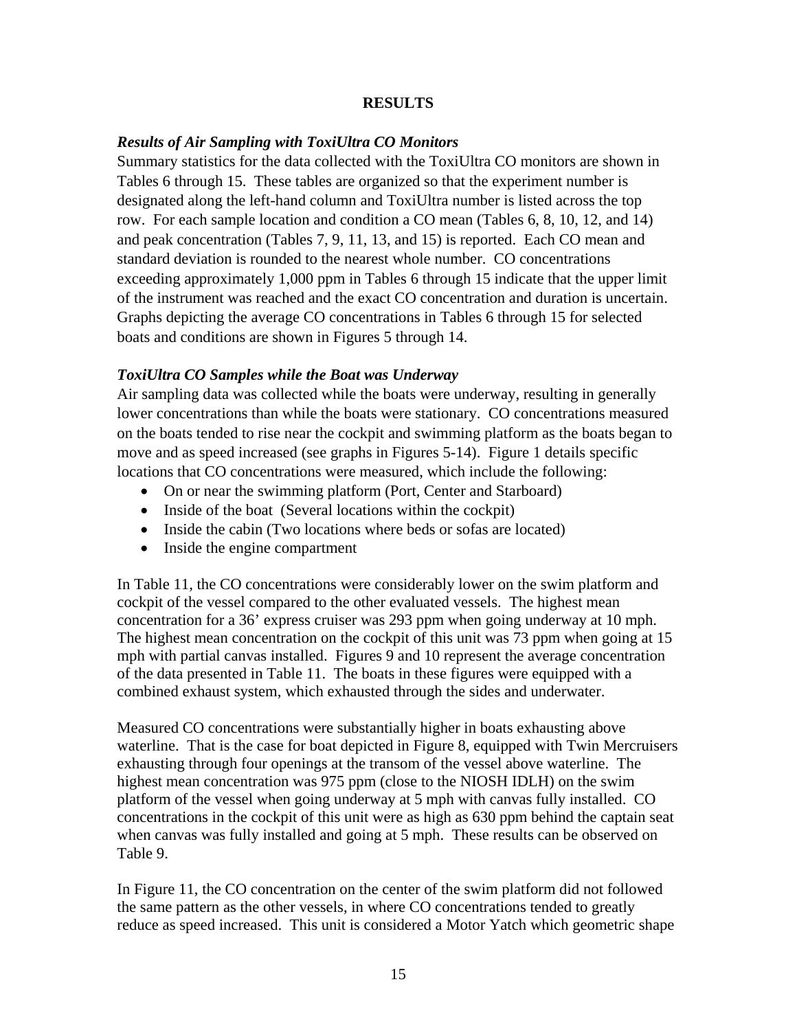### **RESULTS**

#### *Results of Air Sampling with ToxiUltra CO Monitors*

Summary statistics for the data collected with the ToxiUltra CO monitors are shown in Tables 6 through 15. These tables are organized so that the experiment number is designated along the left-hand column and ToxiUltra number is listed across the top row. For each sample location and condition a CO mean (Tables 6, 8, 10, 12, and 14) and peak concentration (Tables 7, 9, 11, 13, and 15) is reported. Each CO mean and standard deviation is rounded to the nearest whole number. CO concentrations exceeding approximately 1,000 ppm in Tables 6 through 15 indicate that the upper limit of the instrument was reached and the exact CO concentration and duration is uncertain. Graphs depicting the average CO concentrations in Tables 6 through 15 for selected boats and conditions are shown in Figures 5 through 14.

#### *ToxiUltra CO Samples while the Boat was Underway*

Air sampling data was collected while the boats were underway, resulting in generally lower concentrations than while the boats were stationary. CO concentrations measured on the boats tended to rise near the cockpit and swimming platform as the boats began to move and as speed increased (see graphs in Figures 5-14). Figure 1 details specific locations that CO concentrations were measured, which include the following:

- On or near the swimming platform (Port, Center and Starboard)
- Inside of the boat (Several locations within the cockpit)
- Inside the cabin (Two locations where beds or sofas are located)
- Inside the engine compartment

In Table 11, the CO concentrations were considerably lower on the swim platform and cockpit of the vessel compared to the other evaluated vessels. The highest mean concentration for a 36' express cruiser was 293 ppm when going underway at 10 mph. The highest mean concentration on the cockpit of this unit was 73 ppm when going at 15 mph with partial canvas installed. Figures 9 and 10 represent the average concentration of the data presented in Table 11. The boats in these figures were equipped with a combined exhaust system, which exhausted through the sides and underwater.

Measured CO concentrations were substantially higher in boats exhausting above waterline. That is the case for boat depicted in Figure 8, equipped with Twin Mercruisers exhausting through four openings at the transom of the vessel above waterline. The highest mean concentration was 975 ppm (close to the NIOSH IDLH) on the swim platform of the vessel when going underway at 5 mph with canvas fully installed. CO concentrations in the cockpit of this unit were as high as 630 ppm behind the captain seat when canvas was fully installed and going at 5 mph. These results can be observed on Table 9.

In Figure 11, the CO concentration on the center of the swim platform did not followed the same pattern as the other vessels, in where CO concentrations tended to greatly reduce as speed increased. This unit is considered a Motor Yatch which geometric shape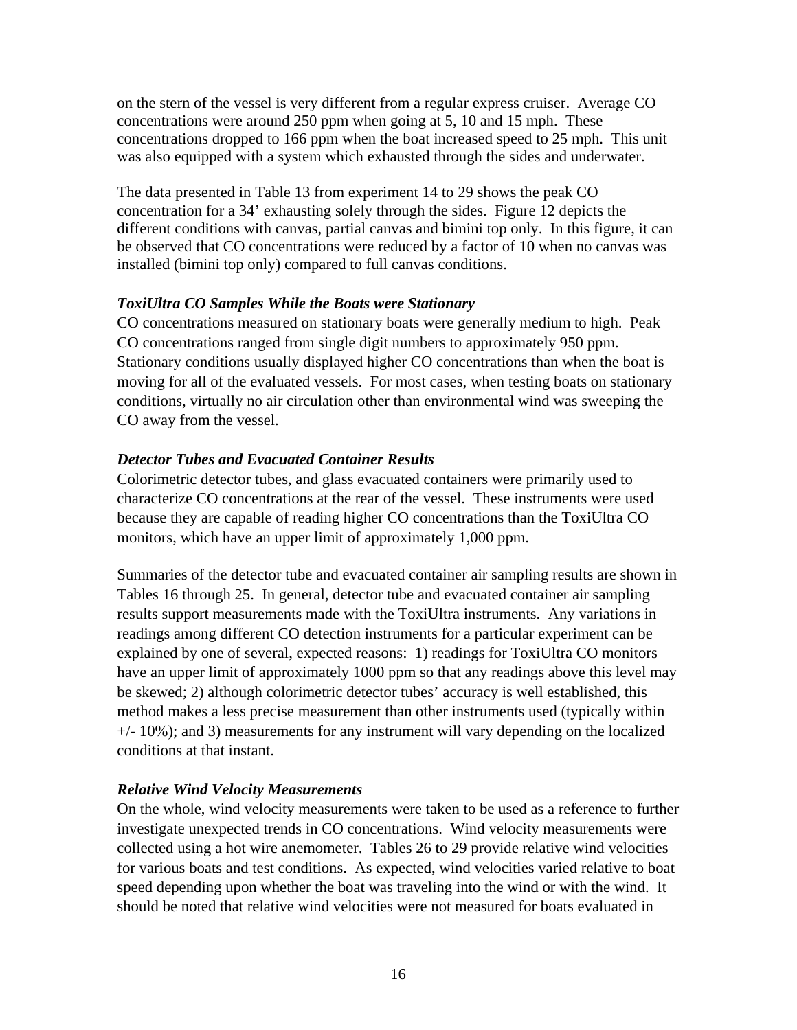on the stern of the vessel is very different from a regular express cruiser. Average CO concentrations were around 250 ppm when going at 5, 10 and 15 mph. These concentrations dropped to 166 ppm when the boat increased speed to 25 mph. This unit was also equipped with a system which exhausted through the sides and underwater.

The data presented in Table 13 from experiment 14 to 29 shows the peak CO concentration for a 34' exhausting solely through the sides. Figure 12 depicts the different conditions with canvas, partial canvas and bimini top only. In this figure, it can be observed that CO concentrations were reduced by a factor of 10 when no canvas was installed (bimini top only) compared to full canvas conditions.

## *ToxiUltra CO Samples While the Boats were Stationary*

CO concentrations measured on stationary boats were generally medium to high. Peak CO concentrations ranged from single digit numbers to approximately 950 ppm. Stationary conditions usually displayed higher CO concentrations than when the boat is moving for all of the evaluated vessels. For most cases, when testing boats on stationary conditions, virtually no air circulation other than environmental wind was sweeping the CO away from the vessel.

## *Detector Tubes and Evacuated Container Results*

Colorimetric detector tubes, and glass evacuated containers were primarily used to characterize CO concentrations at the rear of the vessel. These instruments were used because they are capable of reading higher CO concentrations than the ToxiUltra CO monitors, which have an upper limit of approximately 1,000 ppm.

Summaries of the detector tube and evacuated container air sampling results are shown in Tables 16 through 25. In general, detector tube and evacuated container air sampling results support measurements made with the ToxiUltra instruments. Any variations in readings among different CO detection instruments for a particular experiment can be explained by one of several, expected reasons: 1) readings for ToxiUltra CO monitors have an upper limit of approximately 1000 ppm so that any readings above this level may be skewed; 2) although colorimetric detector tubes' accuracy is well established, this method makes a less precise measurement than other instruments used (typically within  $+/- 10\%$ ; and 3) measurements for any instrument will vary depending on the localized conditions at that instant.

# *Relative Wind Velocity Measurements*

On the whole, wind velocity measurements were taken to be used as a reference to further investigate unexpected trends in CO concentrations. Wind velocity measurements were collected using a hot wire anemometer. Tables 26 to 29 provide relative wind velocities for various boats and test conditions. As expected, wind velocities varied relative to boat speed depending upon whether the boat was traveling into the wind or with the wind. It should be noted that relative wind velocities were not measured for boats evaluated in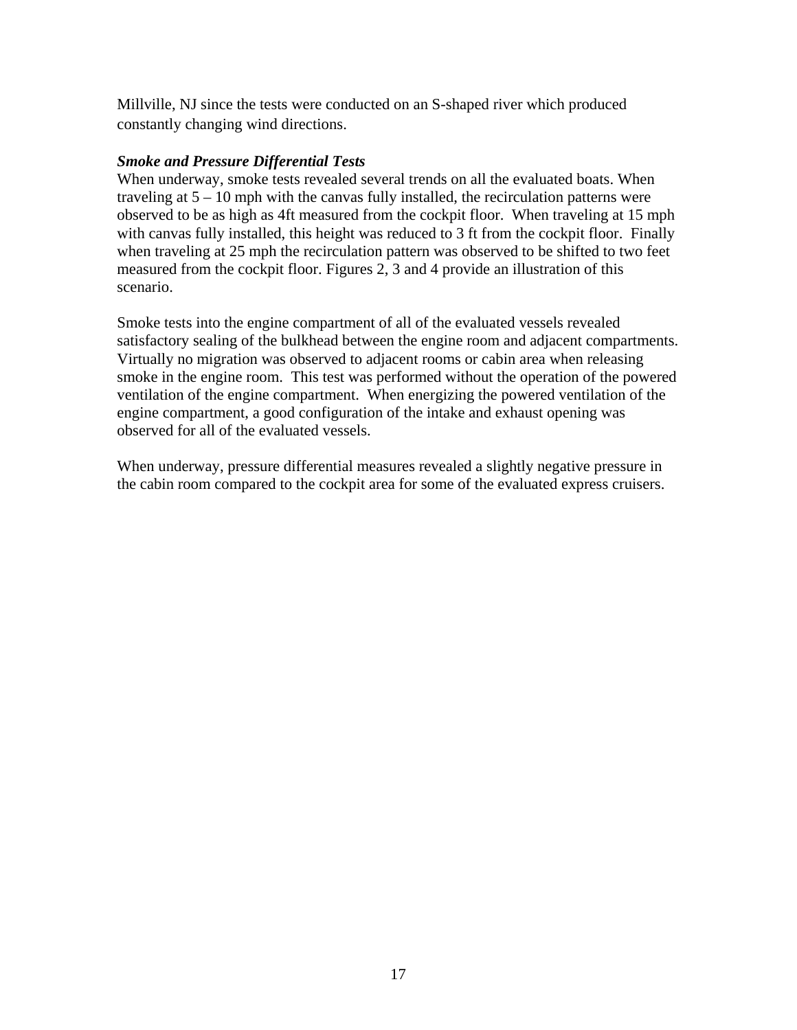Millville, NJ since the tests were conducted on an S-shaped river which produced constantly changing wind directions.

## *Smoke and Pressure Differential Tests*

When underway, smoke tests revealed several trends on all the evaluated boats. When traveling at 5 – 10 mph with the canvas fully installed, the recirculation patterns were observed to be as high as 4ft measured from the cockpit floor. When traveling at 15 mph with canvas fully installed, this height was reduced to 3 ft from the cockpit floor. Finally when traveling at 25 mph the recirculation pattern was observed to be shifted to two feet measured from the cockpit floor. Figures 2, 3 and 4 provide an illustration of this scenario.

Smoke tests into the engine compartment of all of the evaluated vessels revealed satisfactory sealing of the bulkhead between the engine room and adjacent compartments. Virtually no migration was observed to adjacent rooms or cabin area when releasing smoke in the engine room. This test was performed without the operation of the powered ventilation of the engine compartment. When energizing the powered ventilation of the engine compartment, a good configuration of the intake and exhaust opening was observed for all of the evaluated vessels.

When underway, pressure differential measures revealed a slightly negative pressure in the cabin room compared to the cockpit area for some of the evaluated express cruisers.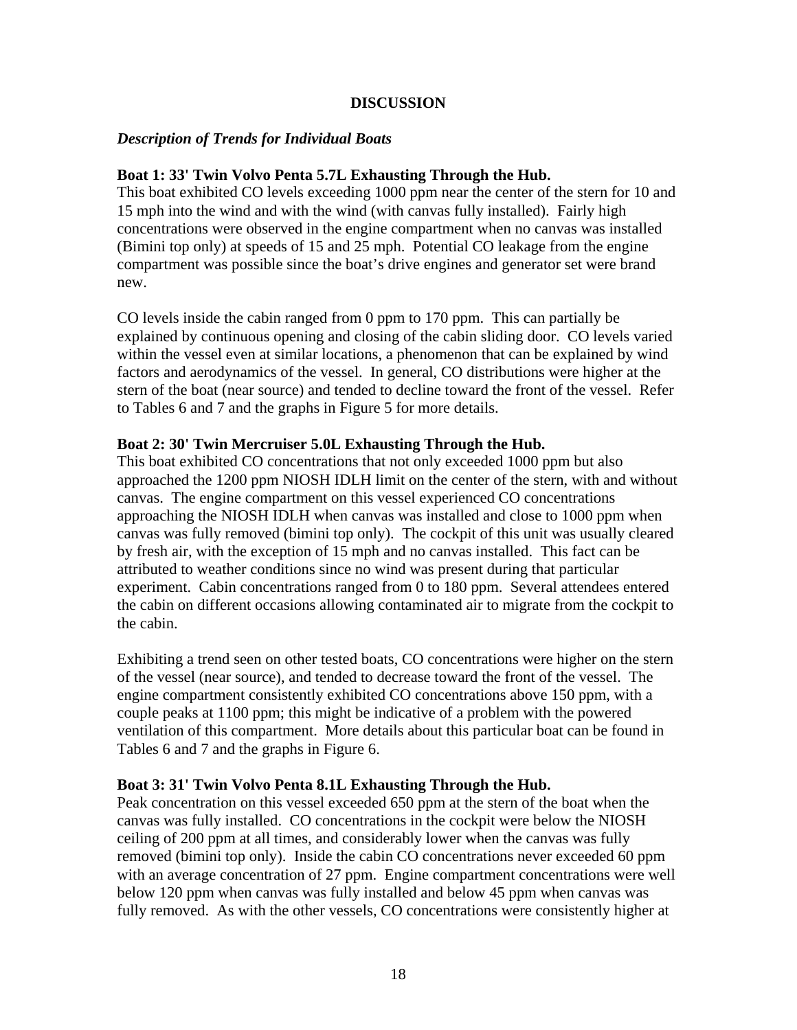### **DISCUSSION**

## *Description of Trends for Individual Boats*

## **Boat 1: 33' Twin Volvo Penta 5.7L Exhausting Through the Hub.**

This boat exhibited CO levels exceeding 1000 ppm near the center of the stern for 10 and 15 mph into the wind and with the wind (with canvas fully installed). Fairly high concentrations were observed in the engine compartment when no canvas was installed (Bimini top only) at speeds of 15 and 25 mph. Potential CO leakage from the engine compartment was possible since the boat's drive engines and generator set were brand new.

CO levels inside the cabin ranged from 0 ppm to 170 ppm. This can partially be explained by continuous opening and closing of the cabin sliding door. CO levels varied within the vessel even at similar locations, a phenomenon that can be explained by wind factors and aerodynamics of the vessel. In general, CO distributions were higher at the stern of the boat (near source) and tended to decline toward the front of the vessel. Refer to Tables 6 and 7 and the graphs in Figure 5 for more details.

#### **Boat 2: 30' Twin Mercruiser 5.0L Exhausting Through the Hub.**

This boat exhibited CO concentrations that not only exceeded 1000 ppm but also approached the 1200 ppm NIOSH IDLH limit on the center of the stern, with and without canvas. The engine compartment on this vessel experienced CO concentrations approaching the NIOSH IDLH when canvas was installed and close to 1000 ppm when canvas was fully removed (bimini top only). The cockpit of this unit was usually cleared by fresh air, with the exception of 15 mph and no canvas installed. This fact can be attributed to weather conditions since no wind was present during that particular experiment. Cabin concentrations ranged from 0 to 180 ppm. Several attendees entered the cabin on different occasions allowing contaminated air to migrate from the cockpit to the cabin.

Exhibiting a trend seen on other tested boats, CO concentrations were higher on the stern of the vessel (near source), and tended to decrease toward the front of the vessel. The engine compartment consistently exhibited CO concentrations above 150 ppm, with a couple peaks at 1100 ppm; this might be indicative of a problem with the powered ventilation of this compartment. More details about this particular boat can be found in Tables 6 and 7 and the graphs in Figure 6.

#### **Boat 3: 31' Twin Volvo Penta 8.1L Exhausting Through the Hub.**

Peak concentration on this vessel exceeded 650 ppm at the stern of the boat when the canvas was fully installed. CO concentrations in the cockpit were below the NIOSH ceiling of 200 ppm at all times, and considerably lower when the canvas was fully removed (bimini top only). Inside the cabin CO concentrations never exceeded 60 ppm with an average concentration of 27 ppm. Engine compartment concentrations were well below 120 ppm when canvas was fully installed and below 45 ppm when canvas was fully removed. As with the other vessels, CO concentrations were consistently higher at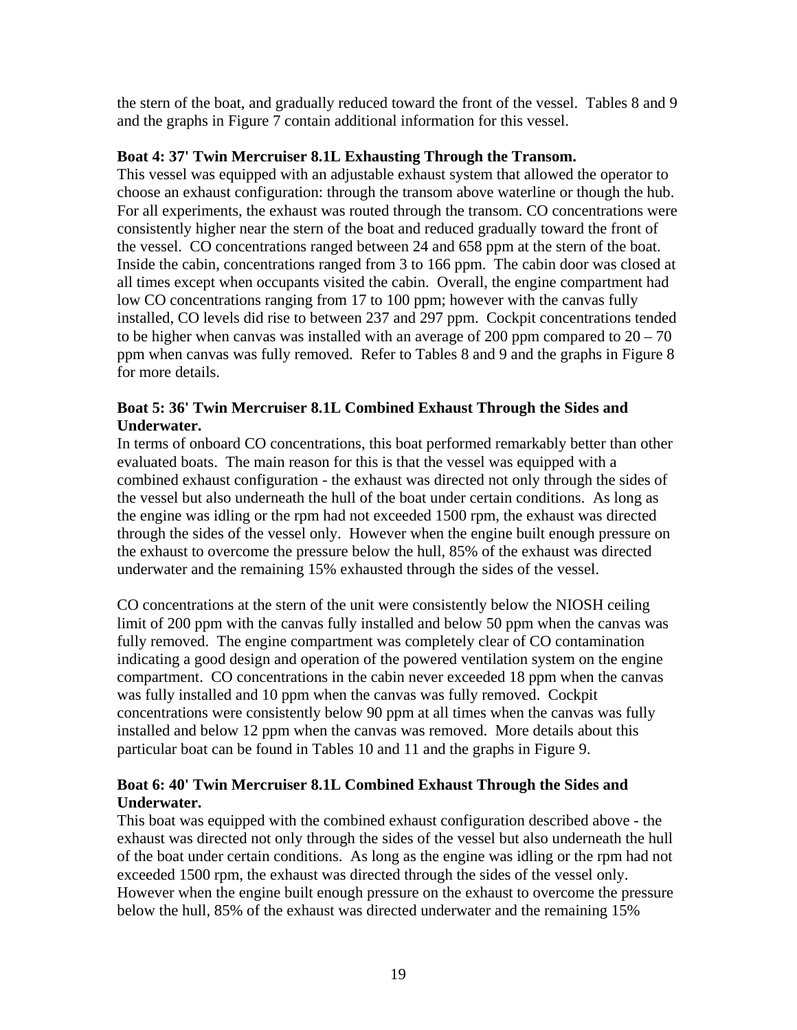the stern of the boat, and gradually reduced toward the front of the vessel. Tables 8 and 9 and the graphs in Figure 7 contain additional information for this vessel.

## **Boat 4: 37' Twin Mercruiser 8.1L Exhausting Through the Transom.**

This vessel was equipped with an adjustable exhaust system that allowed the operator to choose an exhaust configuration: through the transom above waterline or though the hub. For all experiments, the exhaust was routed through the transom. CO concentrations were consistently higher near the stern of the boat and reduced gradually toward the front of the vessel. CO concentrations ranged between 24 and 658 ppm at the stern of the boat. Inside the cabin, concentrations ranged from 3 to 166 ppm. The cabin door was closed at all times except when occupants visited the cabin. Overall, the engine compartment had low CO concentrations ranging from 17 to 100 ppm; however with the canvas fully installed, CO levels did rise to between 237 and 297 ppm. Cockpit concentrations tended to be higher when canvas was installed with an average of 200 ppm compared to  $20 - 70$ ppm when canvas was fully removed. Refer to Tables 8 and 9 and the graphs in Figure 8 for more details.

## **Boat 5: 36' Twin Mercruiser 8.1L Combined Exhaust Through the Sides and Underwater.**

In terms of onboard CO concentrations, this boat performed remarkably better than other evaluated boats. The main reason for this is that the vessel was equipped with a combined exhaust configuration - the exhaust was directed not only through the sides of the vessel but also underneath the hull of the boat under certain conditions. As long as the engine was idling or the rpm had not exceeded 1500 rpm, the exhaust was directed through the sides of the vessel only. However when the engine built enough pressure on the exhaust to overcome the pressure below the hull, 85% of the exhaust was directed underwater and the remaining 15% exhausted through the sides of the vessel.

CO concentrations at the stern of the unit were consistently below the NIOSH ceiling limit of 200 ppm with the canvas fully installed and below 50 ppm when the canvas was fully removed. The engine compartment was completely clear of CO contamination indicating a good design and operation of the powered ventilation system on the engine compartment. CO concentrations in the cabin never exceeded 18 ppm when the canvas was fully installed and 10 ppm when the canvas was fully removed. Cockpit concentrations were consistently below 90 ppm at all times when the canvas was fully installed and below 12 ppm when the canvas was removed. More details about this particular boat can be found in Tables 10 and 11 and the graphs in Figure 9.

# **Boat 6: 40' Twin Mercruiser 8.1L Combined Exhaust Through the Sides and Underwater.**

This boat was equipped with the combined exhaust configuration described above - the exhaust was directed not only through the sides of the vessel but also underneath the hull of the boat under certain conditions. As long as the engine was idling or the rpm had not exceeded 1500 rpm, the exhaust was directed through the sides of the vessel only. However when the engine built enough pressure on the exhaust to overcome the pressure below the hull, 85% of the exhaust was directed underwater and the remaining 15%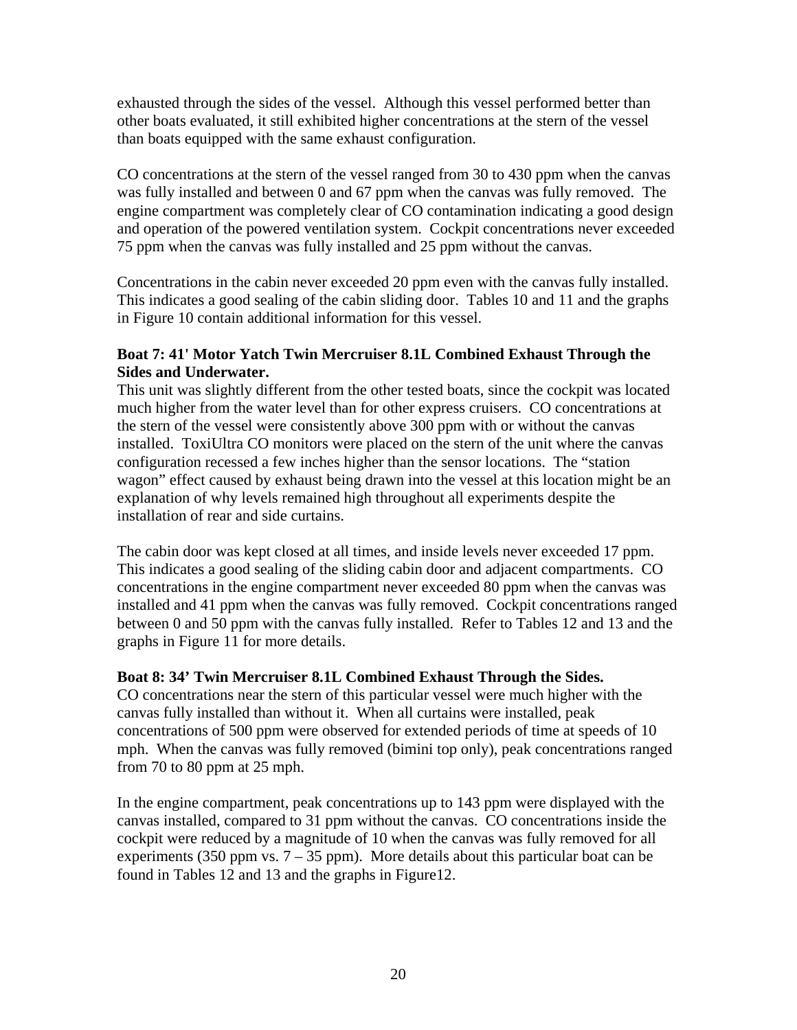exhausted through the sides of the vessel. Although this vessel performed better than other boats evaluated, it still exhibited higher concentrations at the stern of the vessel than boats equipped with the same exhaust configuration.

CO concentrations at the stern of the vessel ranged from 30 to 430 ppm when the canvas was fully installed and between 0 and 67 ppm when the canvas was fully removed. The engine compartment was completely clear of CO contamination indicating a good design and operation of the powered ventilation system. Cockpit concentrations never exceeded 75 ppm when the canvas was fully installed and 25 ppm without the canvas.

Concentrations in the cabin never exceeded 20 ppm even with the canvas fully installed. This indicates a good sealing of the cabin sliding door. Tables 10 and 11 and the graphs in Figure 10 contain additional information for this vessel.

## **Boat 7: 41' Motor Yatch Twin Mercruiser 8.1L Combined Exhaust Through the Sides and Underwater.**

This unit was slightly different from the other tested boats, since the cockpit was located much higher from the water level than for other express cruisers. CO concentrations at the stern of the vessel were consistently above 300 ppm with or without the canvas installed. ToxiUltra CO monitors were placed on the stern of the unit where the canvas configuration recessed a few inches higher than the sensor locations. The "station wagon" effect caused by exhaust being drawn into the vessel at this location might be an explanation of why levels remained high throughout all experiments despite the installation of rear and side curtains.

The cabin door was kept closed at all times, and inside levels never exceeded 17 ppm. This indicates a good sealing of the sliding cabin door and adjacent compartments. CO concentrations in the engine compartment never exceeded 80 ppm when the canvas was installed and 41 ppm when the canvas was fully removed. Cockpit concentrations ranged between 0 and 50 ppm with the canvas fully installed. Refer to Tables 12 and 13 and the graphs in Figure 11 for more details.

# **Boat 8: 34' Twin Mercruiser 8.1L Combined Exhaust Through the Sides.**

CO concentrations near the stern of this particular vessel were much higher with the canvas fully installed than without it. When all curtains were installed, peak concentrations of 500 ppm were observed for extended periods of time at speeds of 10 mph. When the canvas was fully removed (bimini top only), peak concentrations ranged from 70 to 80 ppm at 25 mph.

In the engine compartment, peak concentrations up to 143 ppm were displayed with the canvas installed, compared to 31 ppm without the canvas. CO concentrations inside the cockpit were reduced by a magnitude of 10 when the canvas was fully removed for all experiments (350 ppm vs.  $7 - 35$  ppm). More details about this particular boat can be found in Tables 12 and 13 and the graphs in Figure12.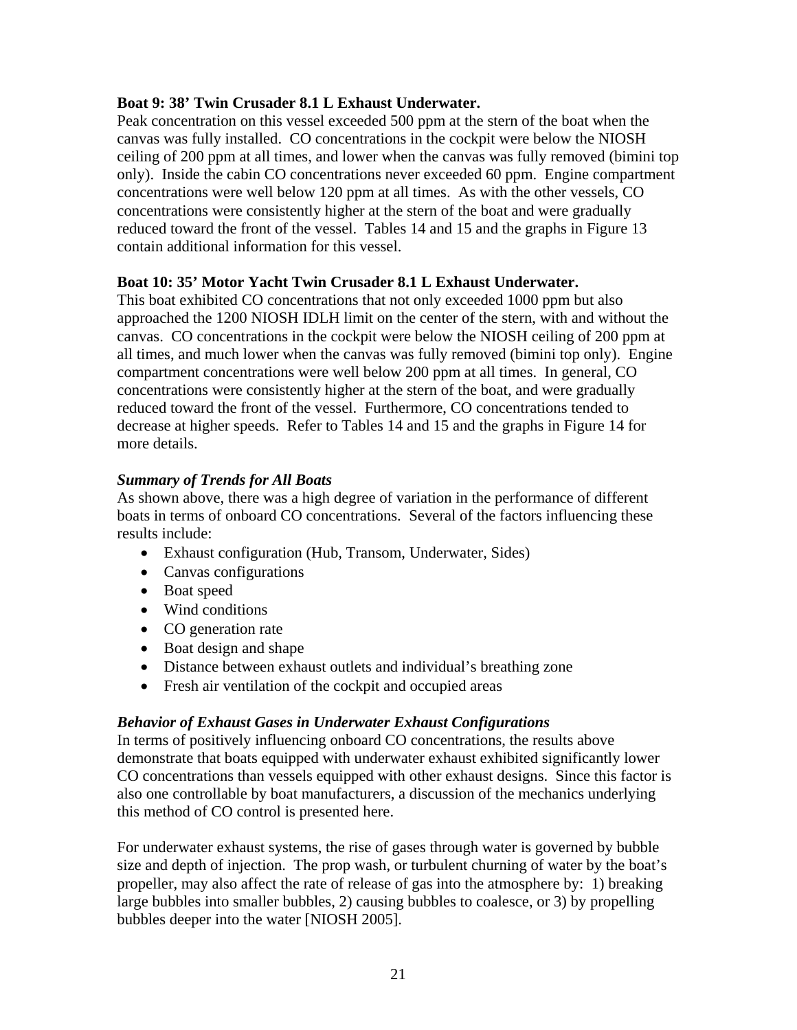### **Boat 9: 38' Twin Crusader 8.1 L Exhaust Underwater.**

Peak concentration on this vessel exceeded 500 ppm at the stern of the boat when the canvas was fully installed. CO concentrations in the cockpit were below the NIOSH ceiling of 200 ppm at all times, and lower when the canvas was fully removed (bimini top only). Inside the cabin CO concentrations never exceeded 60 ppm. Engine compartment concentrations were well below 120 ppm at all times. As with the other vessels, CO concentrations were consistently higher at the stern of the boat and were gradually reduced toward the front of the vessel. Tables 14 and 15 and the graphs in Figure 13 contain additional information for this vessel.

## **Boat 10: 35' Motor Yacht Twin Crusader 8.1 L Exhaust Underwater.**

This boat exhibited CO concentrations that not only exceeded 1000 ppm but also approached the 1200 NIOSH IDLH limit on the center of the stern, with and without the canvas. CO concentrations in the cockpit were below the NIOSH ceiling of 200 ppm at all times, and much lower when the canvas was fully removed (bimini top only). Engine compartment concentrations were well below 200 ppm at all times. In general, CO concentrations were consistently higher at the stern of the boat, and were gradually reduced toward the front of the vessel. Furthermore, CO concentrations tended to decrease at higher speeds. Refer to Tables 14 and 15 and the graphs in Figure 14 for more details.

## *Summary of Trends for All Boats*

As shown above, there was a high degree of variation in the performance of different boats in terms of onboard CO concentrations. Several of the factors influencing these results include:

- Exhaust configuration (Hub, Transom, Underwater, Sides)
- Canvas configurations
- Boat speed
- Wind conditions
- CO generation rate
- Boat design and shape
- Distance between exhaust outlets and individual's breathing zone
- Fresh air ventilation of the cockpit and occupied areas

#### *Behavior of Exhaust Gases in Underwater Exhaust Configurations*

In terms of positively influencing onboard CO concentrations, the results above demonstrate that boats equipped with underwater exhaust exhibited significantly lower CO concentrations than vessels equipped with other exhaust designs. Since this factor is also one controllable by boat manufacturers, a discussion of the mechanics underlying this method of CO control is presented here.

For underwater exhaust systems, the rise of gases through water is governed by bubble size and depth of injection. The prop wash, or turbulent churning of water by the boat's propeller, may also affect the rate of release of gas into the atmosphere by: 1) breaking large bubbles into smaller bubbles, 2) causing bubbles to coalesce, or 3) by propelling bubbles deeper into the water [NIOSH 2005].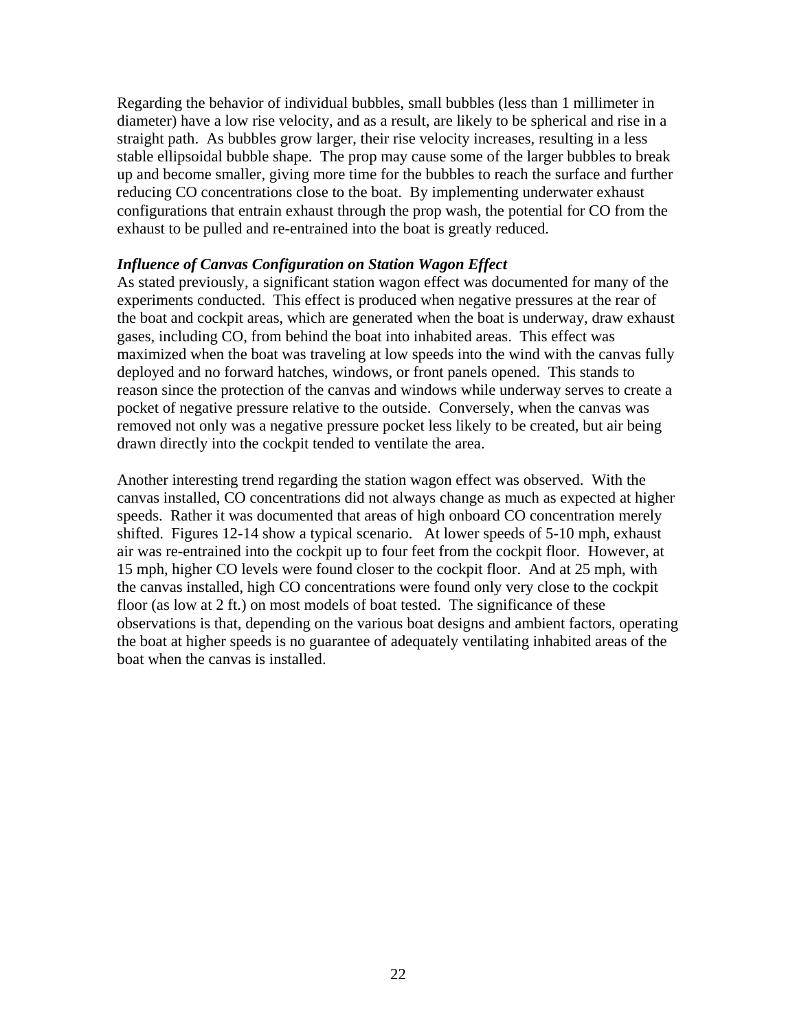Regarding the behavior of individual bubbles, small bubbles (less than 1 millimeter in diameter) have a low rise velocity, and as a result, are likely to be spherical and rise in a straight path. As bubbles grow larger, their rise velocity increases, resulting in a less stable ellipsoidal bubble shape. The prop may cause some of the larger bubbles to break up and become smaller, giving more time for the bubbles to reach the surface and further reducing CO concentrations close to the boat. By implementing underwater exhaust configurations that entrain exhaust through the prop wash, the potential for CO from the exhaust to be pulled and re-entrained into the boat is greatly reduced.

#### *Influence of Canvas Configuration on Station Wagon Effect*

As stated previously, a significant station wagon effect was documented for many of the experiments conducted. This effect is produced when negative pressures at the rear of the boat and cockpit areas, which are generated when the boat is underway, draw exhaust gases, including CO, from behind the boat into inhabited areas. This effect was maximized when the boat was traveling at low speeds into the wind with the canvas fully deployed and no forward hatches, windows, or front panels opened. This stands to reason since the protection of the canvas and windows while underway serves to create a pocket of negative pressure relative to the outside. Conversely, when the canvas was removed not only was a negative pressure pocket less likely to be created, but air being drawn directly into the cockpit tended to ventilate the area.

Another interesting trend regarding the station wagon effect was observed. With the canvas installed, CO concentrations did not always change as much as expected at higher speeds. Rather it was documented that areas of high onboard CO concentration merely shifted. Figures 12-14 show a typical scenario. At lower speeds of 5-10 mph, exhaust air was re-entrained into the cockpit up to four feet from the cockpit floor. However, at 15 mph, higher CO levels were found closer to the cockpit floor. And at 25 mph, with the canvas installed, high CO concentrations were found only very close to the cockpit floor (as low at 2 ft.) on most models of boat tested. The significance of these observations is that, depending on the various boat designs and ambient factors, operating the boat at higher speeds is no guarantee of adequately ventilating inhabited areas of the boat when the canvas is installed.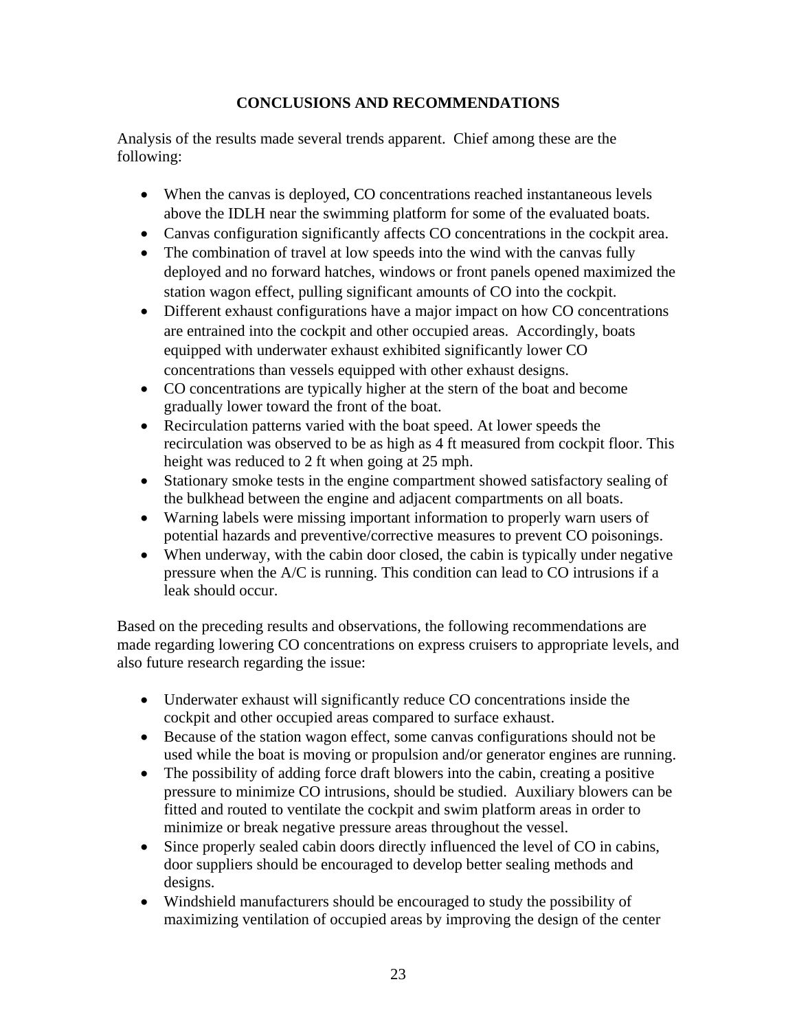# **CONCLUSIONS AND RECOMMENDATIONS**

Analysis of the results made several trends apparent. Chief among these are the following:

- When the canvas is deployed, CO concentrations reached instantaneous levels above the IDLH near the swimming platform for some of the evaluated boats.
- Canvas configuration significantly affects CO concentrations in the cockpit area.
- The combination of travel at low speeds into the wind with the canvas fully deployed and no forward hatches, windows or front panels opened maximized the station wagon effect, pulling significant amounts of CO into the cockpit.
- Different exhaust configurations have a major impact on how CO concentrations are entrained into the cockpit and other occupied areas. Accordingly, boats equipped with underwater exhaust exhibited significantly lower CO concentrations than vessels equipped with other exhaust designs.
- CO concentrations are typically higher at the stern of the boat and become gradually lower toward the front of the boat.
- Recirculation patterns varied with the boat speed. At lower speeds the recirculation was observed to be as high as 4 ft measured from cockpit floor. This height was reduced to 2 ft when going at 25 mph.
- Stationary smoke tests in the engine compartment showed satisfactory sealing of the bulkhead between the engine and adjacent compartments on all boats.
- Warning labels were missing important information to properly warn users of potential hazards and preventive/corrective measures to prevent CO poisonings.
- When underway, with the cabin door closed, the cabin is typically under negative pressure when the A/C is running. This condition can lead to CO intrusions if a leak should occur.

Based on the preceding results and observations, the following recommendations are made regarding lowering CO concentrations on express cruisers to appropriate levels, and also future research regarding the issue:

- Underwater exhaust will significantly reduce CO concentrations inside the cockpit and other occupied areas compared to surface exhaust.
- Because of the station wagon effect, some canvas configurations should not be used while the boat is moving or propulsion and/or generator engines are running.
- The possibility of adding force draft blowers into the cabin, creating a positive pressure to minimize CO intrusions, should be studied. Auxiliary blowers can be fitted and routed to ventilate the cockpit and swim platform areas in order to minimize or break negative pressure areas throughout the vessel.
- Since properly sealed cabin doors directly influenced the level of CO in cabins, door suppliers should be encouraged to develop better sealing methods and designs.
- Windshield manufacturers should be encouraged to study the possibility of maximizing ventilation of occupied areas by improving the design of the center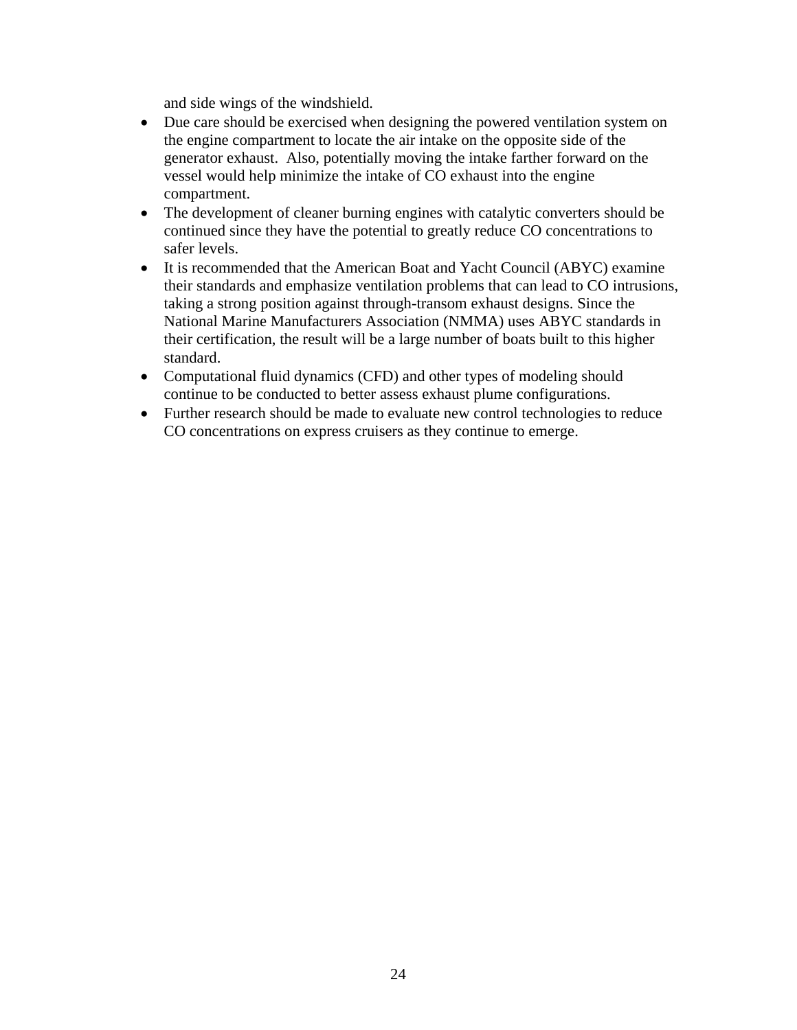and side wings of the windshield.

- Due care should be exercised when designing the powered ventilation system on the engine compartment to locate the air intake on the opposite side of the generator exhaust. Also, potentially moving the intake farther forward on the vessel would help minimize the intake of CO exhaust into the engine compartment.
- The development of cleaner burning engines with catalytic converters should be continued since they have the potential to greatly reduce CO concentrations to safer levels.
- It is recommended that the American Boat and Yacht Council (ABYC) examine their standards and emphasize ventilation problems that can lead to CO intrusions, taking a strong position against through-transom exhaust designs. Since the National Marine Manufacturers Association (NMMA) uses ABYC standards in their certification, the result will be a large number of boats built to this higher standard.
- Computational fluid dynamics (CFD) and other types of modeling should continue to be conducted to better assess exhaust plume configurations.
- Further research should be made to evaluate new control technologies to reduce CO concentrations on express cruisers as they continue to emerge.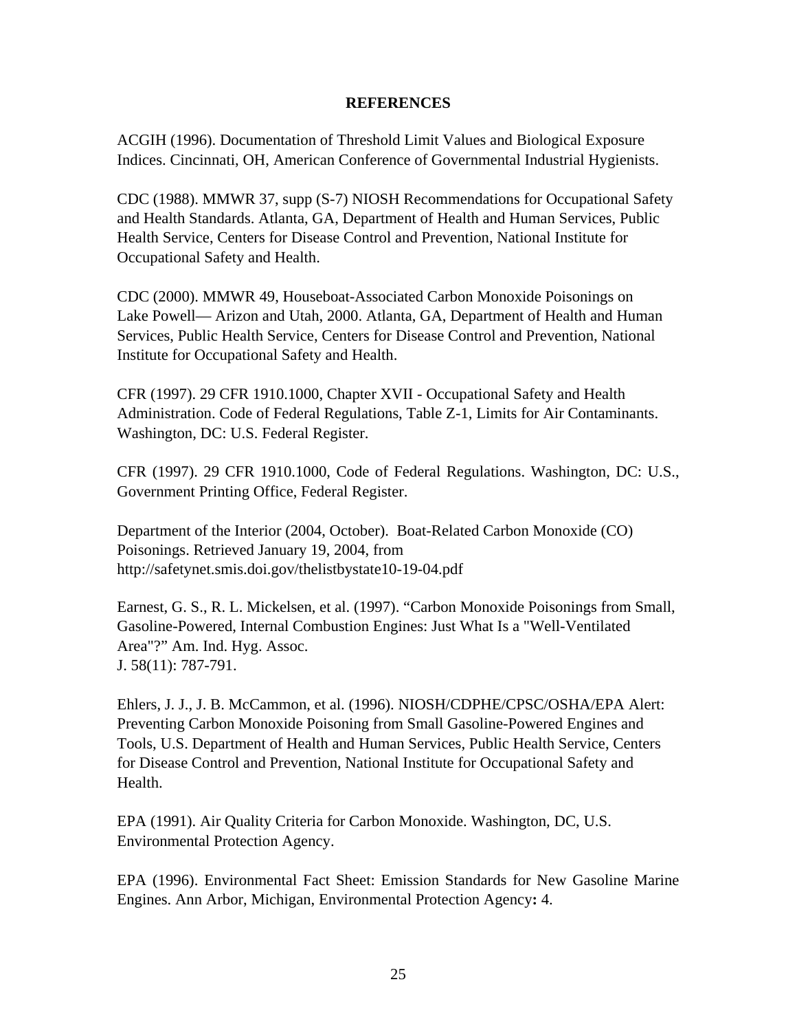#### **REFERENCES**

ACGIH (1996). Documentation of Threshold Limit Values and Biological Exposure Indices. Cincinnati, OH, American Conference of Governmental Industrial Hygienists.

CDC (1988). MMWR 37, supp (S-7) NIOSH Recommendations for Occupational Safety and Health Standards. Atlanta, GA, Department of Health and Human Services, Public Health Service, Centers for Disease Control and Prevention, National Institute for Occupational Safety and Health.

CDC (2000). MMWR 49, Houseboat-Associated Carbon Monoxide Poisonings on Lake Powell— Arizon and Utah, 2000. Atlanta, GA, Department of Health and Human Services, Public Health Service, Centers for Disease Control and Prevention, National Institute for Occupational Safety and Health.

CFR (1997). 29 CFR 1910.1000, Chapter XVII - Occupational Safety and Health Administration. Code of Federal Regulations, Table Z-1, Limits for Air Contaminants. Washington, DC: U.S. Federal Register.

CFR (1997). 29 CFR 1910.1000, Code of Federal Regulations. Washington, DC: U.S., Government Printing Office, Federal Register.

Department of the Interior (2004, October). Boat-Related Carbon Monoxide (CO) Poisonings. Retrieved January 19, 2004, from http://safetynet.smis.doi.gov/thelistbystate10-19-04.pdf

Earnest, G. S., R. L. Mickelsen, et al. (1997). "Carbon Monoxide Poisonings from Small, Gasoline-Powered, Internal Combustion Engines: Just What Is a "Well-Ventilated Area"?" Am. Ind. Hyg. Assoc. J. 58(11): 787-791.

Ehlers, J. J., J. B. McCammon, et al. (1996). NIOSH/CDPHE/CPSC/OSHA/EPA Alert: Preventing Carbon Monoxide Poisoning from Small Gasoline-Powered Engines and Tools, U.S. Department of Health and Human Services, Public Health Service, Centers for Disease Control and Prevention, National Institute for Occupational Safety and Health.

EPA (1991). Air Quality Criteria for Carbon Monoxide. Washington, DC, U.S. Environmental Protection Agency.

EPA (1996). Environmental Fact Sheet: Emission Standards for New Gasoline Marine Engines. Ann Arbor, Michigan, Environmental Protection Agency**:** 4.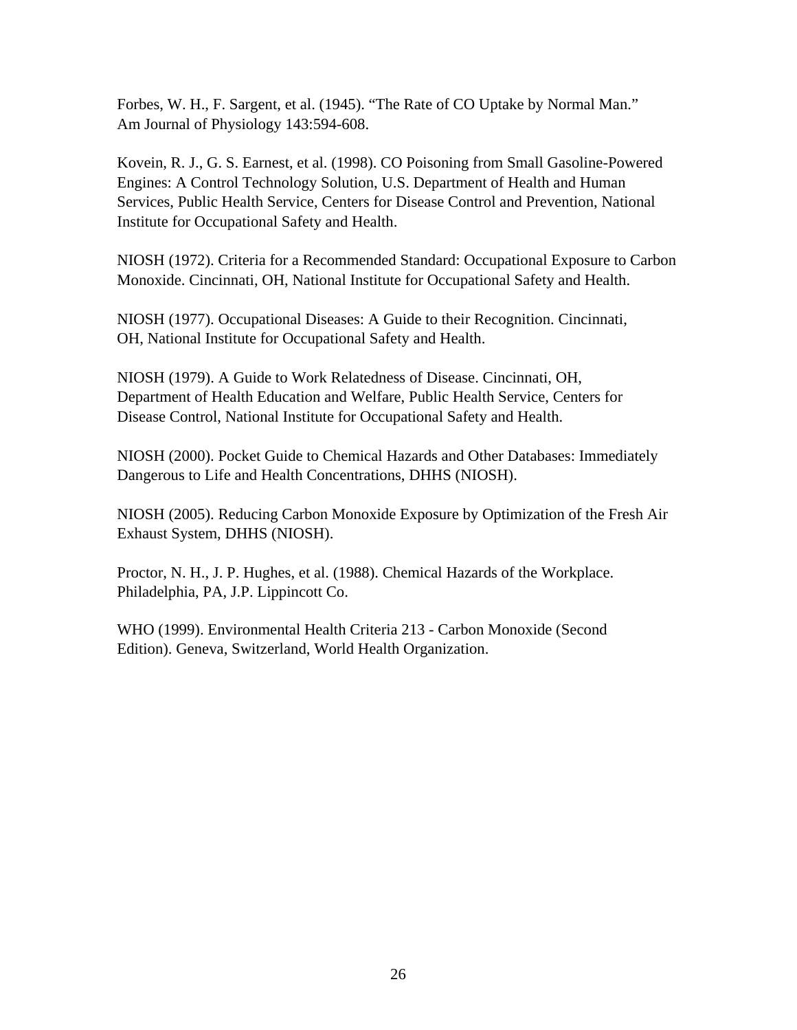Forbes, W. H., F. Sargent, et al. (1945). "The Rate of CO Uptake by Normal Man." Am Journal of Physiology 143:594-608.

Kovein, R. J., G. S. Earnest, et al. (1998). CO Poisoning from Small Gasoline-Powered Engines: A Control Technology Solution, U.S. Department of Health and Human Services, Public Health Service, Centers for Disease Control and Prevention, National Institute for Occupational Safety and Health.

NIOSH (1972). Criteria for a Recommended Standard: Occupational Exposure to Carbon Monoxide. Cincinnati, OH, National Institute for Occupational Safety and Health.

NIOSH (1977). Occupational Diseases: A Guide to their Recognition. Cincinnati, OH, National Institute for Occupational Safety and Health.

NIOSH (1979). A Guide to Work Relatedness of Disease. Cincinnati, OH, Department of Health Education and Welfare, Public Health Service, Centers for Disease Control, National Institute for Occupational Safety and Health.

NIOSH (2000). Pocket Guide to Chemical Hazards and Other Databases: Immediately Dangerous to Life and Health Concentrations, DHHS (NIOSH).

NIOSH (2005). Reducing Carbon Monoxide Exposure by Optimization of the Fresh Air Exhaust System, DHHS (NIOSH).

Proctor, N. H., J. P. Hughes, et al. (1988). Chemical Hazards of the Workplace. Philadelphia, PA, J.P. Lippincott Co.

WHO (1999). Environmental Health Criteria 213 - Carbon Monoxide (Second Edition). Geneva, Switzerland, World Health Organization.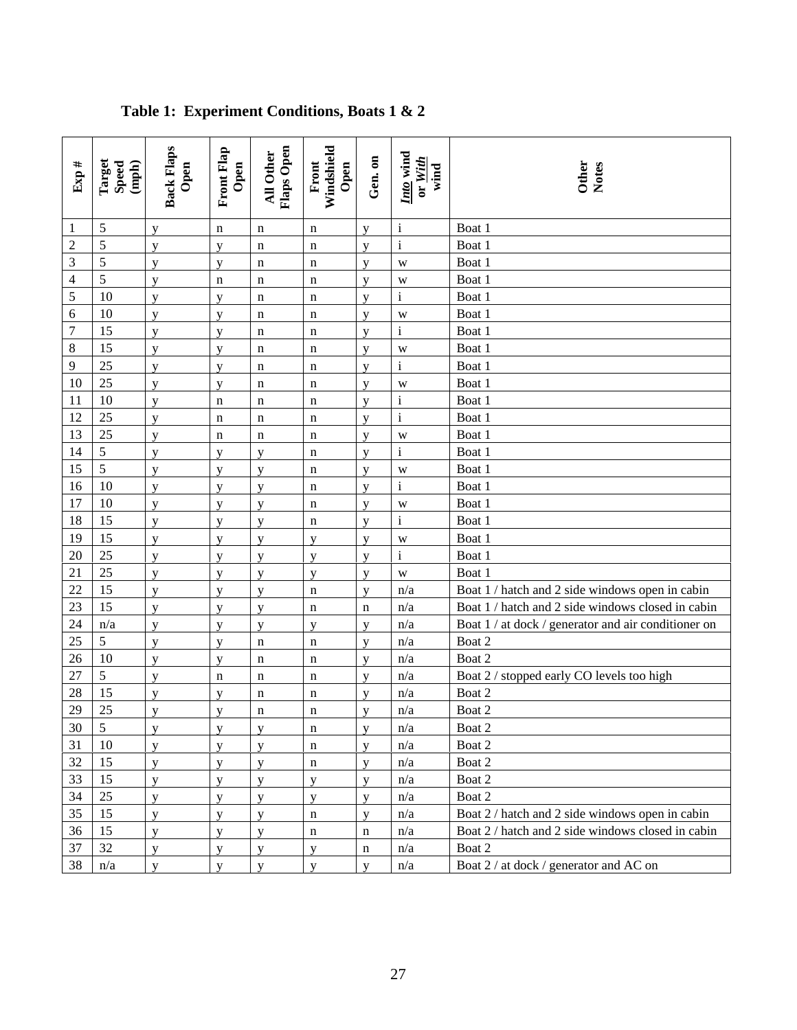| Exp#                                                         | Target<br>Speed<br>(mph) | <b>Back Flaps</b><br>Open | Front Flap<br>Open | Flaps Open<br>All Other | Windshield<br>Front<br>Open | Gen. on      | Into wind<br>or With<br>wind | Other<br>Notes                                      |
|--------------------------------------------------------------|--------------------------|---------------------------|--------------------|-------------------------|-----------------------------|--------------|------------------------------|-----------------------------------------------------|
| 1                                                            | 5                        | y                         | n                  | $\mathbf n$             | n                           | y            | $\rm i$                      | Boat 1                                              |
| $\mathfrak{2}% =\mathfrak{2}\left( \mathfrak{2}\right) ^{2}$ | 5                        | y                         | y                  | $\mathbf n$             | n                           | y            | $\rm i$                      | Boat 1                                              |
| 3                                                            | 5                        | $\overline{V}$            | $\mathbf{V}$       | $\mathbf n$             | n                           | $\mathbf{V}$ | W                            | Boat 1                                              |
| 4                                                            | 5                        | y                         | $\mathbf n$        | $\mathbf n$             | n                           | y            | W                            | Boat 1                                              |
| 5                                                            | 10                       | V                         | $\mathbf{V}$       | $\mathbf n$             | n                           | $\mathbf{V}$ | $\rm i$                      | Boat 1                                              |
| 6                                                            | 10                       | y                         | y                  | $\mathbf n$             | n                           | y            | W                            | Boat 1                                              |
| 7                                                            | 15                       | y                         | y                  | $\mathbf n$             | n                           | y            | $\rm i$                      | Boat 1                                              |
| 8                                                            | 15                       | y                         | y                  | $\mathbf n$             | n                           | y            | W                            | Boat 1                                              |
| 9                                                            | 25                       | y                         | $\mathbf{V}$       | $\mathbf n$             | n                           | y            | $\mathbf{i}$                 | Boat 1                                              |
| 10                                                           | 25                       | y                         | y                  | $\mathbf n$             | n                           | y            | W                            | Boat 1                                              |
| 11                                                           | 10                       | y                         | $\mathbf n$        | $\mathbf n$             | n                           | y            | $\rm i$                      | Boat 1                                              |
| 12                                                           | 25                       | y                         | n                  | $\mathbf n$             | n                           | y            | $\mathbf{i}$                 | Boat 1                                              |
| 13                                                           | 25                       | y                         | $\mathbf n$        | $\mathbf n$             | $\mathbf n$                 | y            | W                            | Boat 1                                              |
| 14                                                           | 5                        | y                         | y                  | y                       | n                           | y            | $\mathbf{i}$                 | Boat 1                                              |
| 15                                                           | 5                        | $\overline{V}$            | $\mathbf{V}$       | y                       | n                           | y            | W                            | Boat 1                                              |
| 16                                                           | 10                       | y                         | y                  | y                       | $\mathbf n$                 | y            | $\rm i$                      | Boat 1                                              |
| 17                                                           | 10                       | $\overline{V}$            | $\mathbf{V}$       | y                       | n                           | V            | W                            | Boat 1                                              |
| 18                                                           | 15                       | y                         | y                  | y                       | $\mathbf n$                 | y            | $\mathbf{i}$                 | Boat 1                                              |
| 19                                                           | 15                       | y                         | y                  | y                       | y                           | y            | W                            | Boat 1                                              |
| 20                                                           | 25                       | y                         | y                  | y                       | y                           | y            | $\mathbf i$                  | Boat 1                                              |
| 21                                                           | 25                       | y                         | y                  | y                       | y                           | y            | W                            | Boat 1                                              |
| 22                                                           | 15                       | y                         | y                  | y                       | n                           | y            | n/a                          | Boat 1 / hatch and 2 side windows open in cabin     |
| 23                                                           | 15                       | y                         | y                  | y                       | $\mathbf n$                 | $\mathbf n$  | n/a                          | Boat 1 / hatch and 2 side windows closed in cabin   |
| 24                                                           | n/a                      | y                         | y                  | У                       | y                           | y            | n/a                          | Boat 1 / at dock / generator and air conditioner on |
| 25                                                           | 5                        | y                         | y                  | $\mathbf n$             | $\mathbf n$                 | y            | n/a                          | Boat 2                                              |
| 26                                                           | 10                       | y                         | y                  | $\mathbf n$             | n                           | y            | n/a                          | Boat 2                                              |
| 27                                                           | 5                        | y                         | $\mathbf n$        | $\mathbf n$             | n                           | $\mathbf{V}$ | n/a                          | Boat 2 / stopped early CO levels too high           |
| 28                                                           | 15                       | y                         | y                  | n                       | n                           | y            | n/a                          | Boat 2                                              |
| 29                                                           | 25                       | y                         | y                  | $\mathbf n$             | n                           | y            | n/a                          | Boat 2                                              |
| 30                                                           | 5                        | y                         | y                  | y                       | $\mathbf n$                 | y            | n/a                          | Boat 2                                              |
| 31                                                           | 10                       | y                         | y                  | y                       | n                           | y            | n/a                          | Boat 2                                              |
| 32                                                           | 15                       | y                         | y                  | $\mathbf y$             | n                           | y            | n/a                          | Boat 2                                              |
| 33                                                           | 15                       | y                         | $\mathbf{V}$       | y                       | y                           | $\mathbf{v}$ | n/a                          | Boat 2                                              |
| 34                                                           | 25                       | y                         | y                  | y                       | y                           | y            | n/a                          | Boat 2                                              |
| 35                                                           | 15                       | y                         | y                  | y                       | $\mathbf n$                 | y            | n/a                          | Boat 2 / hatch and 2 side windows open in cabin     |
| 36                                                           | 15                       | y                         | y                  | y                       | n                           | $\mathbf n$  | n/a                          | Boat 2 / hatch and 2 side windows closed in cabin   |
| 37                                                           | 32                       | y                         | y                  | y                       | y                           | $\mathbf n$  | n/a                          | Boat 2                                              |
| 38                                                           | n/a                      | V                         | $\mathbf{V}$       | y                       | y                           | $\mathbf{V}$ | n/a                          | Boat 2 / at dock / generator and AC on              |

# **Table 1: Experiment Conditions, Boats 1 & 2**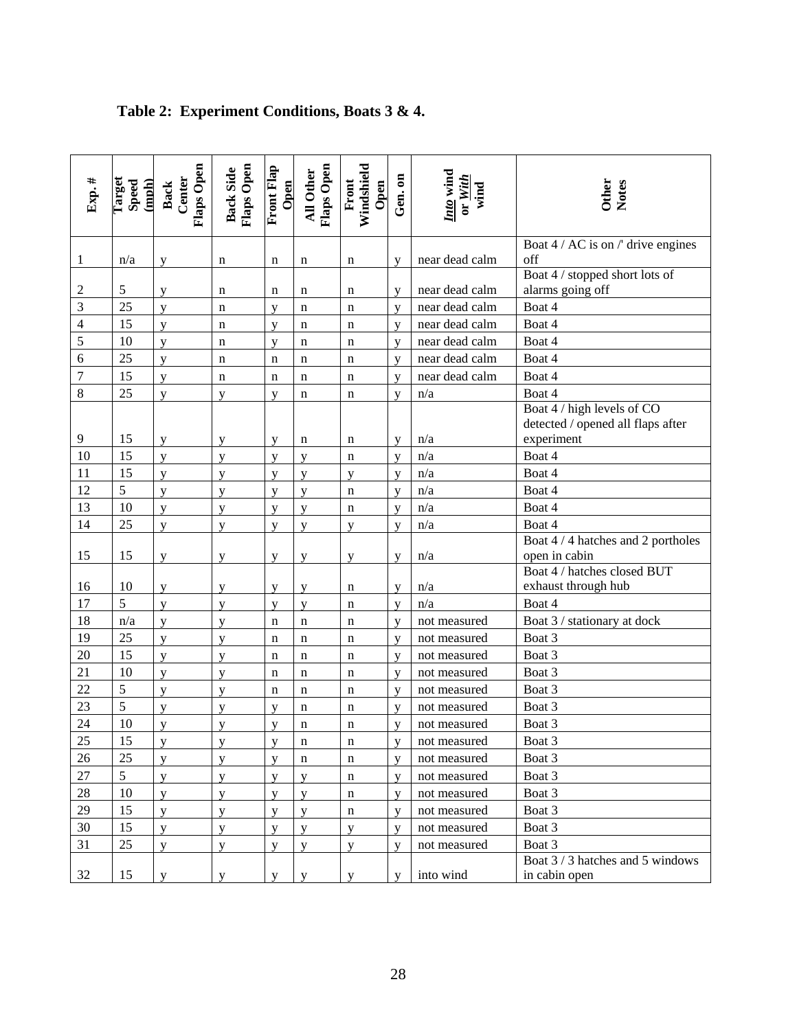| Exp.#            | Target<br>Speed<br>(mph) | Flaps Open<br>Back<br>Center | Flaps Open<br><b>Back Side</b> | <b>Front Flap</b><br>Open | Flaps Open<br>All Other | Windshield<br>Open<br>Front | Gen.on | $\frac{Into}{I}$ wind<br>or With<br>wind | Other<br>Notes                                                                |
|------------------|--------------------------|------------------------------|--------------------------------|---------------------------|-------------------------|-----------------------------|--------|------------------------------------------|-------------------------------------------------------------------------------|
|                  | n/a                      |                              |                                |                           |                         |                             |        | near dead calm                           | Boat 4 / AC is on /' drive engines<br>off                                     |
| $\mathbf{1}$     |                          | у                            | n                              | n                         | n                       | n                           | y      |                                          | Boat 4 / stopped short lots of                                                |
| $\overline{c}$   | 5                        | y                            | n                              | n                         | n                       | n                           | y      | near dead calm                           | alarms going off                                                              |
| $\overline{3}$   | 25                       | y                            | $\mathbf n$                    | V                         | $\mathbf n$             | n                           | y      | near dead calm                           | Boat 4                                                                        |
| $\overline{4}$   | 15                       | $\mathbf{V}$                 | n                              | $\overline{V}$            | $\mathbf n$             | n                           | V      | near dead calm                           | Boat 4                                                                        |
| 5                | 10                       | y                            | $\mathbf n$                    | y                         | n                       | n                           | y      | near dead calm                           | Boat 4                                                                        |
| 6                | 25                       | y                            | $\mathbf n$                    | $\mathbf n$               | $\mathbf n$             | n                           | y      | near dead calm                           | Boat 4                                                                        |
| $\boldsymbol{7}$ | 15                       | y                            | n                              | $\mathbf n$               | $\mathbf n$             | $\mathbf n$                 | y      | near dead calm                           | Boat 4                                                                        |
| 8                | 25                       | y                            | y                              | $\mathbf{V}$              | $\mathbf n$             | n                           | y      | n/a                                      | Boat 4                                                                        |
| 9                | 15                       | y                            | y                              | y                         | n                       | n                           | y      | n/a                                      | Boat 4 / high levels of CO<br>detected / opened all flaps after<br>experiment |
| 10               | 15                       | y                            | y                              | y                         | y                       | $\mathbf n$                 | y      | n/a                                      | Boat 4                                                                        |
| 11               | 15                       | y                            | V                              | V                         | y                       | V                           | y      | $\mathrm{n}/\mathrm{a}$                  | Boat 4                                                                        |
| 12               | 5                        | y                            | y                              | y                         | y                       | n                           | y      | n/a                                      | Boat 4                                                                        |
| 13               | 10                       | y                            | y                              | y                         | y                       | n                           | V      | n/a                                      | Boat 4                                                                        |
| 14               | 25                       | y                            | y                              | y                         | y                       | y                           | V      | n/a                                      | Boat 4                                                                        |
|                  |                          |                              |                                |                           |                         |                             |        |                                          | Boat 4 / 4 hatches and 2 portholes                                            |
| 15               | 15                       | у                            | y                              | y                         | y                       | y                           | y      | n/a                                      | open in cabin                                                                 |
|                  |                          |                              |                                |                           |                         |                             |        |                                          | Boat 4 / hatches closed BUT                                                   |
| 16               | 10                       | y                            | у                              | y                         | y                       | n                           | y      | n/a                                      | exhaust through hub                                                           |
| 17               | 5                        | y                            | V                              | y                         | y                       | n                           | V      | n/a                                      | Boat 4                                                                        |
| 18               | n/a                      | y                            | y                              | $\mathbf n$               | $\mathbf n$             | n                           | y      | not measured                             | Boat 3 / stationary at dock                                                   |
| 19               | 25                       | y                            | V                              | n                         | $\mathbf n$             | n                           | y      | not measured                             | Boat 3                                                                        |
| 20               | 15                       | y                            | y                              | $\mathbf n$               | $\mathbf n$             | $\mathbf n$                 | y      | not measured                             | Boat 3                                                                        |
| 21               | 10                       | y                            | V                              | n                         | n                       | n                           | y      | not measured                             | Boat 3                                                                        |
| 22               | 5                        | y                            | y                              | $\mathbf n$               | $\mathbf n$             | n                           | y      | not measured                             | Boat 3                                                                        |
| 23               | 5                        | V                            | V                              | V                         | n                       | n                           | V      | not measured                             | Boat 3                                                                        |
| 24               | 10                       | y                            | V                              | y                         | n                       | n                           | V      | not measured                             | Boat 3                                                                        |
| 25               | 15                       | y                            | y                              | y                         | n                       | n                           | y      | not measured                             | Boat 3                                                                        |
| 26               | 25                       | y                            | V                              | V                         | $\mathbf n$             | n                           | y      | not measured                             | Boat 3                                                                        |
| 27               | 5                        | y                            | y                              | y                         | y                       | $\mathbf n$                 | y      | not measured                             | Boat 3                                                                        |
| $28\,$           | 10                       | y                            | y                              | y                         | y                       | $\mathbf n$                 | y      | not measured                             | Boat 3                                                                        |
| 29               | 15                       | y                            | y                              | y                         | y                       | n                           | y      | not measured                             | Boat 3                                                                        |
| 30               | 15                       | y                            | y                              | y                         | y                       | y                           | y      | not measured                             | Boat 3                                                                        |
| 31               | 25                       | y                            | y                              | y                         | y                       | y                           | V      | not measured                             | Boat 3                                                                        |
| 32               | 15                       | y                            | y                              | y                         | y                       | y                           | V      | into wind                                | Boat 3/3 hatches and 5 windows<br>in cabin open                               |

# **Table 2: Experiment Conditions, Boats 3 & 4.**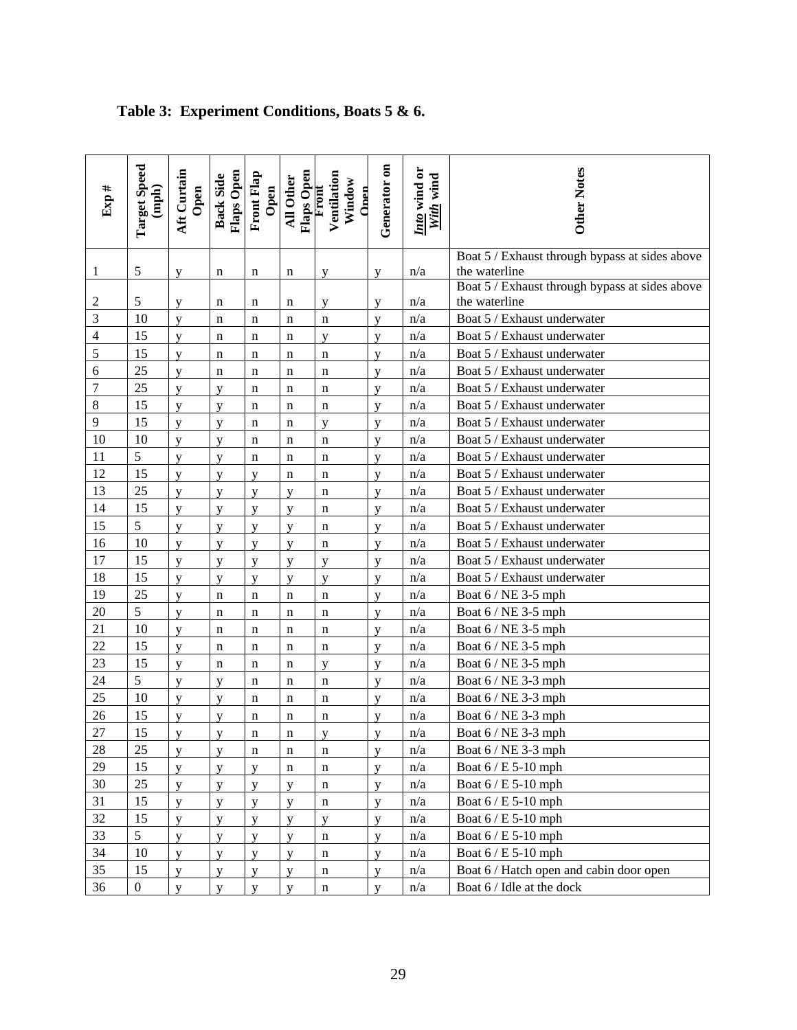| Exp #            | <b>Target Speed</b><br>$({\bf nph})$ | Aft Curtain<br>Open | Flaps Open<br><b>Back Side</b> | <b>Front Flap</b><br>Open | Flaps Open<br>All Other | Ventilation<br>Window<br>Front<br>Onen | Generator on   | Into wind or<br>With wind | Other Notes                                                     |
|------------------|--------------------------------------|---------------------|--------------------------------|---------------------------|-------------------------|----------------------------------------|----------------|---------------------------|-----------------------------------------------------------------|
| 1                | 5                                    | y                   | n                              | n                         | n                       | y                                      | y              | n/a                       | Boat 5 / Exhaust through bypass at sides above<br>the waterline |
|                  |                                      |                     |                                |                           |                         |                                        |                |                           | Boat 5 / Exhaust through bypass at sides above                  |
| $\overline{c}$   | $\sqrt{5}$                           | y                   | n                              | n                         | n                       | y                                      | y              | n/a                       | the waterline                                                   |
| 3                | 10                                   | y                   | n                              | n                         | n                       | $\mathbf n$                            | y              | n/a                       | Boat 5 / Exhaust underwater                                     |
| $\overline{4}$   | 15                                   | y                   | n                              | n                         | n                       | y                                      | y              | n/a                       | Boat 5 / Exhaust underwater                                     |
| 5                | 15                                   | y                   | n                              | n                         | n                       | n                                      | V              | n/a                       | Boat 5 / Exhaust underwater                                     |
| 6                | 25                                   | y                   | n                              | n                         | n                       | $\mathbf n$                            | y              | n/a                       | Boat 5 / Exhaust underwater                                     |
| $\boldsymbol{7}$ | 25                                   | y                   | V                              | n                         | n                       | $\mathbf n$                            | $\mathbf{V}$   | n/a                       | Boat 5 / Exhaust underwater                                     |
| $\,8\,$          | 15                                   | y                   | y                              | n                         | n                       | $\mathbf n$                            | y              | n/a                       | Boat 5 / Exhaust underwater                                     |
| 9                | 15                                   | y                   | y                              | n                         | n                       | y                                      | y              | n/a                       | Boat 5 / Exhaust underwater                                     |
| 10               | 10                                   | y                   | y                              | $\mathbf n$               | $\mathbf n$             | $\mathbf n$                            | y              | n/a                       | Boat 5 / Exhaust underwater                                     |
| 11               | 5                                    | y                   | y                              | n                         | n                       | $\mathbf n$                            | y              | n/a                       | Boat 5 / Exhaust underwater                                     |
| 12               | 15                                   | y                   | y                              | y                         | n                       | $\mathbf n$                            | V              | n/a                       | Boat 5 / Exhaust underwater                                     |
| 13               | 25                                   | y                   | y                              | y                         | y                       | $\mathbf n$                            | y              | n/a                       | Boat 5 / Exhaust underwater                                     |
| 14               | 15                                   | y                   | y                              | y                         | y                       | $\mathbf n$                            | y              | n/a                       | Boat 5 / Exhaust underwater                                     |
| 15               | $\sqrt{5}$                           | y                   | y                              | y                         | y                       | n                                      | y              | n/a                       | Boat 5 / Exhaust underwater                                     |
| 16               | 10                                   | y                   | y                              | y                         | y                       | $\mathbf n$                            | y              | n/a                       | Boat 5 / Exhaust underwater                                     |
| 17               | 15                                   | y                   | y                              | y                         | y                       | y                                      | y              | n/a                       | Boat 5 / Exhaust underwater                                     |
| 18               | 15                                   | y                   | y                              | y                         | y                       | y                                      | y              | n/a                       | Boat 5 / Exhaust underwater                                     |
| 19               | 25                                   | y                   | n                              | n                         | $\mathbf n$             | $\mathbf n$                            | y              | n/a                       | Boat 6 / NE 3-5 mph                                             |
| 20               | $\sqrt{5}$                           | y                   | n                              | n                         | n                       | $\mathbf n$                            | y              | n/a                       | Boat 6 / NE 3-5 mph                                             |
| 21               | 10                                   | y                   | n                              | n                         | n                       | $\mathbf n$                            | y              | n/a                       | Boat 6 / NE 3-5 mph                                             |
| 22               | 15                                   | y                   | n                              | n                         | $\mathbf n$             | n                                      | y              | n/a                       | Boat 6 / NE 3-5 mph                                             |
| 23               | 15                                   | y                   | n                              | n                         | n                       | y                                      | y              | n/a                       | Boat 6 / NE 3-5 mph                                             |
| 24               | 5                                    | y                   | y                              | n                         | n                       | $\mathbf n$                            | y              | n/a                       | Boat 6 / NE 3-3 mph                                             |
| 25               | 10                                   | y                   | y                              | $\mathbf n$               | n                       | $\mathbf n$                            | y              | n/a                       | Boat 6 / NE 3-3 mph                                             |
| 26               | 15                                   | y                   | y                              | n                         | n                       | n                                      | $\overline{V}$ | n/a                       | Boat 6 / NE 3-3 mph                                             |
| 27               | 15                                   | y                   | y                              | n                         | n                       | y                                      | y              | n/a                       | Boat 6 / NE 3-3 mph                                             |
| 28               | 25                                   | y                   | y                              | n                         | n                       | $\mathbf n$                            | y              | n/a                       | Boat 6 / NE 3-3 mph                                             |
| 29               | 15                                   | y                   | y                              | y                         | $\mathbf n$             | $\mathbf n$                            | $\mathbf{y}$   | n/a                       | Boat 6 / E 5-10 mph                                             |
| 30               | 25                                   | y                   | y                              | y                         | y                       | $\mathbf n$                            | y              | n/a                       | Boat 6 / E 5-10 mph                                             |
| 31               | 15                                   | y                   | y                              | y                         | y                       | $\mathbf n$                            | y              | n/a                       | Boat 6 / E 5-10 mph                                             |
| $32\,$           | 15                                   | y                   | y                              | y                         | y                       | y                                      | y              | n/a                       | Boat 6 / E 5-10 mph                                             |
| 33               | $\sqrt{5}$                           | y                   | y                              | y                         | y                       | $\mathbf n$                            | y              | n/a                       | Boat 6 / E 5-10 mph                                             |
| 34               | 10                                   | y                   | y                              | y                         | y                       | $\mathbf n$                            | y              | n/a                       | Boat 6 / E 5-10 mph                                             |
| 35               | 15                                   | y                   | y                              | y                         | y                       | $\mathbf n$                            | y              | n/a                       | Boat 6 / Hatch open and cabin door open                         |
| 36               | $\boldsymbol{0}$                     | y                   | y                              | y                         | y                       | $\mathbf n$                            | y              | n/a                       | Boat 6 / Idle at the dock                                       |

# **Table 3: Experiment Conditions, Boats 5 & 6.**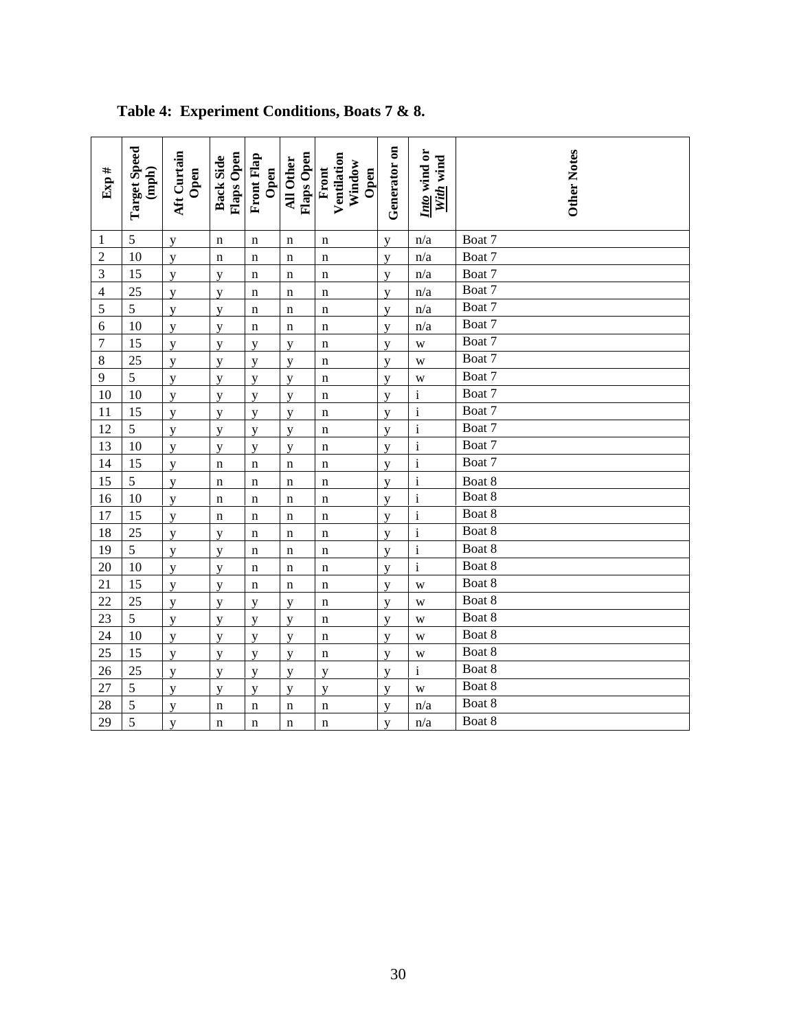| Exp#           | <b>Target Speed</b><br>$(\text{mph})$ | Aft Curtain<br>Open | Flaps Open<br><b>Back Side</b> | Front Flap<br>Open | Flaps Open<br><b>All Other</b> | Ventilation<br>Window<br>Front<br>Open | Generator on   | Into wind or<br>With wind | <b>Other Notes</b> |
|----------------|---------------------------------------|---------------------|--------------------------------|--------------------|--------------------------------|----------------------------------------|----------------|---------------------------|--------------------|
| $\mathbf{1}$   | 5                                     | y                   | n                              | $\mathbf n$        | n                              | $\mathbf n$                            | y              | n/a                       | Boat 7             |
| $\overline{c}$ | 10                                    | y                   | $\mathbf n$                    | $\mathbf n$        | $\mathbf n$                    | $\mathbf n$                            | y              | n/a                       | Boat 7             |
| $\overline{3}$ | 15                                    | y                   | y                              | $\mathbf n$        | $\mathbf n$                    | n                                      | y              | n/a                       | Boat 7             |
| $\overline{4}$ | 25                                    | y                   | y                              | $\mathbf n$        | $\mathbf n$                    | $\mathbf n$                            | y              | n/a                       | Boat 7             |
| 5              | 5                                     | $\mathbf{y}$        | y                              | $\mathbf n$        | $\mathbf n$                    | $\mathbf n$                            | y              | n/a                       | Boat 7             |
| 6              | 10                                    | y                   | y                              | $\mathbf n$        | $\mathbf n$                    | $\mathbf n$                            | y              | n/a                       | Boat 7             |
| $\overline{7}$ | 15                                    | y                   | y                              | y                  | y                              | n                                      | y              | W                         | Boat 7             |
| $\,8\,$        | 25                                    | y                   | y                              | y                  | y                              | $\mathbf n$                            | y              | W                         | Boat 7             |
| 9              | 5                                     | y                   | y                              | y                  | y                              | $\mathbf n$                            | y              | W                         | Boat 7             |
| 10             | 10                                    | y                   | y                              | y                  | y                              | $\mathbf n$                            | y              | $\mathbf{i}$              | Boat 7             |
| 11             | 15                                    | y                   | y                              | y                  | y                              | $\mathbf n$                            | y              | $\mathbf{i}$              | Boat 7             |
| 12             | 5                                     | y                   | y                              | y                  | y                              | $\mathbf n$                            | y              | $\mathbf{i}$              | Boat 7             |
| 13             | 10                                    | y                   | y                              | y                  | y                              | $\mathbf n$                            | y              | $\mathbf{i}$              | Boat 7             |
| 14             | 15                                    | y                   | $\mathbf n$                    | $\mathbf n$        | $\mathbf n$                    | $\mathbf n$                            | y              | $\mathbf{i}$              | Boat 7             |
| 15             | 5                                     | y                   | $\mathbf n$                    | $\mathbf n$        | $\mathbf n$                    | $\mathbf n$                            | y              | $\mathbf{i}$              | Boat 8             |
| 16             | 10                                    | y                   | n                              | $\mathbf n$        | $\mathbf n$                    | $\mathbf n$                            | y              | $\mathbf{i}$              | Boat 8             |
| 17             | 15                                    | y                   | n                              | n                  | n                              | n                                      | y              | $\mathbf{i}$              | Boat 8             |
| 18             | 25                                    | $\mathbf{y}$        | y                              | $\mathbf n$        | $\mathbf n$                    | $\mathbf n$                            | y              | $\mathbf{i}$              | Boat 8             |
| 19             | 5                                     | y                   | $\overline{V}$                 | $\mathbf n$        | $\mathbf n$                    | $\mathbf n$                            | V              | $\mathbf{i}$              | Boat 8             |
| 20             | 10                                    | y                   | y                              | n                  | $\mathbf n$                    | $\mathbf n$                            | y              | $\mathbf{i}$              | Boat 8             |
| 21             | 15                                    | y                   | y                              | n                  | $\mathbf n$                    | n                                      | y              | W                         | Boat 8             |
| 22             | 25                                    | y                   | y                              | y                  | y                              | $\mathbf n$                            | y              | W                         | Boat 8             |
| 23             | 5                                     | y                   | y                              | y                  | y                              | $\mathbf n$                            | y              | W                         | Boat 8             |
| 24             | 10                                    | y                   | y                              | y                  | y                              | n                                      | V              | W                         | Boat 8             |
| 25             | 15                                    | y                   | y                              | y                  | y                              | $\mathbf n$                            | y              | W                         | Boat 8             |
| 26             | 25                                    | y                   | y                              | y                  | y                              | y                                      | y              | $\mathbf{i}$              | Boat 8             |
| 27             | 5                                     | y                   | y                              | y                  | y                              | y                                      | y              | W                         | Boat 8             |
| 28             | 5                                     | $\mathbf y$         | $\mathbf n$                    | $\mathbf n$        | $\mathbf n$                    | $\mathbf n$                            | y              | n/a                       | Boat 8             |
| 29             | $\overline{5}$                        | y                   | n                              | $\mathbf n$        | $\mathbf n$                    | $\mathbf n$                            | $\overline{V}$ | n/a                       | Boat 8             |

# **Table 4: Experiment Conditions, Boats 7 & 8.**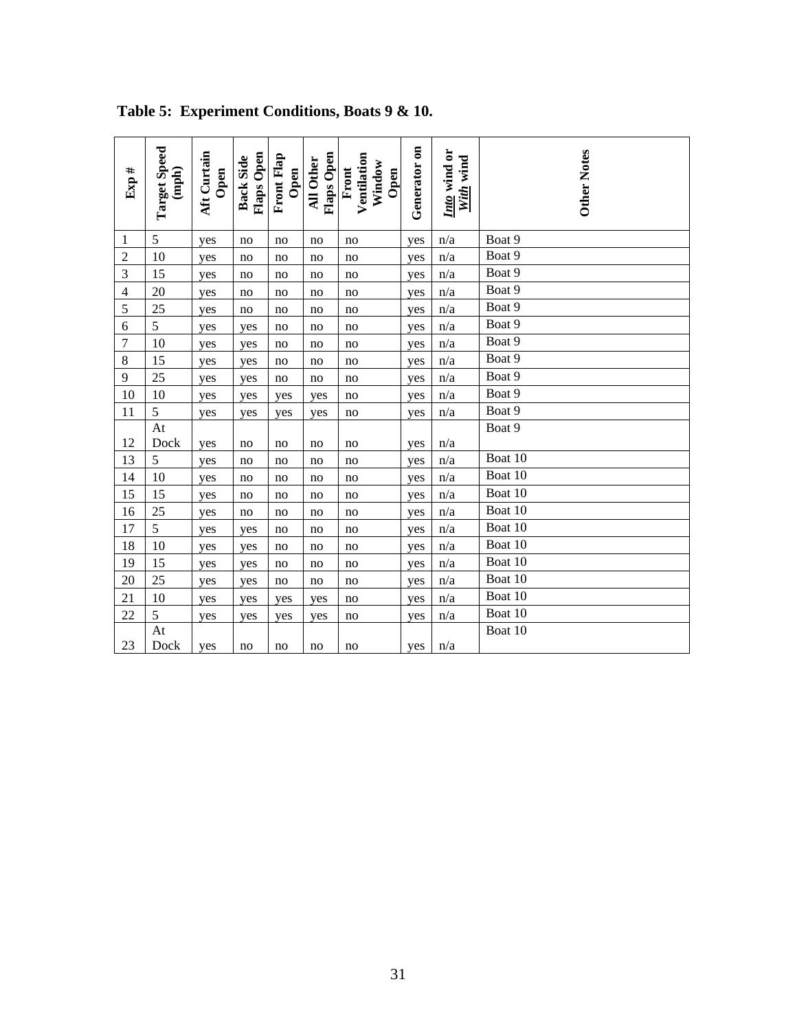| Exp#           | <b>Target Speed</b><br>$({\rm nph})$ | Aft Curtain<br>Open | Flaps Open<br><b>Back Side</b> | <b>Front Flap</b><br>Open | Flaps Open<br><b>All Other</b> | Ventilation<br>Window<br>Front<br>Open | Generator on | Into wind or<br>With wind | <b>Other Notes</b> |
|----------------|--------------------------------------|---------------------|--------------------------------|---------------------------|--------------------------------|----------------------------------------|--------------|---------------------------|--------------------|
| $\mathbf{1}$   | 5                                    | yes                 | no                             | no                        | no                             | no                                     | yes          | n/a                       | Boat 9             |
| $\overline{2}$ | 10                                   | yes                 | no                             | no                        | no                             | no                                     | yes          | n/a                       | Boat 9             |
| 3              | 15                                   | yes                 | no                             | no                        | no                             | no                                     | yes          | n/a                       | Boat 9             |
| $\overline{4}$ | 20                                   | yes                 | no                             | no                        | no                             | no                                     | yes          | n/a                       | Boat 9             |
| 5              | 25                                   | yes                 | no                             | no                        | no                             | no                                     | yes          | n/a                       | Boat 9             |
| 6              | 5                                    | yes                 | yes                            | no                        | no                             | no                                     | yes          | n/a                       | Boat 9             |
| $\overline{7}$ | 10                                   | yes                 | yes                            | no                        | no                             | no                                     | yes          | n/a                       | Boat 9             |
| 8              | 15                                   | yes                 | yes                            | no                        | no                             | no                                     | yes          | n/a                       | Boat 9             |
| 9              | 25                                   | yes                 | yes                            | no                        | no                             | no                                     | yes          | n/a                       | Boat 9             |
| 10             | 10                                   | yes                 | yes                            | yes                       | yes                            | no                                     | yes          | n/a                       | Boat 9             |
| 11             | 5                                    | yes                 | yes                            | yes                       | yes                            | no                                     | yes          | n/a                       | Boat 9             |
|                | At                                   |                     |                                |                           |                                |                                        |              |                           | Boat 9             |
| 12             | Dock                                 | yes                 | no                             | no                        | no                             | no                                     | yes          | n/a                       |                    |
| 13             | 5                                    | yes                 | no                             | no                        | no                             | no                                     | yes          | n/a                       | Boat 10            |
| 14             | 10                                   | yes                 | no                             | no                        | no                             | no                                     | yes          | n/a                       | Boat 10            |
| 15             | 15                                   | yes                 | no                             | no                        | no                             | no                                     | yes          | n/a                       | Boat 10            |
| 16             | 25                                   | yes                 | no                             | no                        | no                             | no                                     | yes          | n/a                       | Boat 10            |
| 17             | 5                                    | yes                 | yes                            | no                        | no                             | no                                     | yes          | n/a                       | Boat 10            |
| 18             | 10                                   | yes                 | yes                            | no                        | no                             | no                                     | yes          | n/a                       | Boat 10            |
| 19             | 15                                   | yes                 | yes                            | no                        | no                             | no                                     | yes          | n/a                       | Boat $10$          |
| 20             | 25                                   | yes                 | yes                            | no                        | no                             | no                                     | yes          | n/a                       | Boat 10            |
| 21             | 10                                   | yes                 | yes                            | yes                       | yes                            | no                                     | yes          | n/a                       | Boat 10            |
| 22             | 5                                    | yes                 | yes                            | yes                       | yes                            | no                                     | yes          | n/a                       | Boat 10            |
| 23             | At<br>Dock                           | yes                 | no                             | no                        | no                             | no                                     | yes          | n/a                       | Boat 10            |

**Table 5: Experiment Conditions, Boats 9 & 10.**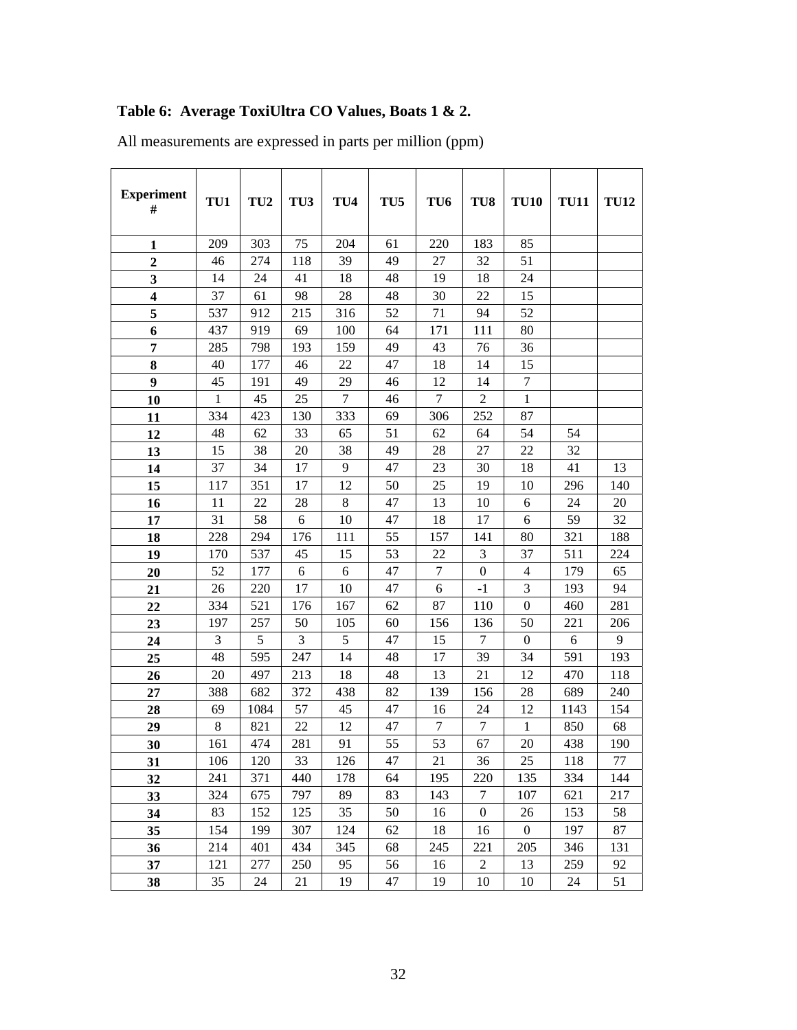# **Table 6: Average ToxiUltra CO Values, Boats 1 & 2.**

| <b>Experiment</b><br>#  | TU1         | TU <sub>2</sub> | TU <sub>3</sub> | TU <sub>4</sub> | TU <sub>5</sub> | TU <sub>6</sub> | TU <sub>8</sub>  | <b>TU10</b>      | <b>TU11</b> | <b>TU12</b>    |
|-------------------------|-------------|-----------------|-----------------|-----------------|-----------------|-----------------|------------------|------------------|-------------|----------------|
| $\mathbf{1}$            | 209         | 303             | 75              | 204             | 61              | 220             | 183              | 85               |             |                |
| $\overline{2}$          | 46          | 274             | 118             | 39              | 49              | 27              | 32               | 51               |             |                |
| 3                       | 14          | 24              | 41              | 18              | 48              | 19              | 18               | 24               |             |                |
| $\overline{\mathbf{4}}$ | 37          | 61              | 98              | 28              | 48              | 30              | 22               | 15               |             |                |
| 5                       | 537         | 912             | 215             | 316             | 52              | 71              | 94               | 52               |             |                |
| 6                       | 437         | 919             | 69              | 100             | 64              | 171             | 111              | 80               |             |                |
| 7                       | 285         | 798             | 193             | 159             | 49              | 43              | 76               | 36               |             |                |
| 8                       | 40          | 177             | 46              | 22              | 47              | 18              | 14               | 15               |             |                |
| 9                       | 45          | 191             | 49              | 29              | 46              | 12              | 14               | 7                |             |                |
| 10                      | 1           | 45              | 25              | $\tau$          | 46              | $\overline{7}$  | $\overline{2}$   | $\mathbf{1}$     |             |                |
| 11                      | 334         | 423             | 130             | 333             | 69              | 306             | 252              | 87               |             |                |
| 12                      | 48          | 62              | 33              | 65              | 51              | 62              | 64               | 54               | 54          |                |
| 13                      | 15          | 38              | 20              | 38              | 49              | 28              | 27               | 22               | 32          |                |
| 14                      | 37          | 34              | 17              | 9               | 47              | 23              | 30               | 18               | 41          | 13             |
| 15                      | 117         | 351             | 17              | 12              | 50              | 25              | 19               | 10               | 296         | 140            |
| 16                      | 11          | 22              | 28              | 8               | 47              | 13              | 10               | 6                | 24          | 20             |
| 17                      | 31          | 58              | 6               | 10              | 47              | 18              | 17               | 6                | 59          | 32             |
| 18                      | 228         | 294             | 176             | 111             | 55              | 157             | 141              | 80               | 321         | 188            |
| 19                      | 170         | 537             | 45              | 15              | 53              | 22              | 3                | 37               | 511         | 224            |
| 20                      | 52          | 177             | 6               | 6               | 47              | 7               | $\boldsymbol{0}$ | 4                | 179         | 65             |
| 21                      | 26          | 220             | 17              | 10              | 47              | 6               | $-1$             | 3                | 193         | 94             |
| 22                      | 334         | 521             | 176             | 167             | 62              | 87              | 110              | $\boldsymbol{0}$ | 460         | 281            |
| 23                      | 197         | 257             | 50              | 105             | 60              | 156             | 136              | 50               | 221         | 206            |
| 24                      | 3           | 5               | 3               | 5               | 47              | 15              | $\boldsymbol{7}$ | $\boldsymbol{0}$ | 6           | $\overline{9}$ |
| 25                      | 48          | 595             | 247             | 14              | 48              | 17              | 39               | 34               | 591         | 193            |
| 26                      | 20          | 497             | 213             | 18              | 48              | 13              | 21               | 12               | 470         | 118            |
| 27                      | 388         | 682             | 372             | 438             | 82              | 139             | 156              | 28               | 689         | 240            |
| 28                      | 69          | 1084            | 57              | 45              | 47              | 16              | 24               | 12               | 1143        | 154            |
| 29                      | $\,$ 8 $\,$ | 821             | 22              | 12              | 47              | 7               | $\tau$           | 1                | 850         | 68             |
| 30                      | 161         | 474             | 281             | 91              | 55              | 53              | 67               | 20               | 438         | 190            |
| 31                      | 106         | 120             | 33              | 126             | 47              | 21              | 36               | 25               | 118         | 77             |
| 32                      | 241         | 371             | 440             | 178             | 64              | 195             | 220              | 135              | 334         | 144            |
| 33                      | 324         | 675             | 797             | 89              | 83              | 143             | 7                | 107              | 621         | 217            |
| 34                      | 83          | 152             | 125             | 35              | 50              | 16              | $\boldsymbol{0}$ | 26               | 153         | 58             |
| 35                      | 154         | 199             | 307             | 124             | 62              | 18              | 16               | $\boldsymbol{0}$ | 197         | 87             |
| 36                      | 214         | 401             | 434             | 345             | 68              | 245             | 221              | 205              | 346         | 131            |
| 37                      | 121         | 277             | 250             | 95              | 56              | 16              | $\boldsymbol{2}$ | 13               | 259         | 92             |
| 38                      | 35          | 24              | 21              | 19              | 47              | 19              | 10               | 10               | 24          | 51             |

All measurements are expressed in parts per million (ppm)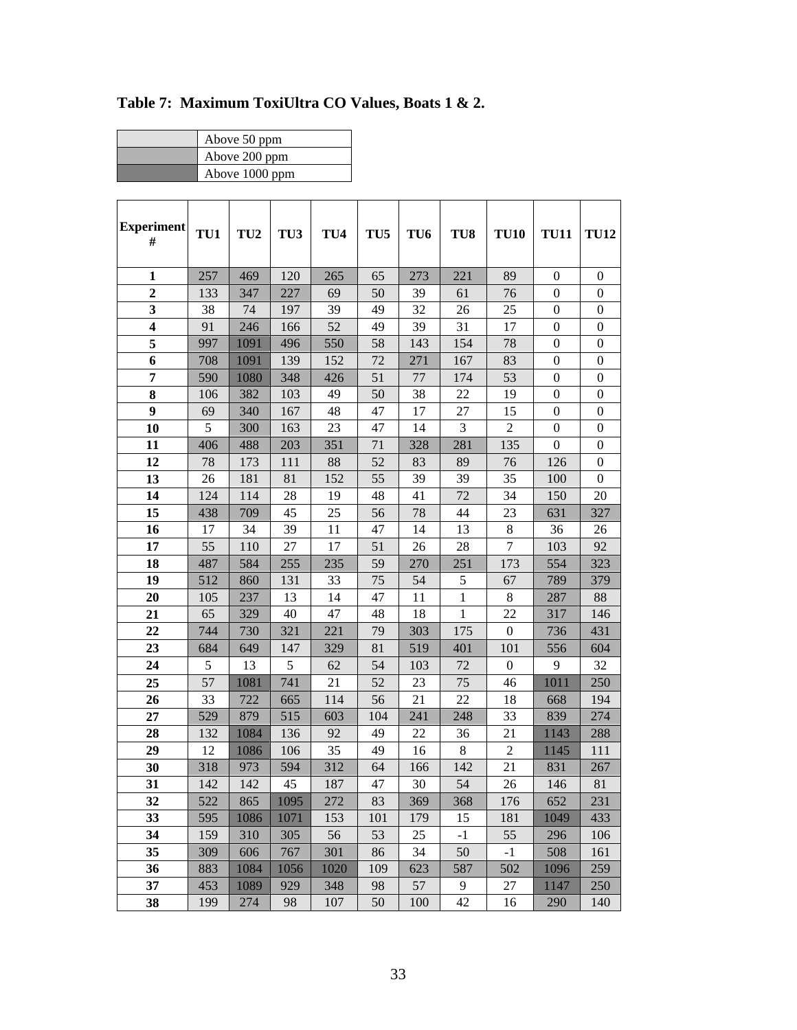| Above 50 ppm   |
|----------------|
| Above 200 ppm  |
| Above 1000 ppm |

| <b>Experiment</b><br>#  | TU1 | TU <sub>2</sub> | TU3  | TU <sub>4</sub> | TU <sub>5</sub> | TU6 | TU8          | <b>TU10</b>      | <b>TU11</b>      | <b>TU12</b>      |
|-------------------------|-----|-----------------|------|-----------------|-----------------|-----|--------------|------------------|------------------|------------------|
| $\mathbf{1}$            | 257 | 469             | 120  | 265             | 65              | 273 | 221          | 89               | $\mathbf{0}$     | $\boldsymbol{0}$ |
| $\overline{2}$          | 133 | 347             | 227  | 69              | 50              | 39  | 61           | 76               | $\mathbf{0}$     | $\boldsymbol{0}$ |
| 3                       | 38  | 74              | 197  | 39              | 49              | 32  | 26           | 25               | $\boldsymbol{0}$ | $\boldsymbol{0}$ |
| $\overline{\mathbf{4}}$ | 91  | 246             | 166  | 52              | 49              | 39  | 31           | 17               | $\boldsymbol{0}$ | $\boldsymbol{0}$ |
| 5                       | 997 | 1091            | 496  | 550             | 58              | 143 | 154          | 78               | $\mathbf{0}$     | $\mathbf{0}$     |
| 6                       | 708 | 1091            | 139  | 152             | 72              | 271 | 167          | 83               | $\mathbf{0}$     | $\boldsymbol{0}$ |
| $\overline{7}$          | 590 | 1080            | 348  | 426             | 51              | 77  | 174          | 53               | $\boldsymbol{0}$ | $\boldsymbol{0}$ |
| 8                       | 106 | 382             | 103  | 49              | 50              | 38  | 22           | 19               | $\boldsymbol{0}$ | $\boldsymbol{0}$ |
| $\boldsymbol{9}$        | 69  | 340             | 167  | 48              | 47              | 17  | 27           | 15               | $\boldsymbol{0}$ | $\boldsymbol{0}$ |
| 10                      | 5   | 300             | 163  | 23              | 47              | 14  | 3            | $\overline{2}$   | $\boldsymbol{0}$ | $\boldsymbol{0}$ |
| 11                      | 406 | 488             | 203  | 351             | 71              | 328 | 281          | 135              | $\Omega$         | $\boldsymbol{0}$ |
| 12                      | 78  | 173             | 111  | 88              | 52              | 83  | 89           | 76               | 126              | $\boldsymbol{0}$ |
| 13                      | 26  | 181             | 81   | 152             | 55              | 39  | 39           | 35               | 100              | $\boldsymbol{0}$ |
| 14                      | 124 | 114             | 28   | 19              | 48              | 41  | 72           | 34               | 150              | 20               |
| 15                      | 438 | 709             | 45   | 25              | 56              | 78  | 44           | 23               | 631              | 327              |
| 16                      | 17  | 34              | 39   | 11              | 47              | 14  | 13           | $8\,$            | 36               | 26               |
| 17                      | 55  | 110             | 27   | 17              | 51              | 26  | 28           | 7                | 103              | 92               |
| 18                      | 487 | 584             | 255  | 235             | 59              | 270 | 251          | 173              | 554              | 323              |
| 19                      | 512 | 860             | 131  | 33              | 75              | 54  | 5            | 67               | 789              | 379              |
| 20                      | 105 | 237             | 13   | 14              | 47              | 11  | 1            | 8                | 287              | 88               |
| 21                      | 65  | 329             | 40   | 47              | 48              | 18  | $\mathbf{1}$ | 22               | 317              | 146              |
| 22                      | 744 | 730             | 321  | 221             | 79              | 303 | 175          | $\boldsymbol{0}$ | 736              | 431              |
| 23                      | 684 | 649             | 147  | 329             | 81              | 519 | 401          | 101              | 556              | 604              |
| 24                      | 5   | 13              | 5    | 62              | 54              | 103 | 72           | $\boldsymbol{0}$ | 9                | 32               |
| 25                      | 57  | 1081            | 741  | 21              | 52              | 23  | 75           | 46               | 1011             | 250              |
| 26                      | 33  | 722             | 665  | 114             | 56              | 21  | 22           | 18               | 668              | 194              |
| 27                      | 529 | 879             | 515  | 603             | 104             | 241 | 248          | 33               | 839              | 274              |
| 28                      | 132 | 1084            | 136  | 92              | 49              | 22  | 36           | 21               | 1143             | 288              |
| 29                      | 12  | 1086            | 106  | 35              | 49              | 16  | 8            | $\overline{2}$   | 1145             | 111              |
| 30                      | 318 | 973             | 594  | 312             | 64              | 166 | 142          | 21               | 831              | 267              |
| 31                      | 142 | 142             | 45   | 187             | 47              | 30  | 54           | 26               | 146              | 81               |
| 32                      | 522 | 865             | 1095 | 272             | 83              | 369 | 368          | 176              | 652              | 231              |
| 33                      | 595 | 1086            | 1071 | 153             | 101             | 179 | 15           | 181              | 1049             | 433              |
| 34                      | 159 | 310             | 305  | 56              | 53              | 25  | $-1$         | 55               | 296              | 106              |
| 35                      | 309 | 606             | 767  | 301             | 86              | 34  | 50           | $-1$             | 508              | 161              |
| 36                      | 883 | 1084            | 1056 | 1020            | 109             | 623 | 587          | 502              | 1096             | 259              |
| 37                      | 453 | 1089            | 929  | 348             | 98              | 57  | 9            | 27               | 1147             | 250              |
| 38                      | 199 | 274             | 98   | 107             | 50              | 100 | 42           | 16               | 290              | 140              |

**Table 7: Maximum ToxiUltra CO Values, Boats 1 & 2.**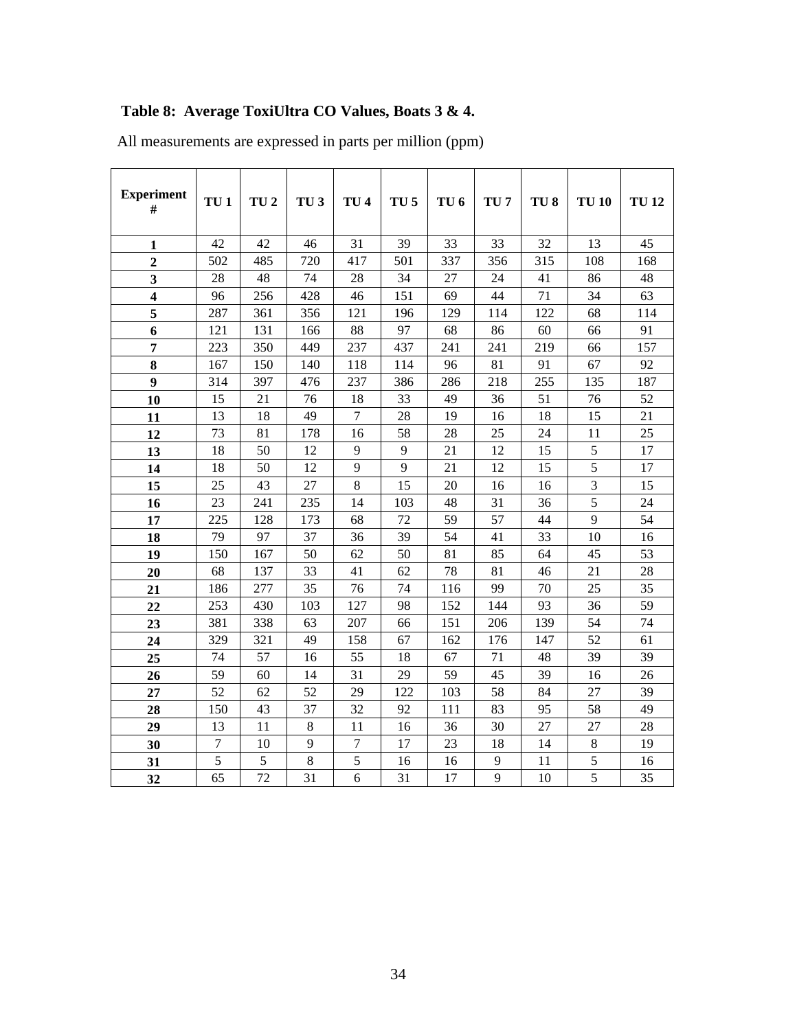# **Table 8: Average ToxiUltra CO Values, Boats 3 & 4.**

| <b>Experiment</b><br>#  | TU <sub>1</sub> | TU <sub>2</sub> | TU <sub>3</sub> | TU <sub>4</sub> | TU <sub>5</sub> | TU <sub>6</sub> | TU <sub>7</sub> | TU <sub>8</sub> | <b>TU 10</b> | <b>TU12</b> |
|-------------------------|-----------------|-----------------|-----------------|-----------------|-----------------|-----------------|-----------------|-----------------|--------------|-------------|
| 1                       | 42              | 42              | 46              | 31              | 39              | 33              | 33              | 32              | 13           | 45          |
| $\overline{2}$          | 502             | 485             | 720             | 417             | 501             | 337             | 356             | 315             | 108          | 168         |
| 3                       | 28              | 48              | 74              | 28              | 34              | 27              | 24              | 41              | 86           | 48          |
| $\overline{\mathbf{4}}$ | 96              | 256             | 428             | 46              | 151             | 69              | 44              | 71              | 34           | 63          |
| 5                       | 287             | 361             | 356             | 121             | 196             | 129             | 114             | 122             | 68           | 114         |
| 6                       | 121             | 131             | 166             | 88              | 97              | 68              | 86              | 60              | 66           | 91          |
| 7                       | 223             | 350             | 449             | 237             | 437             | 241             | 241             | 219             | 66           | 157         |
| 8                       | 167             | 150             | 140             | 118             | 114             | 96              | 81              | 91              | 67           | 92          |
| 9                       | 314             | 397             | 476             | 237             | 386             | 286             | 218             | 255             | 135          | 187         |
| 10                      | 15              | 21              | 76              | 18              | 33              | 49              | 36              | 51              | 76           | 52          |
| 11                      | 13              | 18              | 49              | 7               | 28              | 19              | 16              | 18              | 15           | 21          |
| 12                      | 73              | 81              | 178             | 16              | 58              | 28              | 25              | 24              | 11           | 25          |
| 13                      | 18              | 50              | 12              | 9               | 9               | 21              | 12              | 15              | 5            | 17          |
| 14                      | 18              | 50              | 12              | 9               | 9               | 21              | 12              | 15              | 5            | 17          |
| 15                      | 25              | 43              | 27              | 8               | 15              | 20              | 16              | 16              | 3            | 15          |
| 16                      | 23              | 241             | 235             | 14              | 103             | 48              | 31              | 36              | 5            | 24          |
| 17                      | 225             | 128             | 173             | 68              | 72              | 59              | 57              | 44              | 9            | 54          |
| 18                      | 79              | 97              | 37              | 36              | 39              | 54              | 41              | 33              | 10           | 16          |
| 19                      | 150             | 167             | 50              | 62              | 50              | 81              | 85              | 64              | 45           | 53          |
| 20                      | 68              | 137             | 33              | 41              | 62              | 78              | 81              | 46              | 21           | 28          |
| 21                      | 186             | 277             | 35              | 76              | 74              | 116             | 99              | 70              | 25           | 35          |
| 22                      | 253             | 430             | 103             | 127             | 98              | 152             | 144             | 93              | 36           | 59          |
| 23                      | 381             | 338             | 63              | 207             | 66              | 151             | 206             | 139             | 54           | 74          |
| 24                      | 329             | 321             | 49              | 158             | 67              | 162             | 176             | 147             | 52           | 61          |
| 25                      | 74              | 57              | 16              | 55              | 18              | 67              | 71              | 48              | 39           | 39          |
| 26                      | 59              | 60              | 14              | 31              | 29              | 59              | 45              | 39              | 16           | 26          |
| 27                      | 52              | 62              | 52              | 29              | 122             | 103             | 58              | 84              | 27           | 39          |
| 28                      | 150             | 43              | 37              | 32              | 92              | 111             | 83              | 95              | 58           | 49          |
| 29                      | 13              | 11              | 8               | 11              | 16              | 36              | 30              | 27              | 27           | 28          |
| 30                      | 7               | 10              | 9               | 7               | 17              | 23              | 18              | 14              | 8            | 19          |
| 31                      | 5               | 5               | 8               | 5               | 16              | 16              | 9               | 11              | 5            | 16          |
| 32                      | 65              | 72              | 31              | 6               | 31              | 17              | 9               | 10              | 5            | 35          |

All measurements are expressed in parts per million (ppm)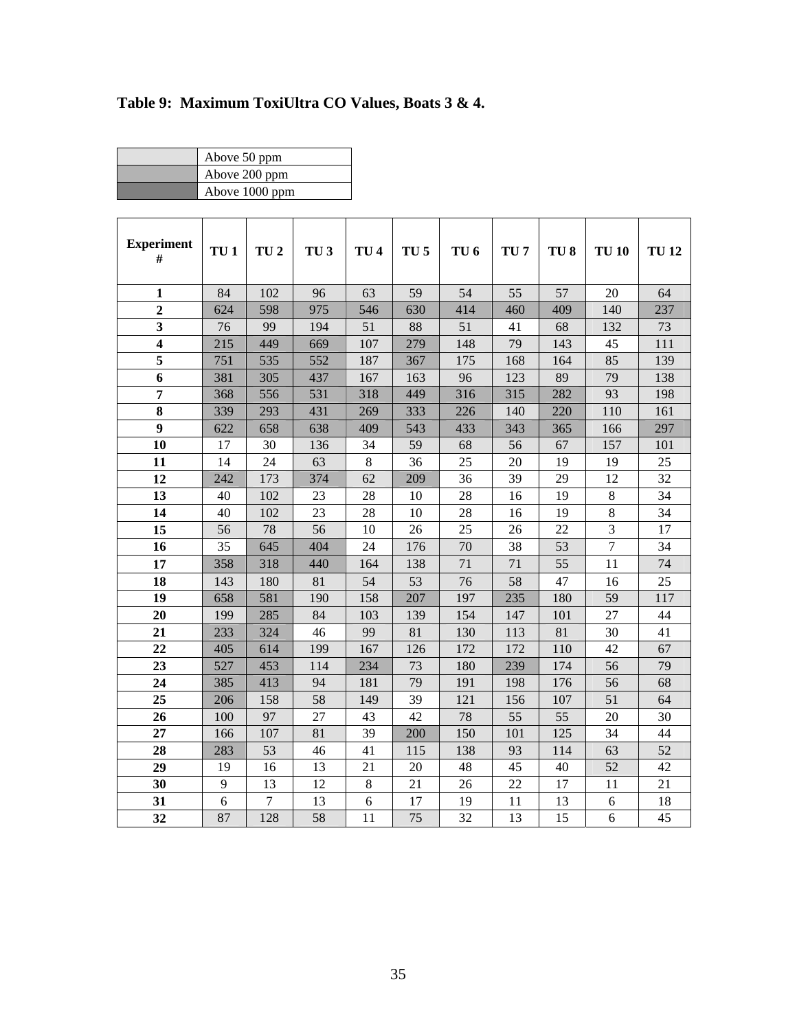# **Table 9: Maximum ToxiUltra CO Values, Boats 3 & 4.**

| Above 50 ppm   |
|----------------|
| Above 200 ppm  |
| Above 1000 ppm |

| <b>Experiment</b><br>#  | TU <sub>1</sub> | TU <sub>2</sub> | TU <sub>3</sub> | TU <sub>4</sub> | TU <sub>5</sub> | TU <sub>6</sub> | TU <sub>7</sub> | TU <sub>8</sub> | <b>TU 10</b>   | <b>TU12</b> |
|-------------------------|-----------------|-----------------|-----------------|-----------------|-----------------|-----------------|-----------------|-----------------|----------------|-------------|
| $\mathbf{1}$            | 84              | 102             | 96              | 63              | 59              | 54              | 55              | 57              | 20             | 64          |
| $\overline{2}$          | 624             | 598             | 975             | 546             | 630             | 414             | 460             | 409             | 140            | 237         |
| $\mathbf{3}$            | 76              | 99              | 194             | 51              | 88              | 51              | 41              | 68              | 132            | 73          |
| $\overline{\mathbf{4}}$ | 215             | 449             | 669             | 107             | 279             | 148             | 79              | 143             | 45             | 111         |
| 5                       | 751             | 535             | 552             | 187             | 367             | 175             | 168             | 164             | 85             | 139         |
| 6                       | 381             | 305             | 437             | 167             | 163             | 96              | 123             | 89              | 79             | 138         |
| $\overline{7}$          | 368             | 556             | 531             | 318             | 449             | 316             | 315             | 282             | 93             | 198         |
| $\bf{8}$                | 339             | 293             | 431             | 269             | 333             | 226             | 140             | 220             | 110            | 161         |
| $\boldsymbol{9}$        | 622             | 658             | 638             | 409             | 543             | 433             | 343             | 365             | 166            | 297         |
| 10                      | 17              | 30              | 136             | 34              | 59              | 68              | 56              | 67              | 157            | 101         |
| 11                      | 14              | 24              | 63              | $\,8\,$         | 36              | 25              | 20              | 19              | 19             | 25          |
| 12                      | 242             | 173             | 374             | 62              | 209             | 36              | 39              | 29              | 12             | 32          |
| 13                      | 40              | 102             | 23              | 28              | 10              | 28              | 16              | 19              | 8              | 34          |
| 14                      | 40              | 102             | 23              | 28              | 10              | 28              | 16              | 19              | $\,8\,$        | 34          |
| 15                      | 56              | 78              | 56              | 10              | 26              | 25              | 26              | 22              | 3              | 17          |
| 16                      | 35              | 645             | 404             | 24              | 176             | 70              | 38              | 53              | $\overline{7}$ | 34          |
| 17                      | 358             | 318             | 440             | 164             | 138             | 71              | 71              | 55              | 11             | 74          |
| 18                      | 143             | 180             | 81              | 54              | 53              | 76              | 58              | 47              | 16             | 25          |
| 19                      | 658             | 581             | 190             | 158             | 207             | 197             | 235             | 180             | 59             | 117         |
| 20                      | 199             | 285             | 84              | 103             | 139             | 154             | 147             | 101             | 27             | 44          |
| 21                      | 233             | 324             | 46              | 99              | 81              | 130             | 113             | 81              | 30             | 41          |
| 22                      | 405             | 614             | 199             | 167             | 126             | 172             | 172             | 110             | 42             | 67          |
| 23                      | 527             | 453             | 114             | 234             | 73              | 180             | 239             | 174             | 56             | 79          |
| 24                      | 385             | 413             | 94              | 181             | 79              | 191             | 198             | 176             | 56             | 68          |
| 25                      | 206             | 158             | 58              | 149             | 39              | 121             | 156             | 107             | 51             | 64          |
| 26                      | 100             | 97              | 27              | 43              | 42              | 78              | 55              | 55              | 20             | 30          |
| 27                      | 166             | 107             | 81              | 39              | 200             | 150             | 101             | 125             | 34             | 44          |
| 28                      | 283             | 53              | 46              | 41              | 115             | 138             | 93              | 114             | 63             | 52          |
| 29                      | 19              | 16              | 13              | 21              | 20              | 48              | 45              | 40              | 52             | 42          |
| 30                      | 9               | 13              | 12              | $\,8\,$         | 21              | 26              | 22              | 17              | 11             | 21          |
| 31                      | 6               | $\overline{7}$  | 13              | 6               | 17              | 19              | 11              | 13              | 6              | 18          |
| 32                      | 87              | 128             | 58              | 11              | 75              | 32              | 13              | 15              | 6              | 45          |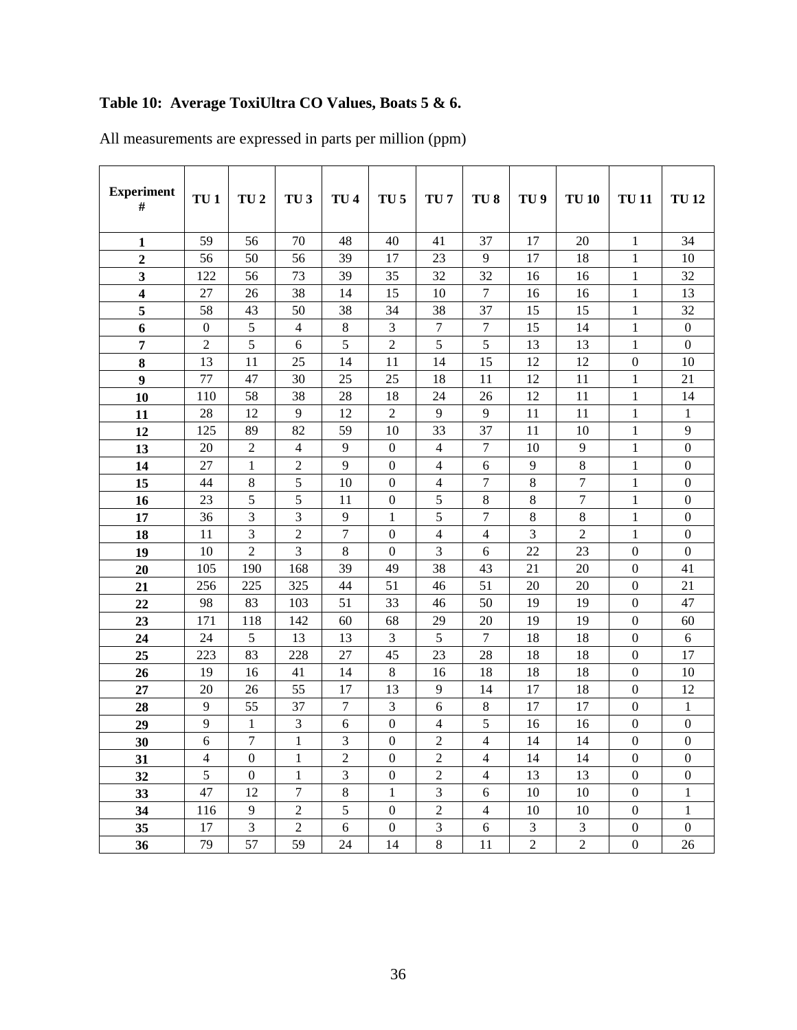# **Table 10: Average ToxiUltra CO Values, Boats 5 & 6.**

| <b>Experiment</b><br>$\#$ | TU <sub>1</sub>     | TU <sub>2</sub>     | TU <sub>3</sub>                | TU <sub>4</sub> | TU <sub>5</sub>  | TU <sub>7</sub> | TU <sub>8</sub> | TU <sub>9</sub> | <b>TU 10</b>   | <b>TU11</b>      | <b>TU12</b>      |
|---------------------------|---------------------|---------------------|--------------------------------|-----------------|------------------|-----------------|-----------------|-----------------|----------------|------------------|------------------|
| $\mathbf{1}$              | 59                  | 56                  | 70                             | 48              | 40               | 41              | 37              | 17              | 20             | $\mathbf{1}$     | 34               |
| $\overline{2}$            | 56                  | 50                  | 56                             | 39              | 17               | 23              | 9               | 17              | 18             | 1                | 10               |
| 3                         | 122                 | 56                  | 73                             | 39              | 35               | 32              | 32              | 16              | 16             | 1                | 32               |
| $\overline{\mathbf{4}}$   | 27                  | 26                  | 38                             | 14              | 15               | 10              | $\overline{7}$  | 16              | 16             | $\mathbf{1}$     | 13               |
| 5                         | 58                  | 43                  | 50                             | 38              | 34               | 38              | 37              | 15              | 15             | $\mathbf{1}$     | 32               |
| 6                         | $\boldsymbol{0}$    | 5                   | $\overline{4}$                 | $8\,$           | 3                | $\overline{7}$  | 7               | 15              | 14             | 1                | $\boldsymbol{0}$ |
| $\overline{7}$            | $\overline{2}$      | 5                   | 6                              | 5               | $\overline{2}$   | 5               | 5               | 13              | 13             | $\mathbf{1}$     | $\boldsymbol{0}$ |
| 8                         | 13                  | 11                  | 25                             | 14              | 11               | 14              | 15              | 12              | 12             | $\overline{0}$   | 10               |
| $\boldsymbol{9}$          | 77                  | 47                  | 30                             | 25              | 25               | 18              | 11              | 12              | 11             | 1                | 21               |
| 10                        | 110                 | 58                  | 38                             | 28              | 18               | 24              | 26              | 12              | 11             | $\mathbf{1}$     | 14               |
| 11                        | 28                  | 12                  | 9                              | 12              | $\overline{2}$   | 9               | 9               | 11              | 11             | $\mathbf{1}$     | $\mathbf{1}$     |
| 12                        | 125                 | 89                  | 82                             | 59              | 10               | 33              | 37              | 11              | 10             | $\mathbf{1}$     | 9                |
| 13                        | 20                  | $\sqrt{2}$          | 4                              | 9               | $\boldsymbol{0}$ | $\overline{4}$  | $\overline{7}$  | 10              | 9              | $\mathbf{1}$     | $\boldsymbol{0}$ |
| 14                        | 27                  | 1                   | $\sqrt{2}$                     | 9               | $\boldsymbol{0}$ | 4               | 6               | 9               | $\,8\,$        | 1                | $\boldsymbol{0}$ |
| 15                        | 44                  | $\,8\,$             | 5                              | 10              | $\boldsymbol{0}$ | 4               | 7               | $\,8\,$         | $\tau$         | 1                | $\boldsymbol{0}$ |
| 16                        | 23                  | 5                   | 5                              | 11              | $\boldsymbol{0}$ | 5               | 8               | $\,8\,$         | $\overline{7}$ | $\mathbf{1}$     | $\boldsymbol{0}$ |
| 17                        | 36                  | 3                   | 3                              | 9               | $\mathbf{1}$     | 5               | 7               | $\,8\,$         | $\,8\,$        | $\mathbf{1}$     | $\boldsymbol{0}$ |
| 18                        | 11                  | 3                   | $\overline{c}$                 | $\overline{7}$  | $\mathbf{0}$     | $\overline{4}$  | 4               | 3               | $\overline{2}$ | $\mathbf{1}$     | $\mathbf{0}$     |
| 19                        | 10                  | $\overline{2}$      | 3                              | 8               | $\boldsymbol{0}$ | 3               | 6               | 22              | 23             | $\boldsymbol{0}$ | $\boldsymbol{0}$ |
| 20                        | 105                 | 190                 | 168                            | 39              | 49               | 38              | 43              | 21              | 20             | $\overline{0}$   | 41               |
| 21                        | 256                 | 225                 | 325                            | 44              | 51               | 46              | 51              | 20              | 20             | $\boldsymbol{0}$ | 21               |
| 22                        | 98                  | 83                  | 103                            | 51              | 33               | 46              | 50              | 19              | 19             | $\boldsymbol{0}$ | 47               |
| 23                        | 171                 | 118                 | 142                            | 60              | 68               | 29              | 20              | 19              | 19             | $\boldsymbol{0}$ | 60               |
| 24                        | 24                  | 5                   | 13                             | 13              | 3                | 5               | 7               | 18              | 18             | $\theta$         | 6                |
| 25                        | 223                 | 83                  | 228                            | 27              | 45               | 23              | 28              | 18              | 18             | $\boldsymbol{0}$ | 17               |
| 26                        | 19                  | 16                  | 41                             | 14              | $\,8\,$          | 16              | 18              | 18              | 18             | $\boldsymbol{0}$ | 10               |
| 27                        | 20                  | 26                  | 55                             | 17              | 13               | 9               | 14              | 17              | 18             | $\theta$         | 12               |
| 28                        | 9                   | 55                  | 37                             | $\tau$          | $\mathfrak{Z}$   | 6               | $\,8\,$         | 17              | 17             | $\boldsymbol{0}$ | $\mathbf{1}$     |
| 29                        | 9                   | 1                   | 3                              | 6               | $\boldsymbol{0}$ | 4               | 5               | 16              | 16             | $\boldsymbol{0}$ | $\boldsymbol{0}$ |
| 30                        | 6                   | 7                   | $\mathbf{1}$                   | 3               | $\mathbf{0}$     | $\overline{2}$  | 4               | 14              | 14             | $\boldsymbol{0}$ | $\mathbf{0}$     |
| 31                        | $\overline{4}$<br>5 | $\mathbf{0}$        | $\mathbf{1}$                   | $\sqrt{2}$      | $\boldsymbol{0}$ | $\sqrt{2}$      | $\overline{4}$  | 14              | 14             | $\mathbf{0}$     | $\boldsymbol{0}$ |
| 32                        |                     | $\mathbf{0}$        | $\mathbf{1}$                   | 3               | $\boldsymbol{0}$ | $\overline{2}$  | $\overline{4}$  | 13              | 13             | $\overline{0}$   | $\boldsymbol{0}$ |
| 33                        | 47                  | 12                  | $\tau$                         | $8\,$           | 1                | 3               | 6               | 10              | 10             | $\overline{0}$   | $\mathbf{1}$     |
| 34                        | 116                 | 9<br>$\overline{3}$ | $\boldsymbol{2}$<br>$\sqrt{2}$ | $\mathfrak{S}$  | $\boldsymbol{0}$ | $\sqrt{2}$<br>3 | $\overline{4}$  | 10              | 10             | $\boldsymbol{0}$ | $\mathbf{1}$     |
| 35                        | 17                  |                     |                                | 6               | $\boldsymbol{0}$ |                 | 6               | 3               | 3              | $\boldsymbol{0}$ | $\boldsymbol{0}$ |
| 36                        | 79                  | 57                  | 59                             | 24              | 14               | $\,8\,$         | 11              | $\overline{2}$  | $\overline{2}$ | $\boldsymbol{0}$ | 26               |

All measurements are expressed in parts per million (ppm)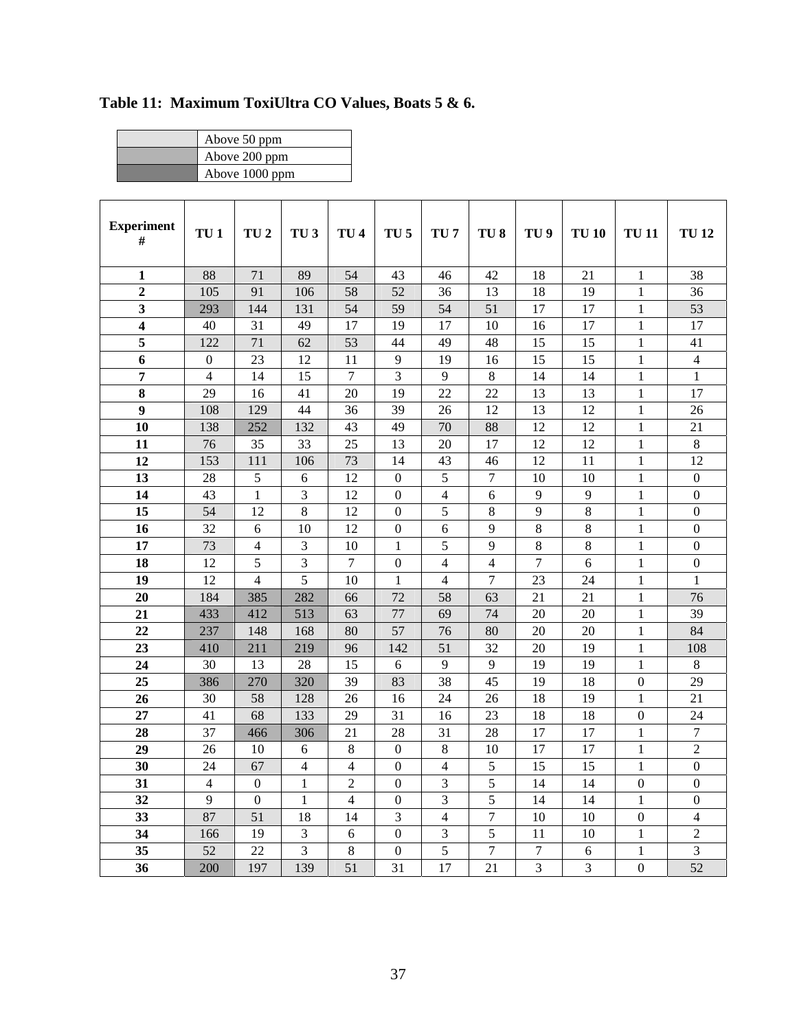| Above 50 ppm   |
|----------------|
| Above 200 ppm  |
| Above 1000 ppm |

| <b>Experiment</b> | TU <sub>1</sub>  | TU <sub>2</sub>  | TU <sub>3</sub> | TU <sub>4</sub>  | TU <sub>5</sub>  | TU <sub>7</sub> | TU <sub>8</sub> | TU <sub>9</sub> | <b>TU 10</b>   | <b>TU11</b>      | <b>TU12</b>      |
|-------------------|------------------|------------------|-----------------|------------------|------------------|-----------------|-----------------|-----------------|----------------|------------------|------------------|
| $\#$              |                  |                  |                 |                  |                  |                 |                 |                 |                |                  |                  |
|                   |                  |                  |                 |                  |                  |                 |                 |                 |                |                  |                  |
| $\mathbf{1}$      | 88               | 71               | 89              | 54               | 43               | 46              | 42              | 18              | 21             | 1                | 38               |
| $\overline{2}$    | 105              | 91               | 106             | 58               | 52               | 36              | 13              | 18              | 19             | $\mathbf{1}$     | 36               |
| $\mathbf{3}$      | 293              | 144              | 131             | 54               | 59               | 54              | 51              | 17              | 17             | $\mathbf{1}$     | 53               |
| $\boldsymbol{4}$  | 40               | 31               | 49              | 17               | 19               | 17              | 10              | 16              | 17             | 1                | 17               |
| 5                 | 122              | 71               | 62              | 53               | 44               | 49              | 48              | 15              | 15             | 1                | 41               |
| 6                 | $\boldsymbol{0}$ | 23               | 12              | 11               | 9                | 19              | 16              | 15              | 15             | $\mathbf{1}$     | $\overline{4}$   |
| 7                 | $\overline{4}$   | 14               | 15              | 7                | 3                | 9               | 8               | 14              | 14             | 1                | $\mathbf{1}$     |
| 8                 | 29               | 16               | 41              | 20               | 19               | 22              | 22              | 13              | 13             | 1                | 17               |
| $\boldsymbol{9}$  | 108              | 129              | 44              | 36               | 39               | 26              | 12              | 13              | 12             | $\mathbf{1}$     | 26               |
| 10                | 138              | 252              | 132             | 43               | 49               | 70              | 88              | 12              | 12             | 1                | 21               |
| 11                | 76               | 35               | 33              | 25               | 13               | 20              | 17              | 12              | 12             | 1                | 8                |
| 12                | 153              | 111              | 106             | 73               | 14               | 43              | 46              | 12              | 11             | $\mathbf{1}$     | 12               |
| 13                | 28               | 5                | 6               | 12               | $\boldsymbol{0}$ | 5               | 7               | 10              | 10             | 1                | $\boldsymbol{0}$ |
| 14                | 43               | $\mathbf{1}$     | 3               | 12               | $\overline{0}$   | $\overline{4}$  | 6               | 9               | $\overline{9}$ | $\mathbf{1}$     | $\boldsymbol{0}$ |
| 15                | 54               | 12               | 8               | 12               | $\boldsymbol{0}$ | 5               | 8               | 9               | $\,8\,$        | $\mathbf{1}$     | $\boldsymbol{0}$ |
| 16                | 32               | 6                | 10              | 12               | $\boldsymbol{0}$ | 6               | 9               | 8               | $\,8\,$        | 1                | $\mathbf{0}$     |
| 17                | 73               | $\overline{4}$   | 3               | 10               | $\mathbf{1}$     | 5               | 9               | 8               | $8\,$          | 1                | $\boldsymbol{0}$ |
| 18                | 12               | 5                | 3               | $\boldsymbol{7}$ | $\boldsymbol{0}$ | $\overline{4}$  | 4               | 7               | 6              | $\mathbf{1}$     | $\boldsymbol{0}$ |
| 19                | 12               | $\overline{4}$   | 5               | 10               | 1                | $\overline{4}$  | 7               | 23              | 24             | 1                | 1                |
| 20                | 184              | 385              | 282             | 66               | 72               | 58              | 63              | 21              | 21             | $\mathbf{1}$     | 76               |
| 21                | 433              | 412              | 513             | 63               | 77               | 69              | 74              | 20              | 20             | 1                | 39               |
| 22                | 237              | 148              | 168             | 80               | 57               | 76              | 80              | 20              | 20             | 1                | 84               |
| 23                | 410              | 211              | 219             | 96               | 142              | 51              | 32              | 20              | 19             | $\mathbf{1}$     | 108              |
| 24                | 30               | 13               | 28              | 15               | 6                | 9               | 9               | 19              | 19             | $\mathbf{1}$     | $\,8\,$          |
| 25                | 386              | 270              | 320             | 39               | 83               | 38              | 45              | 19              | 18             | $\boldsymbol{0}$ | 29               |
| 26                | 30               | 58               | 128             | 26               | 16               | 24              | 26              | 18              | 19             | $\mathbf{1}$     | 21               |
| 27                | 41               | 68               | 133             | 29               | 31               | 16              | 23              | 18              | 18             | $\boldsymbol{0}$ | 24               |
| 28                | 37               | 466              | 306             | 21               | 28               | 31              | 28              | 17              | 17             | 1                | $\boldsymbol{7}$ |
| 29                | 26               | 10               | 6               | $\,8\,$          | $\boldsymbol{0}$ | 8               | 10              | 17              | 17             | $\mathbf{1}$     | $\overline{2}$   |
| 30                | 24               | 67               | 4               | $\overline{4}$   | $\overline{0}$   | 4               | 5               | 15              | 15             | $\mathbf{1}$     | $\boldsymbol{0}$ |
| 31                | 4                | $\boldsymbol{0}$ | 1               | $\overline{c}$   | $\boldsymbol{0}$ | 3               | 5               | 14              | 14             | $\boldsymbol{0}$ | $\boldsymbol{0}$ |
| 32                | 9                | $\boldsymbol{0}$ | $\mathbf{1}$    | $\overline{4}$   | $\boldsymbol{0}$ | $\overline{3}$  | 5               | 14              | 14             | 1                | $\mathbf{0}$     |
| 33                | 87               | 51               | 18              | 14               | 3                | $\overline{4}$  | $\tau$          | 10              | 10             | $\boldsymbol{0}$ | $\overline{4}$   |
| 34                | 166              | 19               | 3               | 6                | $\boldsymbol{0}$ | 3               | 5               | 11              | 10             | 1                | $\overline{2}$   |
| 35                | 52               | 22               | $\overline{3}$  | $8\,$            | $\boldsymbol{0}$ | 5               | $\overline{7}$  | $\overline{7}$  | $\sqrt{6}$     | $\mathbf{1}$     | $\overline{3}$   |
| 36                | 200              | 197              | 139             | 51               | 31               | 17              | 21              | 3               | $\mathfrak{Z}$ | $\boldsymbol{0}$ | 52               |

**Table 11: Maximum ToxiUltra CO Values, Boats 5 & 6.**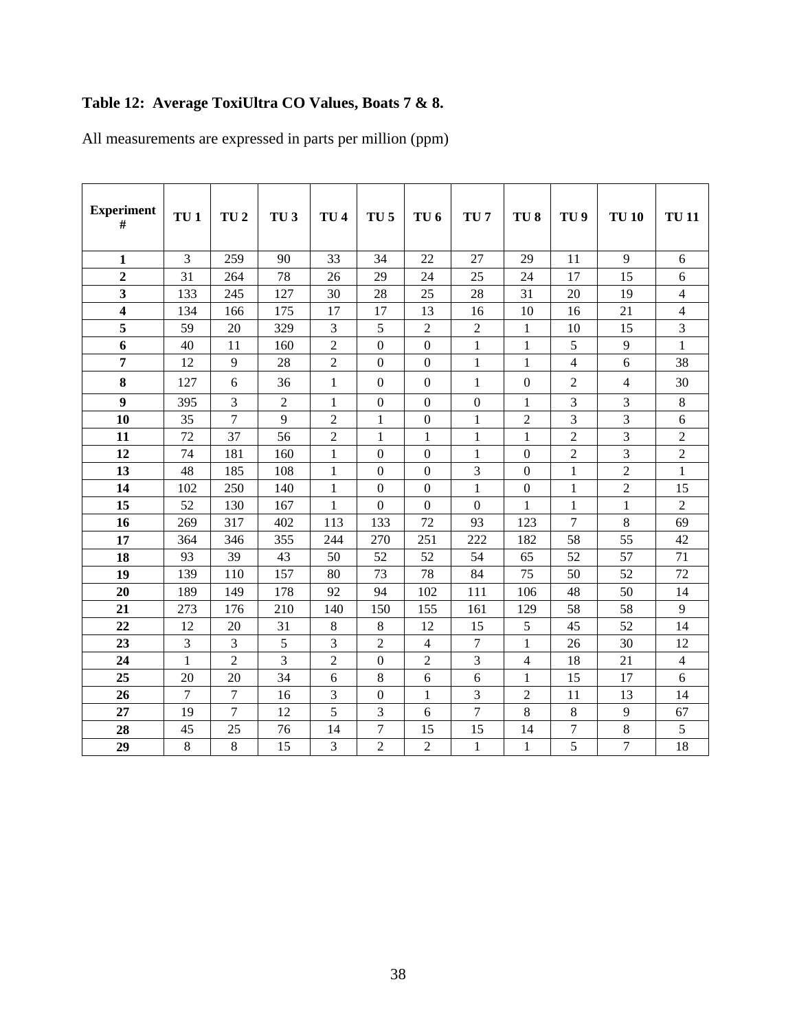### **Table 12: Average ToxiUltra CO Values, Boats 7 & 8.**

All measurements are expressed in parts per million (ppm)

| <b>Experiment</b><br>#  | TU <sub>1</sub> | TU <sub>2</sub> | TU <sub>3</sub> | TU <sub>4</sub> | TU <sub>5</sub>  | TU <sub>6</sub>  | TU <sub>7</sub>  | TU <sub>8</sub>  | TU <sub>9</sub> | <b>TU 10</b>   | <b>TU11</b>    |
|-------------------------|-----------------|-----------------|-----------------|-----------------|------------------|------------------|------------------|------------------|-----------------|----------------|----------------|
| $\mathbf{1}$            | 3               | 259             | 90              | 33              | 34               | 22               | 27               | 29               | 11              | 9              | 6              |
| $\overline{2}$          | 31              | 264             | 78              | 26              | 29               | 24               | 25               | 24               | 17              | 15             | 6              |
| $\overline{\mathbf{3}}$ | 133             | 245             | 127             | 30              | 28               | 25               | 28               | 31               | 20              | 19             | $\overline{4}$ |
| 4                       | 134             | 166             | 175             | 17              | 17               | 13               | 16               | 10               | 16              | 21             | $\overline{4}$ |
| 5                       | 59              | 20              | 329             | 3               | 5                | $\overline{2}$   | $\overline{2}$   | 1                | 10              | 15             | $\overline{3}$ |
| 6                       | 40              | 11              | 160             | $\sqrt{2}$      | $\mathbf{0}$     | $\boldsymbol{0}$ | $\mathbf{1}$     | $\mathbf{1}$     | 5               | 9              | $\mathbf{1}$   |
| 7                       | 12              | 9               | 28              | $\overline{2}$  | $\boldsymbol{0}$ | $\boldsymbol{0}$ | $\mathbf{1}$     | 1                | $\overline{4}$  | 6              | 38             |
| 8                       | 127             | 6               | 36              | $\mathbf{1}$    | $\boldsymbol{0}$ | $\boldsymbol{0}$ | $\mathbf{1}$     | $\boldsymbol{0}$ | $\mathfrak{2}$  | $\overline{4}$ | 30             |
| $\boldsymbol{9}$        | 395             | $\overline{3}$  | $\overline{2}$  | $\mathbf{1}$    | $\mathbf{0}$     | $\mathbf{0}$     | $\boldsymbol{0}$ | $\mathbf{1}$     | 3               | 3              | $\,8\,$        |
| 10                      | 35              | $\overline{7}$  | 9               | $\overline{2}$  | $\mathbf{1}$     | $\mathbf{0}$     | 1                | $\overline{2}$   | 3               | 3              | 6              |
| 11                      | 72              | 37              | 56              | $\overline{c}$  | $\mathbf{1}$     | $\mathbf{1}$     | $\mathbf{1}$     | $\mathbf{1}$     | $\overline{2}$  | 3              | $\overline{2}$ |
| 12                      | 74              | 181             | 160             | $\mathbf{1}$    | $\boldsymbol{0}$ | $\overline{0}$   | $\mathbf{1}$     | $\boldsymbol{0}$ | $\overline{2}$  | 3              | $\sqrt{2}$     |
| 13                      | 48              | 185             | 108             | $\mathbf{1}$    | $\Omega$         | $\overline{0}$   | 3                | $\mathbf{0}$     | $\mathbf{1}$    | $\overline{2}$ | $\mathbf{1}$   |
| 14                      | 102             | 250             | 140             | $\mathbf{1}$    | $\boldsymbol{0}$ | $\boldsymbol{0}$ | $\mathbf{1}$     | $\overline{0}$   | $\mathbf{1}$    | $\overline{2}$ | 15             |
| 15                      | 52              | 130             | 167             | 1               | $\mathbf{0}$     | $\mathbf{0}$     | $\mathbf{0}$     | $\mathbf{1}$     | $\mathbf{1}$    | $\mathbf{1}$   | $\overline{2}$ |
| 16                      | 269             | 317             | 402             | 113             | 133              | 72               | 93               | 123              | 7               | 8              | 69             |
| 17                      | 364             | 346             | 355             | 244             | 270              | 251              | 222              | 182              | 58              | 55             | 42             |
| 18                      | 93              | 39              | 43              | 50              | 52               | 52               | 54               | 65               | 52              | 57             | 71             |
| 19                      | 139             | 110             | 157             | 80              | 73               | 78               | 84               | 75               | 50              | 52             | 72             |
| 20                      | 189             | 149             | 178             | 92              | 94               | 102              | 111              | 106              | 48              | 50             | 14             |
| 21                      | 273             | 176             | 210             | 140             | 150              | 155              | 161              | 129              | 58              | 58             | 9              |
| 22                      | 12              | 20              | 31              | $\,8\,$         | 8                | 12               | 15               | 5                | 45              | 52             | 14             |
| 23                      | 3               | 3               | 5               | 3               | $\overline{c}$   | $\overline{4}$   | $\overline{7}$   | $\mathbf{1}$     | 26              | 30             | 12             |
| 24                      | $\mathbf{1}$    | $\overline{2}$  | 3               | $\overline{2}$  | $\boldsymbol{0}$ | $\overline{2}$   | 3                | $\overline{4}$   | 18              | 21             | $\overline{4}$ |
| 25                      | 20              | 20              | 34              | 6               | 8                | 6                | 6                | 1                | 15              | 17             | 6              |
| 26                      | $\overline{7}$  | $\overline{7}$  | 16              | 3               | $\boldsymbol{0}$ | $\mathbf{1}$     | 3                | $\overline{2}$   | 11              | 13             | 14             |
| 27                      | 19              | $\overline{7}$  | 12              | 5               | 3                | 6                | $\overline{7}$   | 8                | 8               | $\overline{9}$ | 67             |
| 28                      | 45              | 25              | 76              | 14              | 7                | 15               | 15               | 14               | 7               | $\,8\,$        | 5              |
| 29                      | $\,8\,$         | 8               | 15              | 3               | $\overline{2}$   | $\overline{2}$   | $\mathbf{1}$     | $\mathbf{1}$     | 5               | 7              | 18             |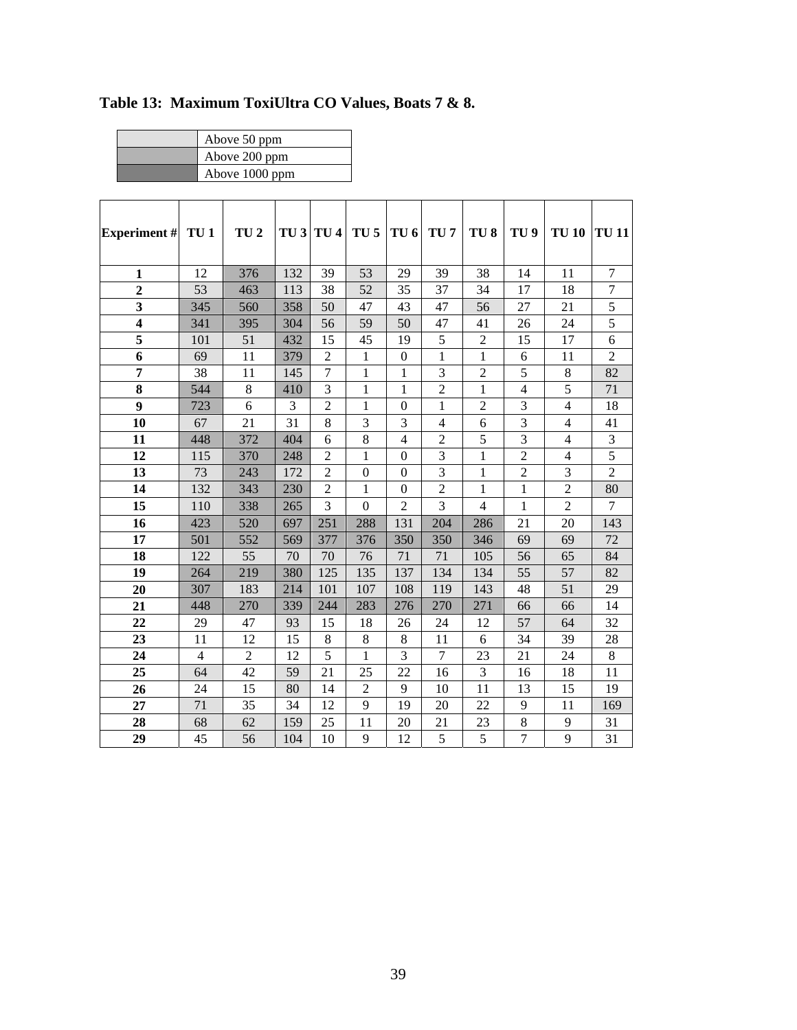| Above 50 ppm   |
|----------------|
| Above 200 ppm  |
| Above 1000 ppm |

| <b>Experiment</b> #     | TU <sub>1</sub> | TU <sub>2</sub> | TU <sub>3</sub> | TU <sub>4</sub> | TU <sub>5</sub>  | TU <sub>6</sub>  | TU <sub>7</sub> | TU <sub>8</sub> | TU <sub>9</sub> | <b>TU 10</b>   | <b>TU 11</b>   |
|-------------------------|-----------------|-----------------|-----------------|-----------------|------------------|------------------|-----------------|-----------------|-----------------|----------------|----------------|
|                         |                 |                 |                 |                 |                  |                  |                 |                 |                 |                |                |
| $\mathbf{1}$            | 12              | 376             | 132             | 39              | 53               | 29               | 39              | 38              | 14              | 11             | 7              |
| $\overline{2}$          | 53              | 463             | 113             | 38              | 52               | 35               | 37              | 34              | 17              | 18             | $\tau$         |
| 3                       | 345             | 560             | 358             | 50              | 47               | 43               | 47              | 56              | 27              | 21             | 5              |
| $\overline{\mathbf{4}}$ | 341             | 395             | 304             | 56              | 59               | 50               | 47              | 41              | 26              | 24             | 5              |
| 5                       | 101             | 51              | 432             | 15              | 45               | 19               | 5               | $\mathbf{2}$    | 15              | 17             | 6              |
| 6                       | 69              | 11              | 379             | $\overline{2}$  | $\mathbf{1}$     | $\boldsymbol{0}$ | 1               | $\mathbf{1}$    | 6               | 11             | $\overline{2}$ |
| 7                       | 38              | 11              | 145             | $\overline{7}$  | $\mathbf{1}$     | $\mathbf{1}$     | 3               | $\overline{2}$  | 5               | $\,8\,$        | 82             |
| 8                       | 544             | 8               | 410             | 3               | $\mathbf{1}$     | $\mathbf{1}$     | $\overline{2}$  | $\mathbf{1}$    | $\overline{4}$  | 5              | 71             |
| 9                       | 723             | 6               | 3               | $\overline{2}$  | $\mathbf{1}$     | $\overline{0}$   | $\mathbf{1}$    | $\overline{2}$  | 3               | $\overline{4}$ | 18             |
| 10                      | 67              | 21              | 31              | $8\,$           | 3                | 3                | $\overline{4}$  | 6               | 3               | $\overline{4}$ | 41             |
| 11                      | 448             | 372             | 404             | 6               | 8                | $\overline{4}$   | $\overline{2}$  | 5               | 3               | $\overline{4}$ | 3              |
| 12                      | 115             | 370             | 248             | $\overline{c}$  | $\mathbf{1}$     | $\boldsymbol{0}$ | 3               | $\mathbf{1}$    | $\overline{2}$  | $\overline{4}$ | 5              |
| 13                      | 73              | 243             | 172             | $\overline{c}$  | $\boldsymbol{0}$ | $\boldsymbol{0}$ | 3               | $\mathbf{1}$    | $\overline{c}$  | 3              | $\overline{2}$ |
| 14                      | 132             | 343             | 230             | $\overline{2}$  | $\mathbf{1}$     | $\boldsymbol{0}$ | $\overline{2}$  | 1               | $\mathbf{1}$    | $\overline{2}$ | 80             |
| 15                      | 110             | 338             | 265             | 3               | $\mathbf{0}$     | $\overline{2}$   | 3               | $\overline{4}$  | $\mathbf{1}$    | $\overline{2}$ | $\overline{7}$ |
| 16                      | 423             | 520             | 697             | 251             | 288              | 131              | 204             | 286             | 21              | 20             | 143            |
| 17                      | 501             | 552             | 569             | 377             | 376              | 350              | 350             | 346             | 69              | 69             | 72             |
| 18                      | 122             | 55              | 70              | 70              | 76               | 71               | 71              | 105             | 56              | 65             | 84             |
| 19                      | 264             | 219             | 380             | 125             | 135              | 137              | 134             | 134             | 55              | 57             | 82             |
| 20                      | 307             | 183             | 214             | 101             | 107              | 108              | 119             | 143             | 48              | 51             | 29             |
| 21                      | 448             | 270             | 339             | 244             | 283              | 276              | 270             | 271             | 66              | 66             | 14             |
| 22                      | 29              | 47              | 93              | 15              | 18               | 26               | 24              | 12              | 57              | 64             | 32             |
| 23                      | 11              | 12              | 15              | $8\,$           | 8                | 8                | 11              | 6               | 34              | 39             | 28             |
| 24                      | 4               | $\overline{2}$  | 12              | 5               | $\mathbf{1}$     | 3                | $\overline{7}$  | 23              | 21              | 24             | 8              |
| 25                      | 64              | 42              | 59              | 21              | 25               | 22               | 16              | 3               | 16              | 18             | 11             |
| 26                      | 24              | 15              | 80              | 14              | $\overline{2}$   | 9                | 10              | 11              | 13              | 15             | 19             |
| 27                      | 71              | 35              | 34              | 12              | 9                | 19               | 20              | 22              | 9               | 11             | 169            |
| 28                      | 68              | 62              | 159             | 25              | 11               | 20               | 21              | 23              | 8               | 9              | 31             |
| 29                      | 45              | 56              | 104             | 10              | 9                | 12               | 5               | 5               | $\overline{7}$  | 9              | 31             |

**Table 13: Maximum ToxiUltra CO Values, Boats 7 & 8.**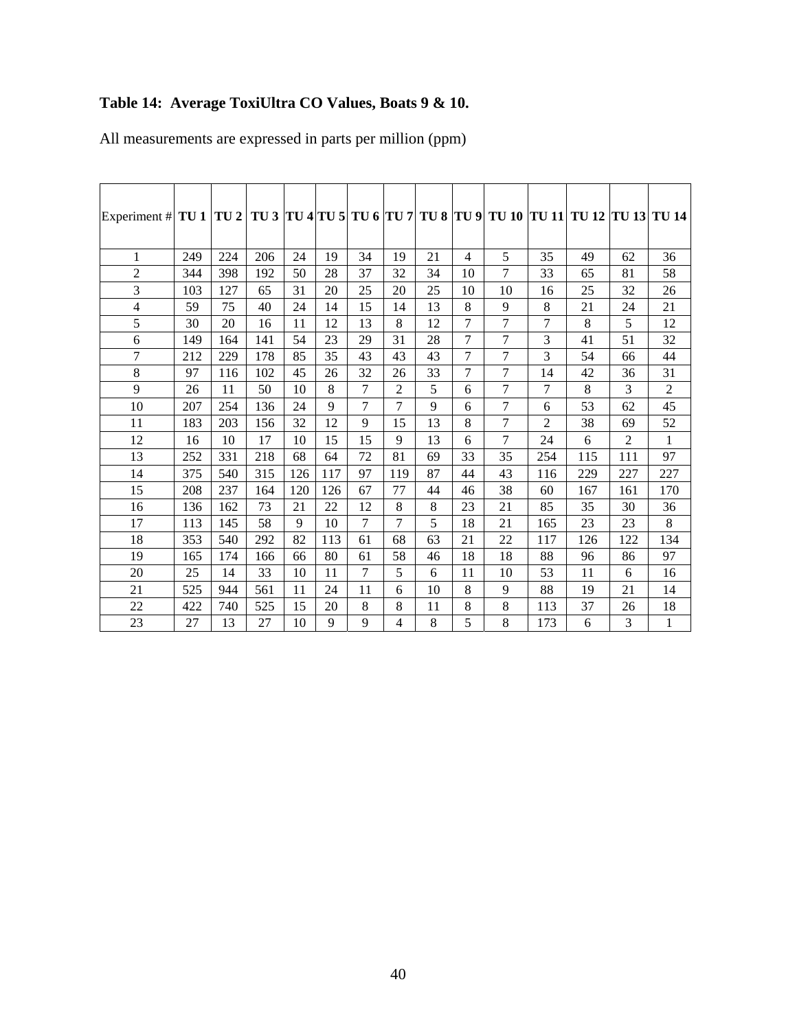# **Table 14: Average ToxiUltra CO Values, Boats 9 & 10.**

| All measurements are expressed in parts per million (ppm) |  |  |
|-----------------------------------------------------------|--|--|
|                                                           |  |  |

| Experiment # TU 1   TU 2   TU 3   TU 4   TU 5   TU 6   TU 7   TU 8   TU 9   TU 10   TU 11   TU 12   TU 13   TU 14 |     |     |     |     |     |        |                |    |                |                |                |     |                |              |
|-------------------------------------------------------------------------------------------------------------------|-----|-----|-----|-----|-----|--------|----------------|----|----------------|----------------|----------------|-----|----------------|--------------|
| 1                                                                                                                 | 249 | 224 | 206 | 24  | 19  | 34     | 19             | 21 | 4              | 5              | 35             | 49  | 62             | 36           |
| $\overline{2}$                                                                                                    | 344 | 398 | 192 | 50  | 28  | 37     | 32             | 34 | 10             | 7              | 33             | 65  | 81             | 58           |
| 3                                                                                                                 | 103 | 127 | 65  | 31  | 20  | 25     | 20             | 25 | 10             | 10             | 16             | 25  | 32             | 26           |
| $\overline{\mathcal{L}}$                                                                                          | 59  | 75  | 40  | 24  | 14  | 15     | 14             | 13 | 8              | 9              | 8              | 21  | 24             | 21           |
| 5                                                                                                                 | 30  | 20  | 16  | 11  | 12  | 13     | 8              | 12 | 7              | $\overline{7}$ | 7              | 8   | 5              | 12           |
| 6                                                                                                                 | 149 | 164 | 141 | 54  | 23  | 29     | 31             | 28 | 7              | 7              | 3              | 41  | 51             | 32           |
| 7                                                                                                                 | 212 | 229 | 178 | 85  | 35  | 43     | 43             | 43 | 7              | $\overline{7}$ | 3              | 54  | 66             | 44           |
| 8                                                                                                                 | 97  | 116 | 102 | 45  | 26  | 32     | 26             | 33 | $\overline{7}$ | $\overline{7}$ | 14             | 42  | 36             | 31           |
| 9                                                                                                                 | 26  | 11  | 50  | 10  | 8   | 7      | $\overline{2}$ | 5  | 6              | 7              | 7              | 8   | 3              | $\mathbf{2}$ |
| $10\,$                                                                                                            | 207 | 254 | 136 | 24  | 9   | 7      | $\overline{7}$ | 9  | 6              | 7              | 6              | 53  | 62             | 45           |
| 11                                                                                                                | 183 | 203 | 156 | 32  | 12  | 9      | 15             | 13 | 8              | 7              | $\overline{2}$ | 38  | 69             | 52           |
| 12                                                                                                                | 16  | 10  | 17  | 10  | 15  | 15     | 9              | 13 | 6              | $\overline{7}$ | 24             | 6   | $\overline{2}$ | $\mathbf{1}$ |
| 13                                                                                                                | 252 | 331 | 218 | 68  | 64  | 72     | 81             | 69 | 33             | 35             | 254            | 115 | 111            | 97           |
| 14                                                                                                                | 375 | 540 | 315 | 126 | 117 | 97     | 119            | 87 | 44             | 43             | 116            | 229 | 227            | 227          |
| 15                                                                                                                | 208 | 237 | 164 | 120 | 126 | 67     | 77             | 44 | 46             | 38             | 60             | 167 | 161            | 170          |
| 16                                                                                                                | 136 | 162 | 73  | 21  | 22  | 12     | 8              | 8  | 23             | 21             | 85             | 35  | 30             | 36           |
| 17                                                                                                                | 113 | 145 | 58  | 9   | 10  | $\tau$ | 7              | 5  | 18             | 21             | 165            | 23  | 23             | 8            |
| 18                                                                                                                | 353 | 540 | 292 | 82  | 113 | 61     | 68             | 63 | 21             | 22             | 117            | 126 | 122            | 134          |
| 19                                                                                                                | 165 | 174 | 166 | 66  | 80  | 61     | 58             | 46 | 18             | 18             | 88             | 96  | 86             | 97           |
| 20                                                                                                                | 25  | 14  | 33  | 10  | 11  | 7      | 5              | 6  | 11             | 10             | 53             | 11  | 6              | 16           |
| 21                                                                                                                | 525 | 944 | 561 | 11  | 24  | 11     | 6              | 10 | 8              | 9              | 88             | 19  | 21             | 14           |
| 22                                                                                                                | 422 | 740 | 525 | 15  | 20  | 8      | 8              | 11 | 8              | 8              | 113            | 37  | 26             | 18           |
| 23                                                                                                                | 27  | 13  | 27  | 10  | 9   | 9      | 4              | 8  | 5              | 8              | 173            | 6   | 3              | 1            |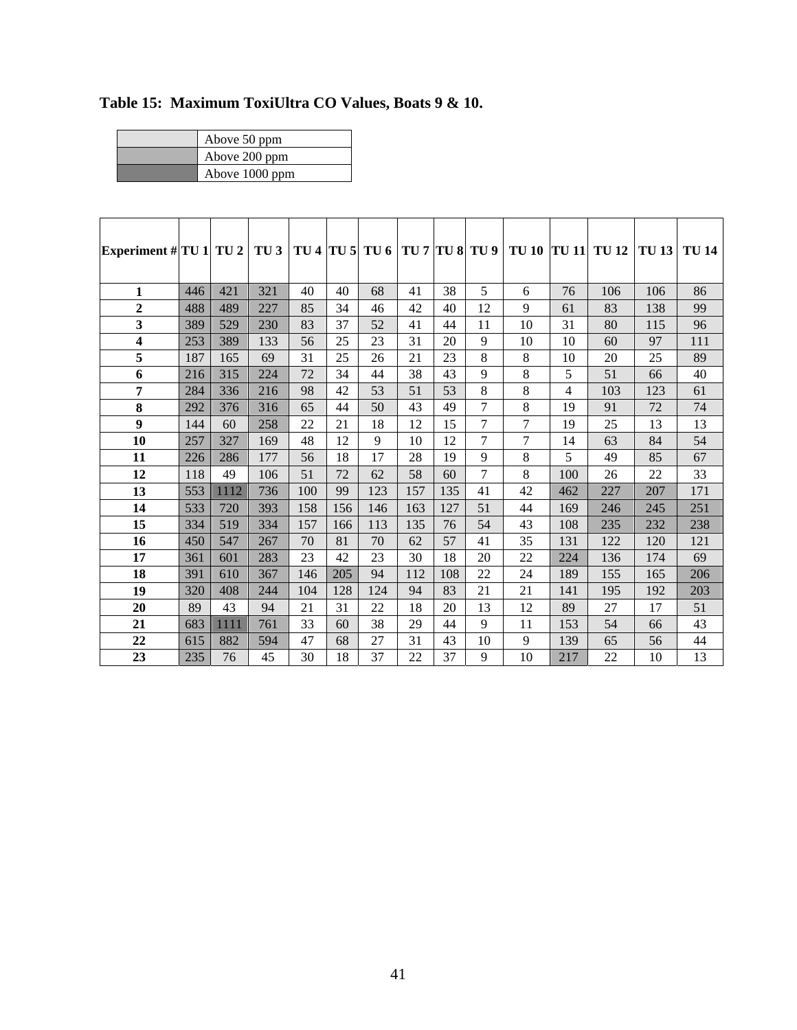| Above 50 ppm   |
|----------------|
| Above 200 ppm  |
| Above 1000 ppm |

| Experiment # $TU 1$ TU 2 |     |      | TU3 |     |     | TU 4 TU 5 TU 6 TU 7 TU 8 TU 9 |     |     |    | <b>TU 10 TU 11</b> |     | <b>TU 12</b> | <b>TU13</b> | <b>TU 14</b> |
|--------------------------|-----|------|-----|-----|-----|-------------------------------|-----|-----|----|--------------------|-----|--------------|-------------|--------------|
|                          |     |      |     |     |     |                               |     |     |    |                    |     |              |             |              |
| 1                        | 446 | 421  | 321 | 40  | 40  | 68                            | 41  | 38  | 5  | 6                  | 76  | 106          | 106         | 86           |
| $\overline{2}$           | 488 | 489  | 227 | 85  | 34  | 46                            | 42  | 40  | 12 | 9                  | 61  | 83           | 138         | 99           |
| 3                        | 389 | 529  | 230 | 83  | 37  | 52                            | 41  | 44  | 11 | 10                 | 31  | 80           | 115         | 96           |
| 4                        | 253 | 389  | 133 | 56  | 25  | 23                            | 31  | 20  | 9  | 10                 | 10  | 60           | 97          | 111          |
| 5                        | 187 | 165  | 69  | 31  | 25  | 26                            | 21  | 23  | 8  | 8                  | 10  | 20           | 25          | 89           |
| 6                        | 216 | 315  | 224 | 72  | 34  | 44                            | 38  | 43  | 9  | 8                  | 5   | 51           | 66          | 40           |
| 7                        | 284 | 336  | 216 | 98  | 42  | 53                            | 51  | 53  | 8  | 8                  | 4   | 103          | 123         | 61           |
| 8                        | 292 | 376  | 316 | 65  | 44  | 50                            | 43  | 49  | 7  | 8                  | 19  | 91           | 72          | 74           |
| $\boldsymbol{9}$         | 144 | 60   | 258 | 22  | 21  | 18                            | 12  | 15  | 7  | 7                  | 19  | 25           | 13          | 13           |
| 10                       | 257 | 327  | 169 | 48  | 12  | 9                             | 10  | 12  | 7  | 7                  | 14  | 63           | 84          | 54           |
| 11                       | 226 | 286  | 177 | 56  | 18  | 17                            | 28  | 19  | 9  | 8                  | 5   | 49           | 85          | 67           |
| 12                       | 118 | 49   | 106 | 51  | 72  | 62                            | 58  | 60  | 7  | 8                  | 100 | 26           | 22          | 33           |
| 13                       | 553 | 1112 | 736 | 100 | 99  | 123                           | 157 | 135 | 41 | 42                 | 462 | 227          | 207         | 171          |
| 14                       | 533 | 720  | 393 | 158 | 156 | 146                           | 163 | 127 | 51 | 44                 | 169 | 246          | 245         | 251          |
| 15                       | 334 | 519  | 334 | 157 | 166 | 113                           | 135 | 76  | 54 | 43                 | 108 | 235          | 232         | 238          |
| 16                       | 450 | 547  | 267 | 70  | 81  | 70                            | 62  | 57  | 41 | 35                 | 131 | 122          | 120         | 121          |
| 17                       | 361 | 601  | 283 | 23  | 42  | 23                            | 30  | 18  | 20 | 22                 | 224 | 136          | 174         | 69           |
| 18                       | 391 | 610  | 367 | 146 | 205 | 94                            | 112 | 108 | 22 | 24                 | 189 | 155          | 165         | 206          |
| 19                       | 320 | 408  | 244 | 104 | 128 | 124                           | 94  | 83  | 21 | 21                 | 141 | 195          | 192         | 203          |
| 20                       | 89  | 43   | 94  | 21  | 31  | 22                            | 18  | 20  | 13 | 12                 | 89  | 27           | 17          | 51           |
| 21                       | 683 | 1111 | 761 | 33  | 60  | 38                            | 29  | 44  | 9  | 11                 | 153 | 54           | 66          | 43           |
| 22                       | 615 | 882  | 594 | 47  | 68  | 27                            | 31  | 43  | 10 | 9                  | 139 | 65           | 56          | 44           |
| 23                       | 235 | 76   | 45  | 30  | 18  | 37                            | 22  | 37  | 9  | 10                 | 217 | 22           | 10          | 13           |

**Table 15: Maximum ToxiUltra CO Values, Boats 9 & 10.**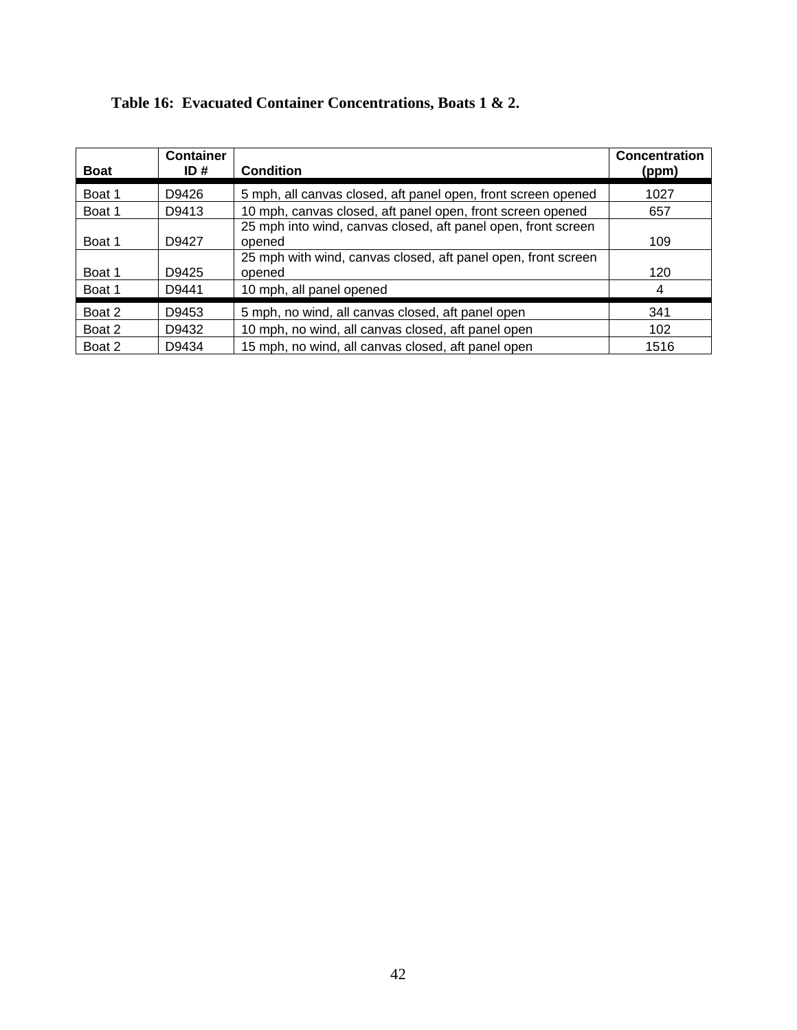| <b>Boat</b> | <b>Container</b><br>ID# | <b>Condition</b>                                                                                                                         | Concentration<br>(ppm) |
|-------------|-------------------------|------------------------------------------------------------------------------------------------------------------------------------------|------------------------|
| Boat 1      | D9426                   | 5 mph, all canvas closed, aft panel open, front screen opened                                                                            | 1027                   |
| Boat 1      | D9413                   | 10 mph, canvas closed, aft panel open, front screen opened                                                                               | 657                    |
| Boat 1      | D9427                   | 25 mph into wind, canvas closed, aft panel open, front screen<br>opened<br>25 mph with wind, canvas closed, aft panel open, front screen | 109                    |
| Boat 1      | D9425                   | opened                                                                                                                                   | 120                    |
| Boat 1      | D9441                   | 10 mph, all panel opened                                                                                                                 | 4                      |
| Boat 2      | D9453                   | 5 mph, no wind, all canvas closed, aft panel open                                                                                        | 341                    |
| Boat 2      | D9432                   | 10 mph, no wind, all canvas closed, aft panel open                                                                                       | 102                    |
| Boat 2      | D9434                   | 15 mph, no wind, all canvas closed, aft panel open                                                                                       | 1516                   |

### **Table 16: Evacuated Container Concentrations, Boats 1 & 2.**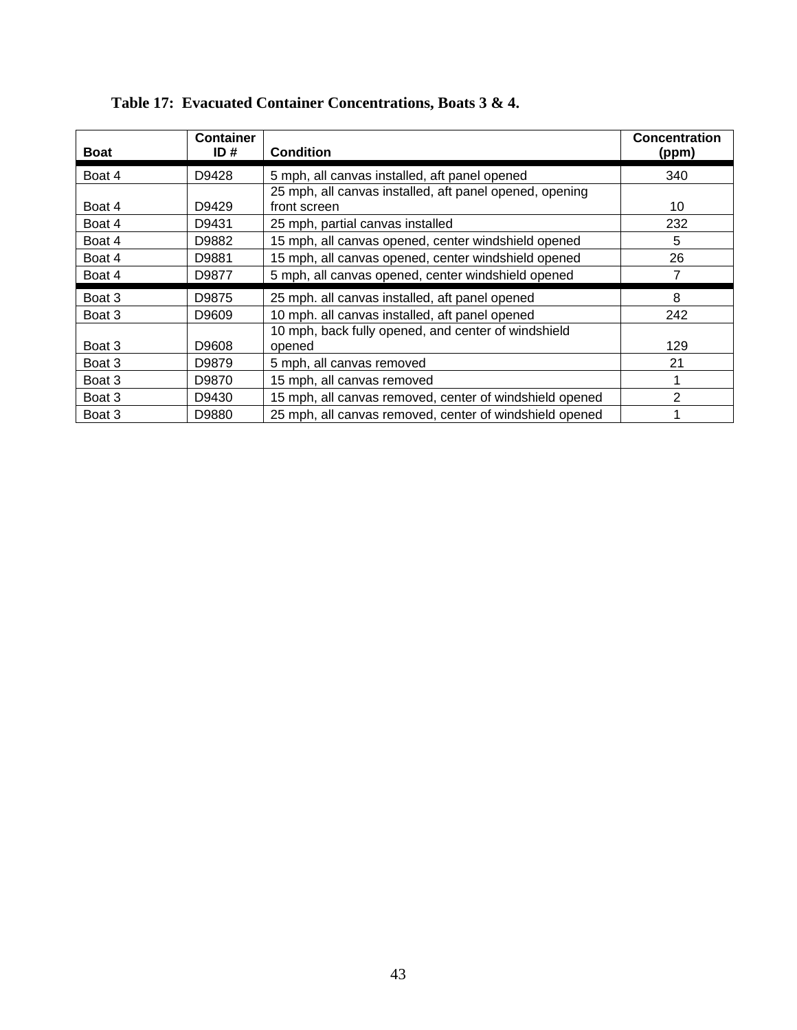| <b>Boat</b> | <b>Container</b><br>ID# | <b>Condition</b>                                        | <b>Concentration</b><br>(ppm) |
|-------------|-------------------------|---------------------------------------------------------|-------------------------------|
| Boat 4      | D9428                   | 5 mph, all canvas installed, aft panel opened           | 340                           |
|             |                         | 25 mph, all canvas installed, aft panel opened, opening |                               |
| Boat 4      | D9429                   | front screen                                            | 10                            |
| Boat 4      | D9431                   | 25 mph, partial canvas installed                        | 232                           |
| Boat 4      | D9882                   | 15 mph, all canvas opened, center windshield opened     | 5                             |
| Boat 4      | D9881                   | 15 mph, all canvas opened, center windshield opened     | 26                            |
| Boat 4      | D9877                   | 5 mph, all canvas opened, center windshield opened      |                               |
| Boat 3      | D9875                   | 25 mph. all canvas installed, aft panel opened          | 8                             |
| Boat 3      | D9609                   | 10 mph. all canvas installed, aft panel opened          | 242                           |
|             |                         | 10 mph, back fully opened, and center of windshield     |                               |
| Boat 3      | D9608                   | opened                                                  | 129                           |
| Boat 3      | D9879                   | 5 mph, all canvas removed                               | 21                            |
| Boat 3      | D9870                   | 15 mph, all canvas removed                              |                               |
| Boat 3      | D9430                   | 15 mph, all canvas removed, center of windshield opened | 2                             |
| Boat 3      | D9880                   | 25 mph, all canvas removed, center of windshield opened |                               |

### **Table 17: Evacuated Container Concentrations, Boats 3 & 4.**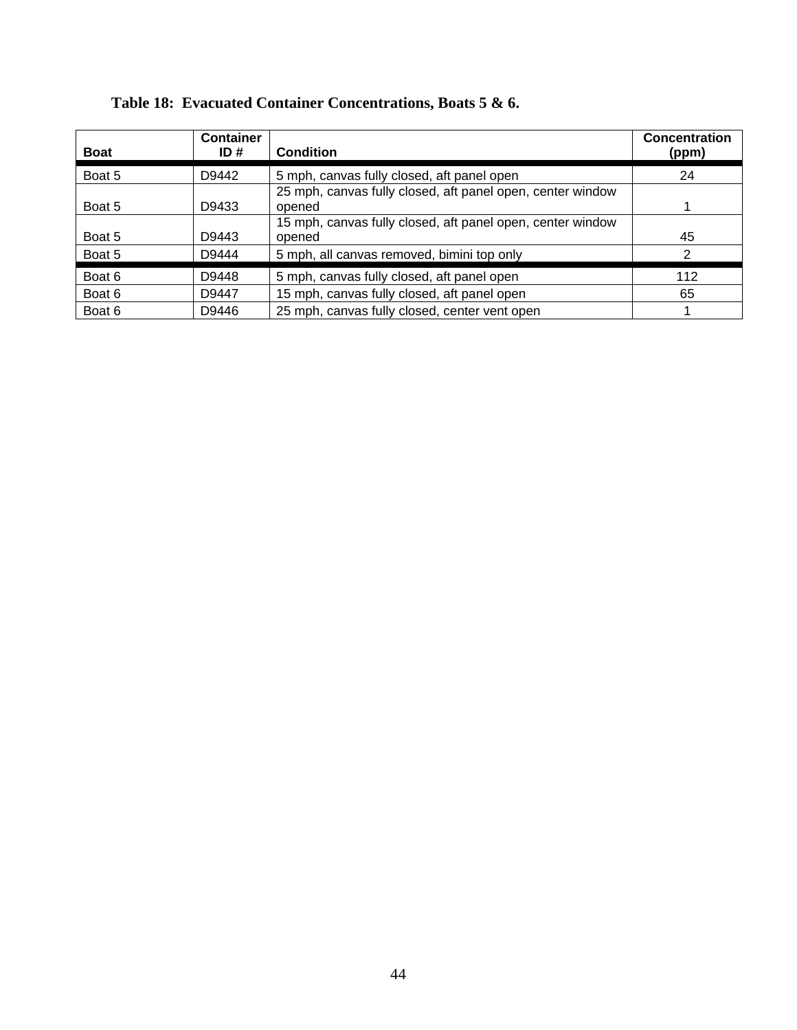| <b>Boat</b> | <b>Container</b><br>ID# | <b>Condition</b>                                           | <b>Concentration</b><br>(ppm) |
|-------------|-------------------------|------------------------------------------------------------|-------------------------------|
| Boat 5      | D9442                   | 5 mph, canvas fully closed, aft panel open                 | 24                            |
|             |                         | 25 mph, canvas fully closed, aft panel open, center window |                               |
| Boat 5      | D9433                   | opened                                                     |                               |
|             |                         | 15 mph, canvas fully closed, aft panel open, center window |                               |
| Boat 5      | D9443                   | opened                                                     | 45                            |
| Boat 5      | D9444                   | 5 mph, all canvas removed, bimini top only                 | 2                             |
| Boat 6      | D9448                   | 5 mph, canvas fully closed, aft panel open                 | 112                           |
| Boat 6      | D9447                   | 15 mph, canvas fully closed, aft panel open                | 65                            |
| Boat 6      | D9446                   | 25 mph, canvas fully closed, center vent open              |                               |

### **Table 18: Evacuated Container Concentrations, Boats 5 & 6.**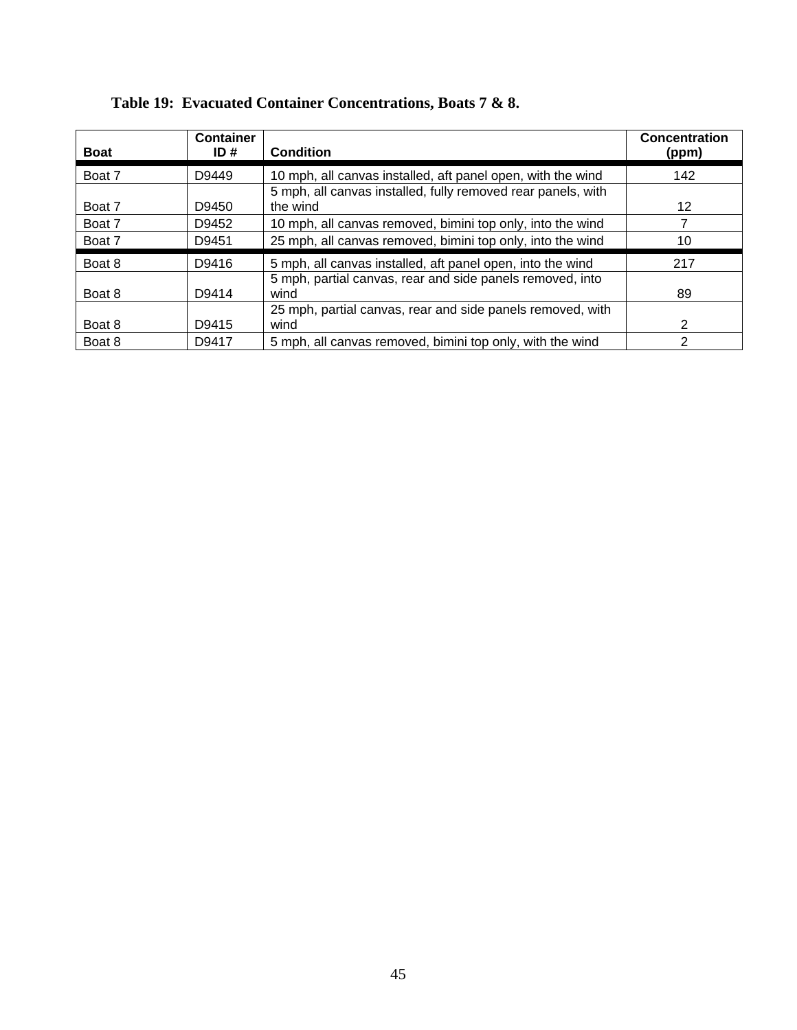| <b>Boat</b> | <b>Container</b><br>ID# | <b>Condition</b>                                             | <b>Concentration</b><br>(ppm) |
|-------------|-------------------------|--------------------------------------------------------------|-------------------------------|
| Boat 7      | D9449                   | 10 mph, all canvas installed, aft panel open, with the wind  | 142                           |
|             |                         | 5 mph, all canvas installed, fully removed rear panels, with |                               |
| Boat 7      | D9450                   | the wind                                                     | 12                            |
| Boat 7      | D9452                   | 10 mph, all canvas removed, bimini top only, into the wind   | 7                             |
| Boat 7      | D9451                   | 25 mph, all canvas removed, bimini top only, into the wind   | 10                            |
| Boat 8      | D9416                   | 5 mph, all canvas installed, aft panel open, into the wind   | 217                           |
|             |                         | 5 mph, partial canvas, rear and side panels removed, into    |                               |
| Boat 8      | D9414                   | wind                                                         | 89                            |
|             |                         | 25 mph, partial canvas, rear and side panels removed, with   |                               |
| Boat 8      | D9415                   | wind                                                         | 2                             |
| Boat 8      | D9417                   | 5 mph, all canvas removed, bimini top only, with the wind    | 2                             |

### **Table 19: Evacuated Container Concentrations, Boats 7 & 8.**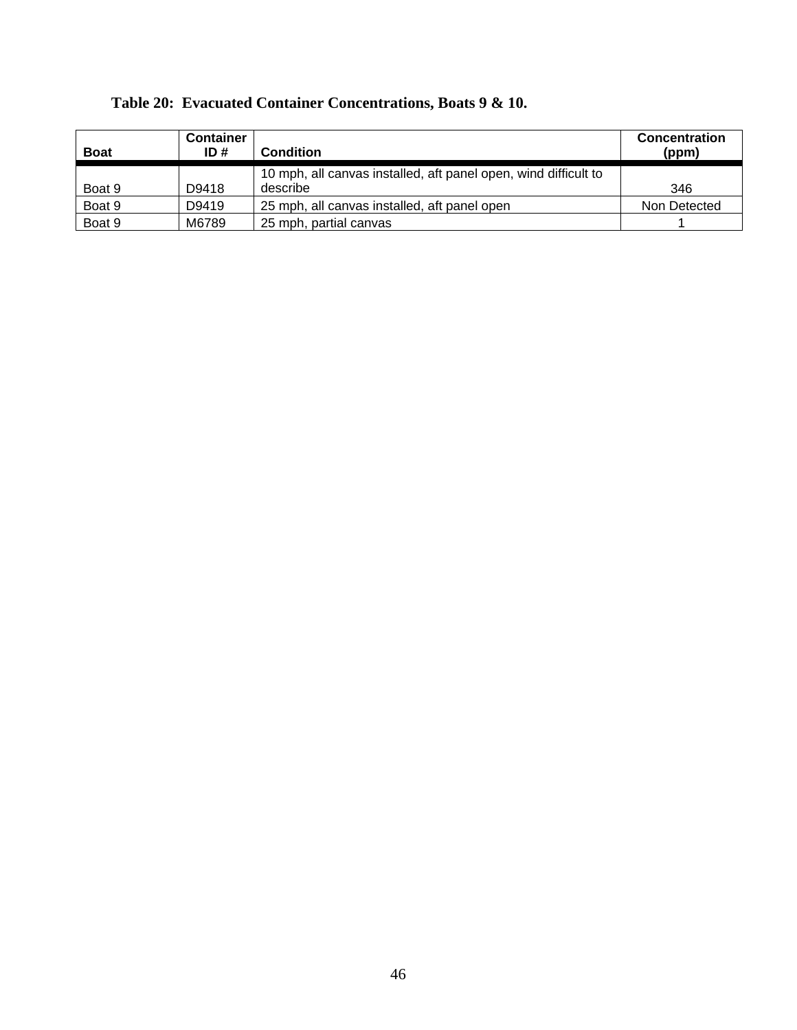| <b>Boat</b> | <b>Container</b><br>ID# | <b>Condition</b>                                                | <b>Concentration</b><br>(ppm) |
|-------------|-------------------------|-----------------------------------------------------------------|-------------------------------|
|             |                         |                                                                 |                               |
|             |                         | 10 mph, all canvas installed, aft panel open, wind difficult to |                               |
| Boat 9      | D9418                   | describe                                                        | 346                           |
| Boat 9      | D9419                   | 25 mph, all canvas installed, aft panel open                    | Non Detected                  |
| Boat 9      | M6789                   | 25 mph, partial canvas                                          |                               |

### **Table 20: Evacuated Container Concentrations, Boats 9 & 10.**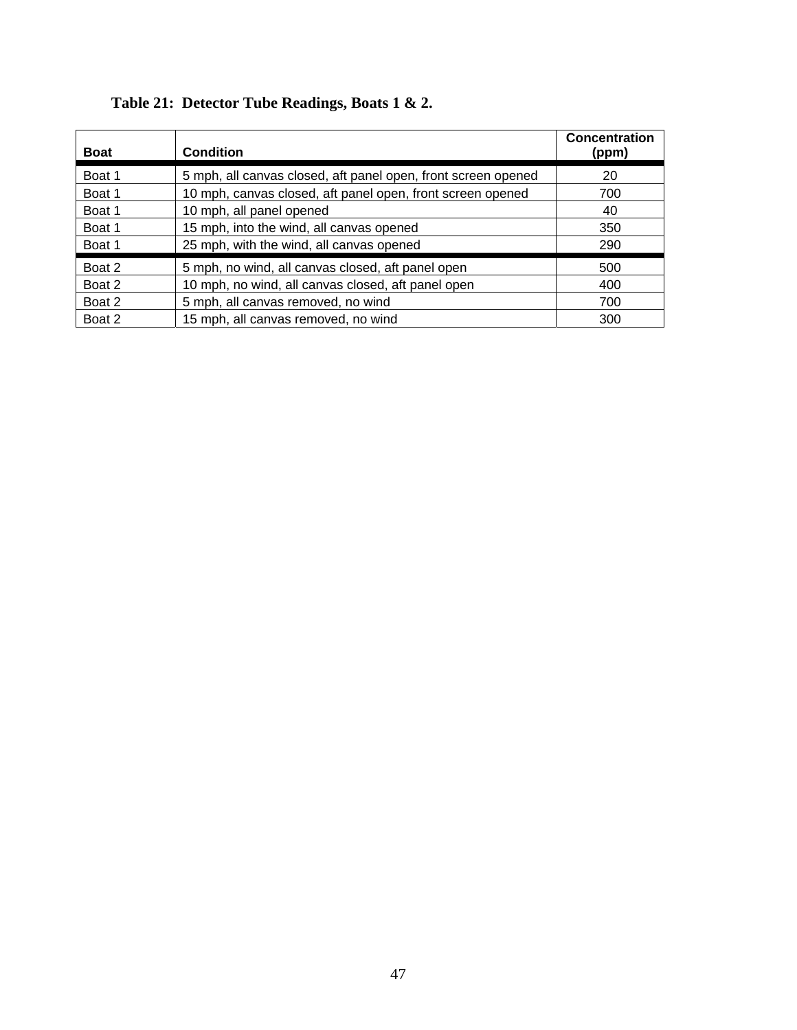| <b>Boat</b> | <b>Condition</b>                                              | <b>Concentration</b><br>(ppm) |
|-------------|---------------------------------------------------------------|-------------------------------|
| Boat 1      | 5 mph, all canvas closed, aft panel open, front screen opened | 20                            |
| Boat 1      | 10 mph, canvas closed, aft panel open, front screen opened    | 700                           |
| Boat 1      | 10 mph, all panel opened                                      | 40                            |
| Boat 1      | 15 mph, into the wind, all canvas opened                      | 350                           |
| Boat 1      | 25 mph, with the wind, all canvas opened                      | 290                           |
| Boat 2      | 5 mph, no wind, all canvas closed, aft panel open             | 500                           |
| Boat 2      | 10 mph, no wind, all canvas closed, aft panel open            | 400                           |
| Boat 2      | 5 mph, all canvas removed, no wind                            | 700                           |
| Boat 2      | 15 mph, all canvas removed, no wind                           | 300                           |

# **Table 21: Detector Tube Readings, Boats 1 & 2.**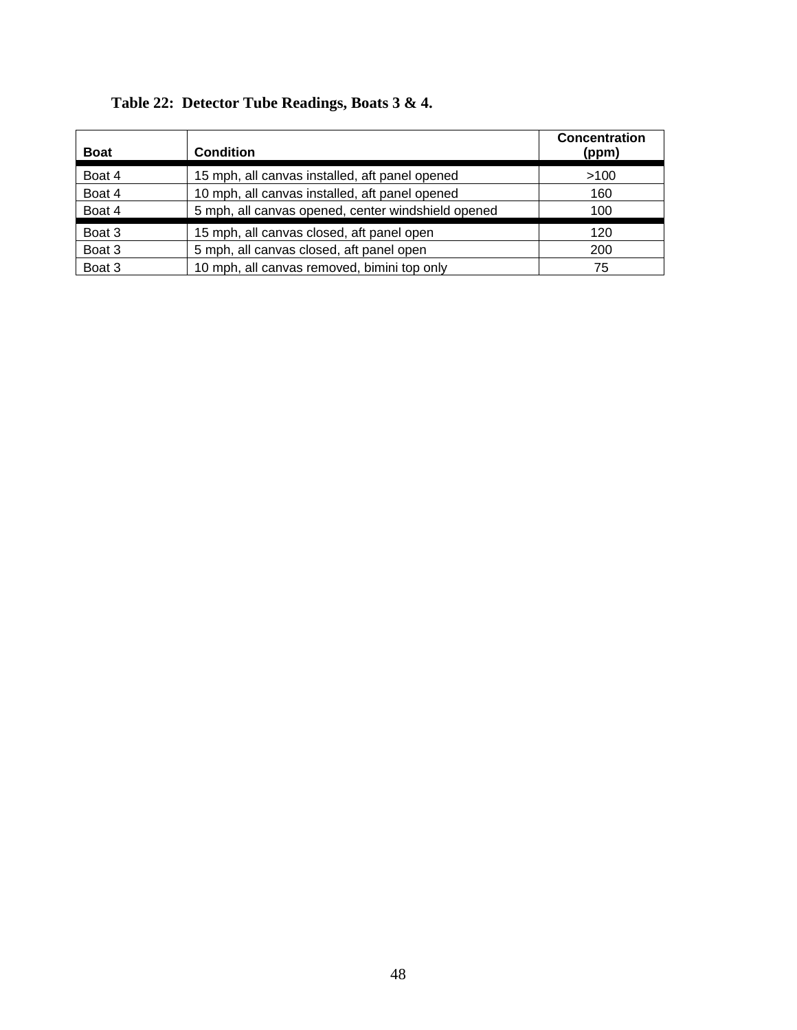| <b>Boat</b> | <b>Condition</b>                                   | <b>Concentration</b><br>(ppm) |
|-------------|----------------------------------------------------|-------------------------------|
| Boat 4      | 15 mph, all canvas installed, aft panel opened     | >100                          |
| Boat 4      | 10 mph, all canvas installed, aft panel opened     | 160                           |
| Boat 4      | 5 mph, all canvas opened, center windshield opened | 100                           |
| Boat 3      | 15 mph, all canvas closed, aft panel open          | 120                           |
| Boat 3      | 5 mph, all canvas closed, aft panel open           | 200                           |
| Boat 3      | 10 mph, all canvas removed, bimini top only        | 75                            |

# **Table 22: Detector Tube Readings, Boats 3 & 4.**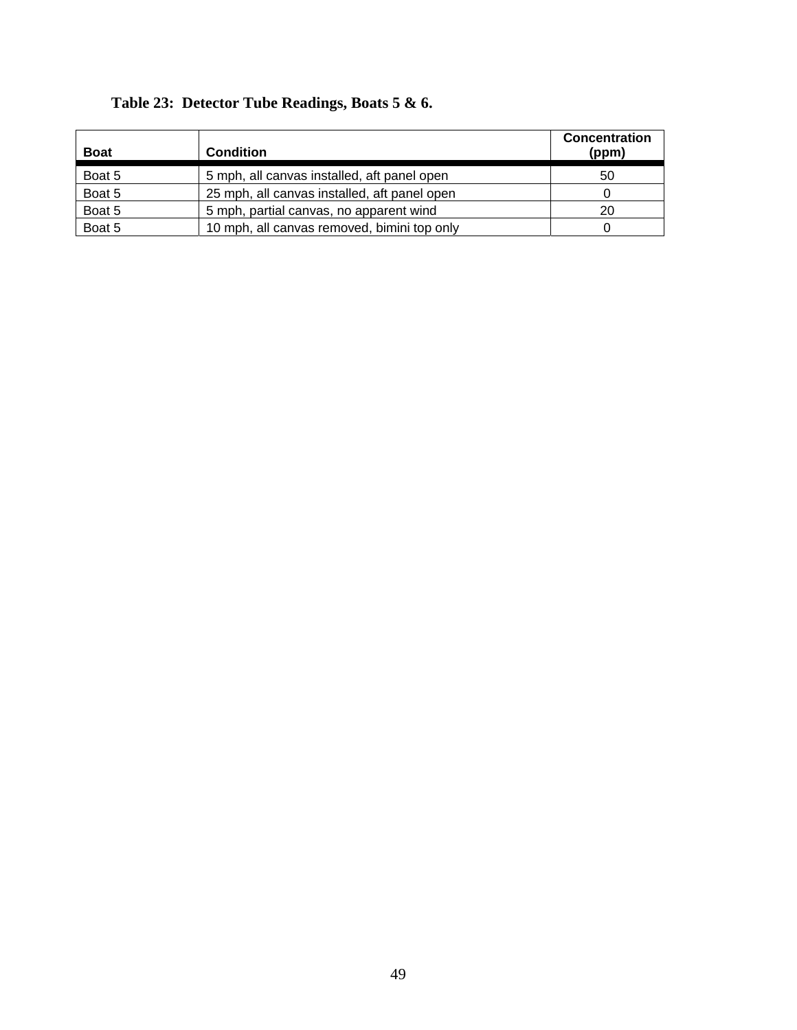| <b>Boat</b> | <b>Condition</b>                             | <b>Concentration</b><br>(ppm) |
|-------------|----------------------------------------------|-------------------------------|
| Boat 5      | 5 mph, all canvas installed, aft panel open  | 50                            |
| Boat 5      | 25 mph, all canvas installed, aft panel open |                               |
| Boat 5      | 5 mph, partial canvas, no apparent wind      | 20                            |
| Boat 5      | 10 mph, all canvas removed, bimini top only  |                               |

### **Table 23: Detector Tube Readings, Boats 5 & 6.**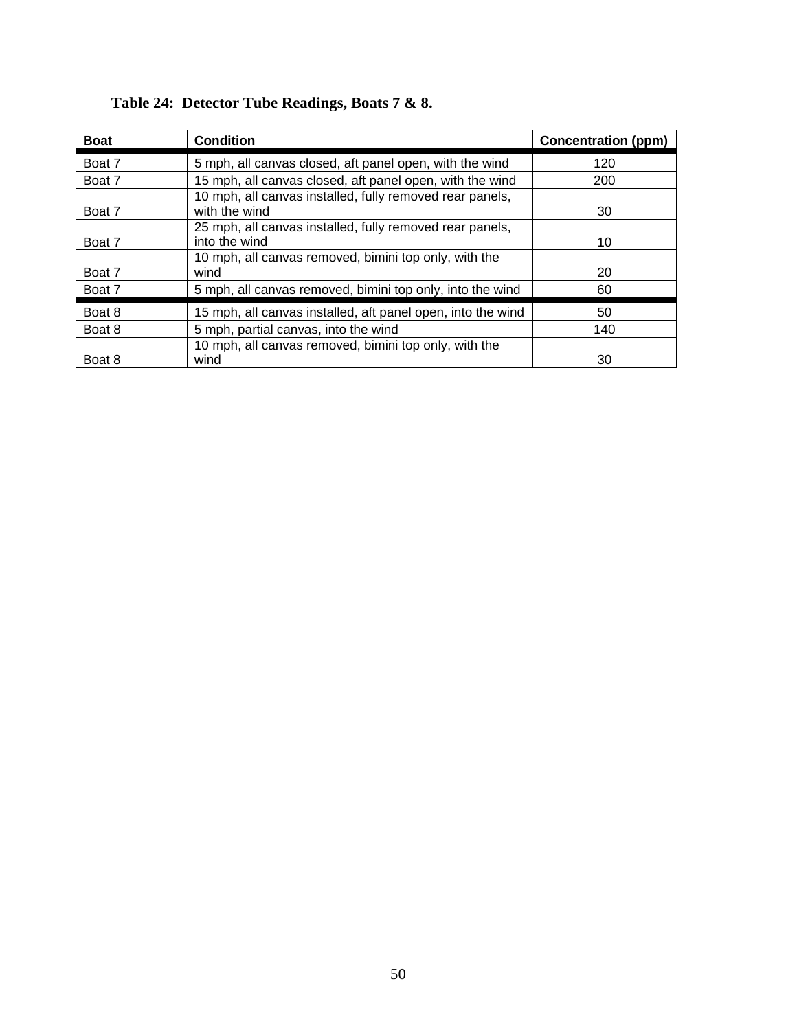| <b>Boat</b> | <b>Condition</b>                                                          | <b>Concentration (ppm)</b> |
|-------------|---------------------------------------------------------------------------|----------------------------|
| Boat 7      | 5 mph, all canvas closed, aft panel open, with the wind                   | 120                        |
| Boat 7      | 15 mph, all canvas closed, aft panel open, with the wind                  | 200                        |
| Boat 7      | 10 mph, all canvas installed, fully removed rear panels,<br>with the wind | 30                         |
| Boat 7      | 25 mph, all canvas installed, fully removed rear panels,<br>into the wind | 10                         |
| Boat 7      | 10 mph, all canvas removed, bimini top only, with the<br>wind             | 20                         |
| Boat 7      | 5 mph, all canvas removed, bimini top only, into the wind                 | 60                         |
| Boat 8      | 15 mph, all canvas installed, aft panel open, into the wind               | 50                         |
| Boat 8      | 5 mph, partial canvas, into the wind                                      | 140                        |
|             | 10 mph, all canvas removed, bimini top only, with the                     |                            |
| Boat 8      | wind                                                                      | 30                         |

# **Table 24: Detector Tube Readings, Boats 7 & 8.**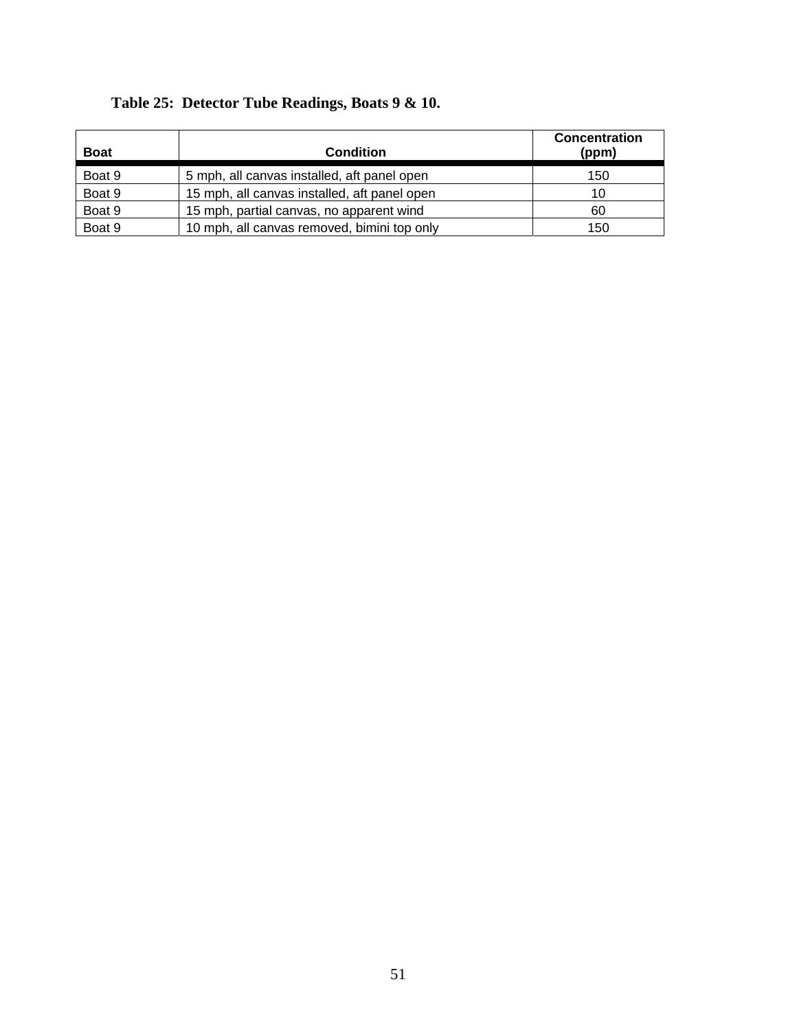| <b>Boat</b> | <b>Condition</b>                             | <b>Concentration</b><br>(ppm) |
|-------------|----------------------------------------------|-------------------------------|
| Boat 9      | 5 mph, all canvas installed, aft panel open  | 150                           |
| Boat 9      | 15 mph, all canvas installed, aft panel open | 10                            |
| Boat 9      | 15 mph, partial canvas, no apparent wind     | 60                            |
| Boat 9      | 10 mph, all canvas removed, bimini top only  | 150                           |

### **Table 25: Detector Tube Readings, Boats 9 & 10.**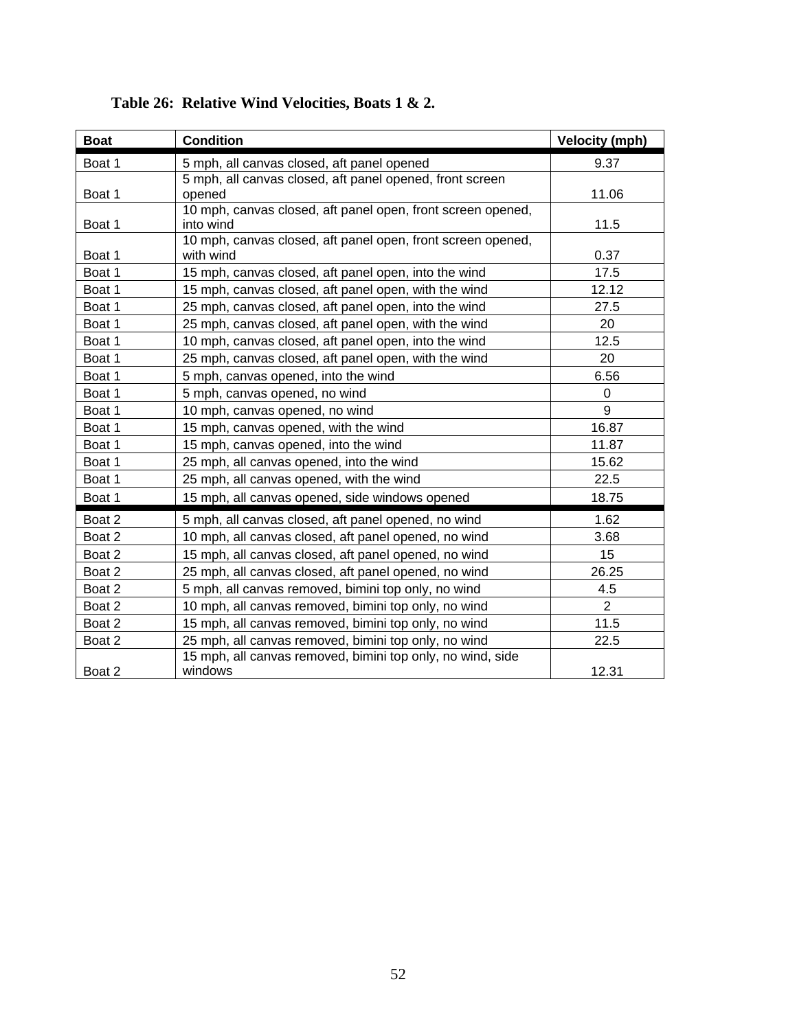| <b>Boat</b> | <b>Condition</b>                                                         | <b>Velocity (mph)</b> |
|-------------|--------------------------------------------------------------------------|-----------------------|
| Boat 1      | 5 mph, all canvas closed, aft panel opened                               | 9.37                  |
| Boat 1      | 5 mph, all canvas closed, aft panel opened, front screen<br>opened       | 11.06                 |
| Boat 1      | 10 mph, canvas closed, aft panel open, front screen opened,<br>into wind | 11.5                  |
| Boat 1      | 10 mph, canvas closed, aft panel open, front screen opened,<br>with wind | 0.37                  |
| Boat 1      | 15 mph, canvas closed, aft panel open, into the wind                     | 17.5                  |
| Boat 1      | 15 mph, canvas closed, aft panel open, with the wind                     | 12.12                 |
| Boat 1      | 25 mph, canvas closed, aft panel open, into the wind                     | 27.5                  |
| Boat 1      | 25 mph, canvas closed, aft panel open, with the wind                     | 20                    |
| Boat 1      | 10 mph, canvas closed, aft panel open, into the wind                     | 12.5                  |
| Boat 1      | 25 mph, canvas closed, aft panel open, with the wind                     | 20                    |
| Boat 1      | 5 mph, canvas opened, into the wind                                      | 6.56                  |
| Boat 1      | 5 mph, canvas opened, no wind                                            | $\mathbf 0$           |
| Boat 1      | 10 mph, canvas opened, no wind                                           | 9                     |
| Boat 1      | 15 mph, canvas opened, with the wind                                     | 16.87                 |
| Boat 1      | 15 mph, canvas opened, into the wind                                     | 11.87                 |
| Boat 1      | 25 mph, all canvas opened, into the wind                                 | 15.62                 |
| Boat 1      | 25 mph, all canvas opened, with the wind                                 | 22.5                  |
| Boat 1      | 15 mph, all canvas opened, side windows opened                           | 18.75                 |
| Boat 2      | 5 mph, all canvas closed, aft panel opened, no wind                      | 1.62                  |
| Boat 2      | 10 mph, all canvas closed, aft panel opened, no wind                     | 3.68                  |
| Boat 2      | 15 mph, all canvas closed, aft panel opened, no wind                     | 15                    |
| Boat 2      | 25 mph, all canvas closed, aft panel opened, no wind                     | 26.25                 |
| Boat 2      | 5 mph, all canvas removed, bimini top only, no wind                      | 4.5                   |
| Boat 2      | 10 mph, all canvas removed, bimini top only, no wind                     | $\overline{2}$        |
| Boat 2      | 15 mph, all canvas removed, bimini top only, no wind                     | 11.5                  |
| Boat 2      | 25 mph, all canvas removed, bimini top only, no wind                     | 22.5                  |
| Boat 2      | 15 mph, all canvas removed, bimini top only, no wind, side<br>windows    | 12.31                 |

### **Table 26: Relative Wind Velocities, Boats 1 & 2.**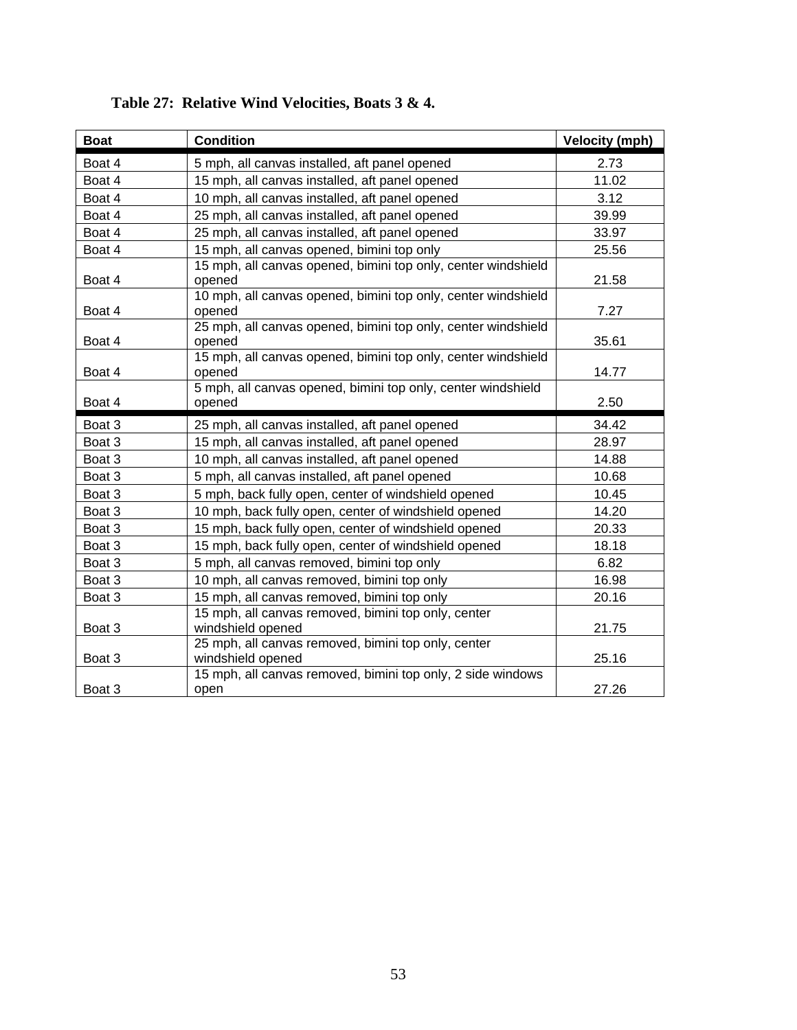| <b>Boat</b> | <b>Condition</b>                                                                                                                        | <b>Velocity (mph)</b> |
|-------------|-----------------------------------------------------------------------------------------------------------------------------------------|-----------------------|
| Boat 4      | 5 mph, all canvas installed, aft panel opened                                                                                           | 2.73                  |
| Boat 4      | 15 mph, all canvas installed, aft panel opened                                                                                          | 11.02                 |
| Boat 4      | 10 mph, all canvas installed, aft panel opened                                                                                          | 3.12                  |
| Boat 4      | 25 mph, all canvas installed, aft panel opened                                                                                          | 39.99                 |
| Boat 4      | 25 mph, all canvas installed, aft panel opened                                                                                          | 33.97                 |
| Boat 4      | 15 mph, all canvas opened, bimini top only                                                                                              | 25.56                 |
| Boat 4      | 15 mph, all canvas opened, bimini top only, center windshield<br>opened                                                                 | 21.58                 |
| Boat 4      | 10 mph, all canvas opened, bimini top only, center windshield<br>opened                                                                 | 7.27                  |
| Boat 4      | 25 mph, all canvas opened, bimini top only, center windshield<br>opened                                                                 | 35.61                 |
| Boat 4      | 15 mph, all canvas opened, bimini top only, center windshield<br>opened                                                                 | 14.77                 |
|             | 5 mph, all canvas opened, bimini top only, center windshield                                                                            |                       |
| Boat 4      | opened                                                                                                                                  | 2.50                  |
|             |                                                                                                                                         |                       |
| Boat 3      | 25 mph, all canvas installed, aft panel opened                                                                                          | 34.42                 |
| Boat 3      | 15 mph, all canvas installed, aft panel opened                                                                                          | 28.97                 |
| Boat 3      | 10 mph, all canvas installed, aft panel opened                                                                                          | 14.88                 |
| Boat 3      | 5 mph, all canvas installed, aft panel opened                                                                                           | 10.68                 |
| Boat 3      | 5 mph, back fully open, center of windshield opened                                                                                     | 10.45                 |
| Boat 3      | 10 mph, back fully open, center of windshield opened                                                                                    | 14.20                 |
| Boat 3      | 15 mph, back fully open, center of windshield opened                                                                                    | 20.33                 |
| Boat 3      | 15 mph, back fully open, center of windshield opened                                                                                    | 18.18                 |
| Boat 3      | 5 mph, all canvas removed, bimini top only                                                                                              | 6.82                  |
| Boat 3      | 10 mph, all canvas removed, bimini top only                                                                                             | 16.98                 |
| Boat 3      | 15 mph, all canvas removed, bimini top only                                                                                             | 20.16                 |
| Boat 3      | 15 mph, all canvas removed, bimini top only, center<br>windshield opened                                                                | 21.75                 |
| Boat 3      | 25 mph, all canvas removed, bimini top only, center<br>windshield opened<br>15 mph, all canvas removed, bimini top only, 2 side windows | 25.16                 |

### **Table 27: Relative Wind Velocities, Boats 3 & 4.**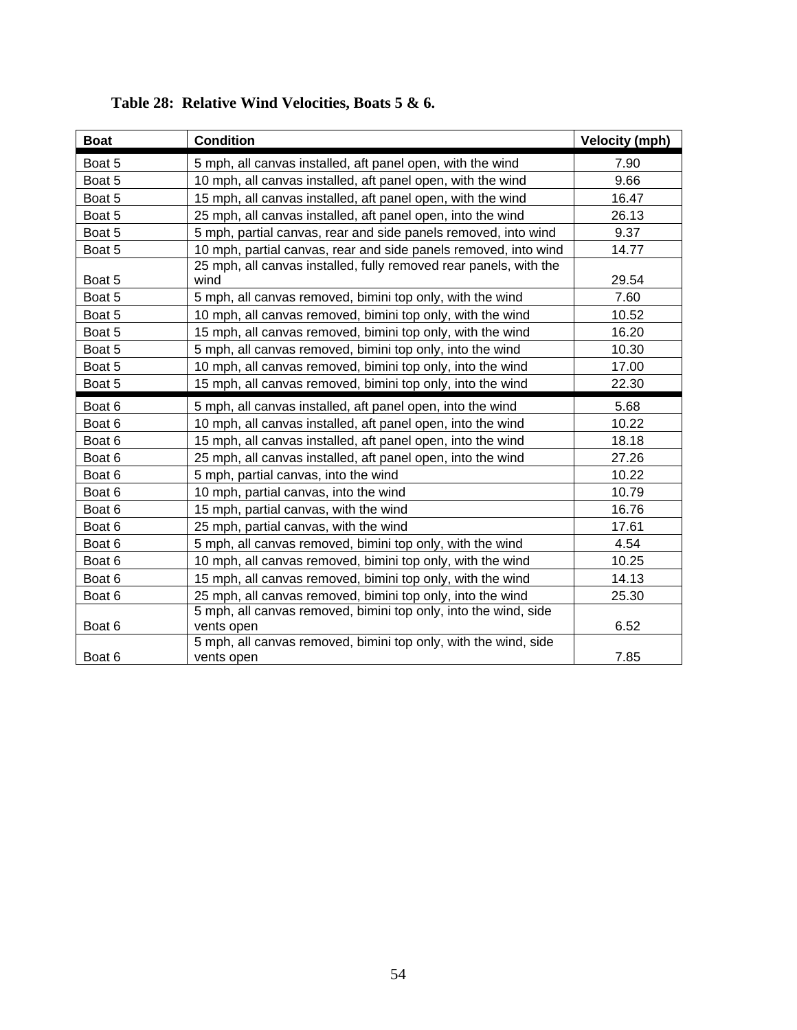| <b>Boat</b> | <b>Condition</b>                                                              | <b>Velocity (mph)</b> |
|-------------|-------------------------------------------------------------------------------|-----------------------|
| Boat 5      | 5 mph, all canvas installed, aft panel open, with the wind                    | 7.90                  |
| Boat 5      | 10 mph, all canvas installed, aft panel open, with the wind                   | 9.66                  |
| Boat 5      | 15 mph, all canvas installed, aft panel open, with the wind                   | 16.47                 |
| Boat 5      | 25 mph, all canvas installed, aft panel open, into the wind                   | 26.13                 |
| Boat 5      | 5 mph, partial canvas, rear and side panels removed, into wind                | 9.37                  |
| Boat 5      | 10 mph, partial canvas, rear and side panels removed, into wind               | 14.77                 |
| Boat 5      | 25 mph, all canvas installed, fully removed rear panels, with the<br>wind     | 29.54                 |
| Boat 5      | 5 mph, all canvas removed, bimini top only, with the wind                     | 7.60                  |
| Boat 5      | 10 mph, all canvas removed, bimini top only, with the wind                    | 10.52                 |
| Boat 5      | 15 mph, all canvas removed, bimini top only, with the wind                    | 16.20                 |
| Boat 5      | 5 mph, all canvas removed, bimini top only, into the wind                     | 10.30                 |
| Boat 5      | 10 mph, all canvas removed, bimini top only, into the wind                    | 17.00                 |
| Boat 5      | 15 mph, all canvas removed, bimini top only, into the wind                    | 22.30                 |
| Boat 6      | 5 mph, all canvas installed, aft panel open, into the wind                    | 5.68                  |
| Boat 6      | 10 mph, all canvas installed, aft panel open, into the wind                   | 10.22                 |
| Boat 6      | 15 mph, all canvas installed, aft panel open, into the wind                   | 18.18                 |
| Boat 6      | 25 mph, all canvas installed, aft panel open, into the wind                   | 27.26                 |
| Boat 6      | 5 mph, partial canvas, into the wind                                          | 10.22                 |
| Boat 6      | 10 mph, partial canvas, into the wind                                         | 10.79                 |
| Boat 6      | 15 mph, partial canvas, with the wind                                         | 16.76                 |
| Boat 6      | 25 mph, partial canvas, with the wind                                         | 17.61                 |
| Boat 6      | 5 mph, all canvas removed, bimini top only, with the wind                     | 4.54                  |
| Boat 6      | 10 mph, all canvas removed, bimini top only, with the wind                    | 10.25                 |
| Boat 6      | 15 mph, all canvas removed, bimini top only, with the wind                    | 14.13                 |
| Boat 6      | 25 mph, all canvas removed, bimini top only, into the wind                    | 25.30                 |
| Boat 6      | 5 mph, all canvas removed, bimini top only, into the wind, side<br>vents open | 6.52                  |
| Boat 6      | 5 mph, all canvas removed, bimini top only, with the wind, side<br>vents open | 7.85                  |

### **Table 28: Relative Wind Velocities, Boats 5 & 6.**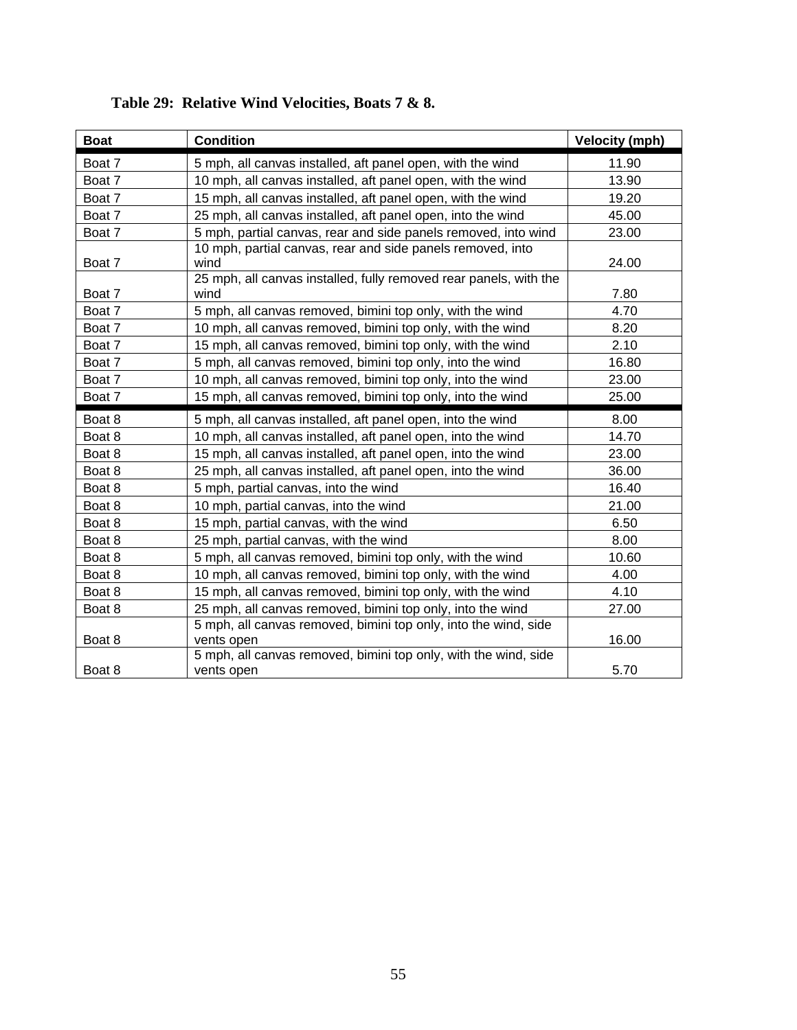| <b>Boat</b> | <b>Condition</b>                                                              | <b>Velocity (mph)</b> |
|-------------|-------------------------------------------------------------------------------|-----------------------|
| Boat 7      | 5 mph, all canvas installed, aft panel open, with the wind                    | 11.90                 |
| Boat 7      | 10 mph, all canvas installed, aft panel open, with the wind                   | 13.90                 |
| Boat 7      | 15 mph, all canvas installed, aft panel open, with the wind                   | 19.20                 |
| Boat 7      | 25 mph, all canvas installed, aft panel open, into the wind                   | 45.00                 |
| Boat 7      | 5 mph, partial canvas, rear and side panels removed, into wind                | 23.00                 |
| Boat 7      | 10 mph, partial canvas, rear and side panels removed, into<br>wind            | 24.00                 |
| Boat 7      | 25 mph, all canvas installed, fully removed rear panels, with the<br>wind     | 7.80                  |
| Boat 7      | 5 mph, all canvas removed, bimini top only, with the wind                     | 4.70                  |
| Boat 7      | 10 mph, all canvas removed, bimini top only, with the wind                    | 8.20                  |
| Boat 7      | 15 mph, all canvas removed, bimini top only, with the wind                    | 2.10                  |
| Boat 7      | 5 mph, all canvas removed, bimini top only, into the wind                     | 16.80                 |
| Boat 7      | 10 mph, all canvas removed, bimini top only, into the wind                    | 23.00                 |
| Boat 7      | 15 mph, all canvas removed, bimini top only, into the wind                    | 25.00                 |
| Boat 8      | 5 mph, all canvas installed, aft panel open, into the wind                    | 8.00                  |
| Boat 8      | 10 mph, all canvas installed, aft panel open, into the wind                   | 14.70                 |
| Boat 8      | 15 mph, all canvas installed, aft panel open, into the wind                   | 23.00                 |
| Boat 8      | 25 mph, all canvas installed, aft panel open, into the wind                   | 36.00                 |
| Boat 8      | 5 mph, partial canvas, into the wind                                          | 16.40                 |
| Boat 8      | 10 mph, partial canvas, into the wind                                         | 21.00                 |
| Boat 8      | 15 mph, partial canvas, with the wind                                         | 6.50                  |
| Boat 8      | 25 mph, partial canvas, with the wind                                         | 8.00                  |
| Boat 8      | 5 mph, all canvas removed, bimini top only, with the wind                     | 10.60                 |
| Boat 8      | 10 mph, all canvas removed, bimini top only, with the wind                    | 4.00                  |
| Boat 8      | 15 mph, all canvas removed, bimini top only, with the wind                    | 4.10                  |
| Boat 8      | 25 mph, all canvas removed, bimini top only, into the wind                    | 27.00                 |
| Boat 8      | 5 mph, all canvas removed, bimini top only, into the wind, side<br>vents open | 16.00                 |
|             | 5 mph, all canvas removed, bimini top only, with the wind, side               |                       |
| Boat 8      | vents open                                                                    | 5.70                  |

### **Table 29: Relative Wind Velocities, Boats 7 & 8.**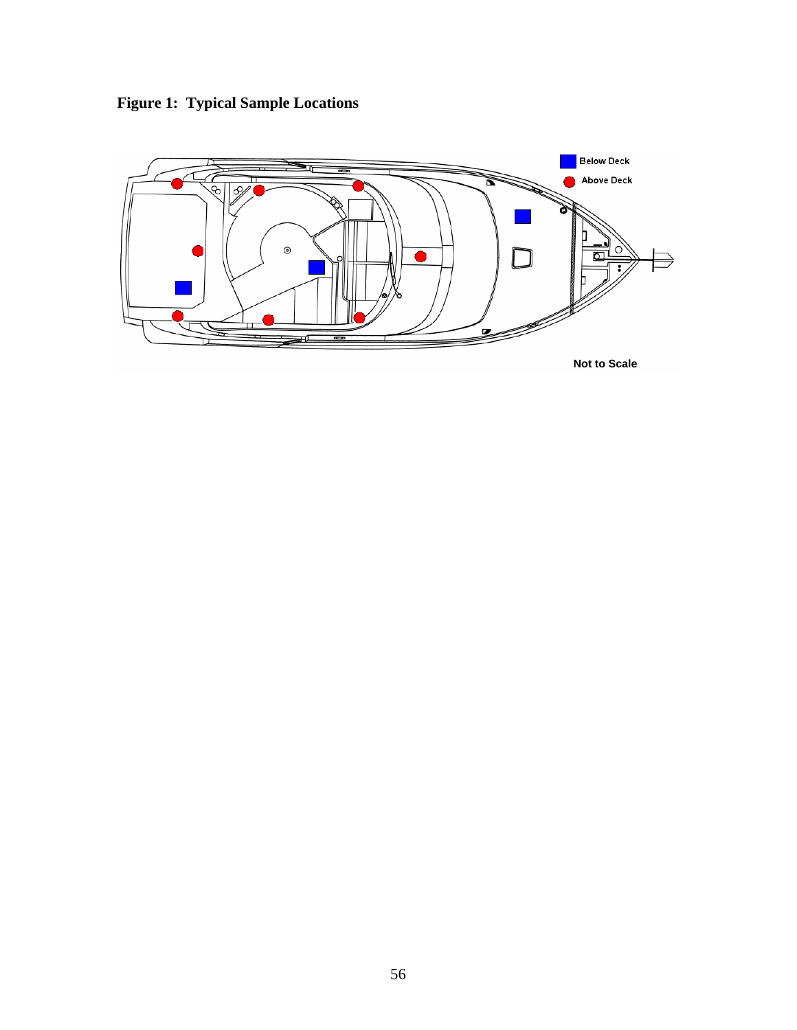**Figure 1: Typical Sample Locations** 

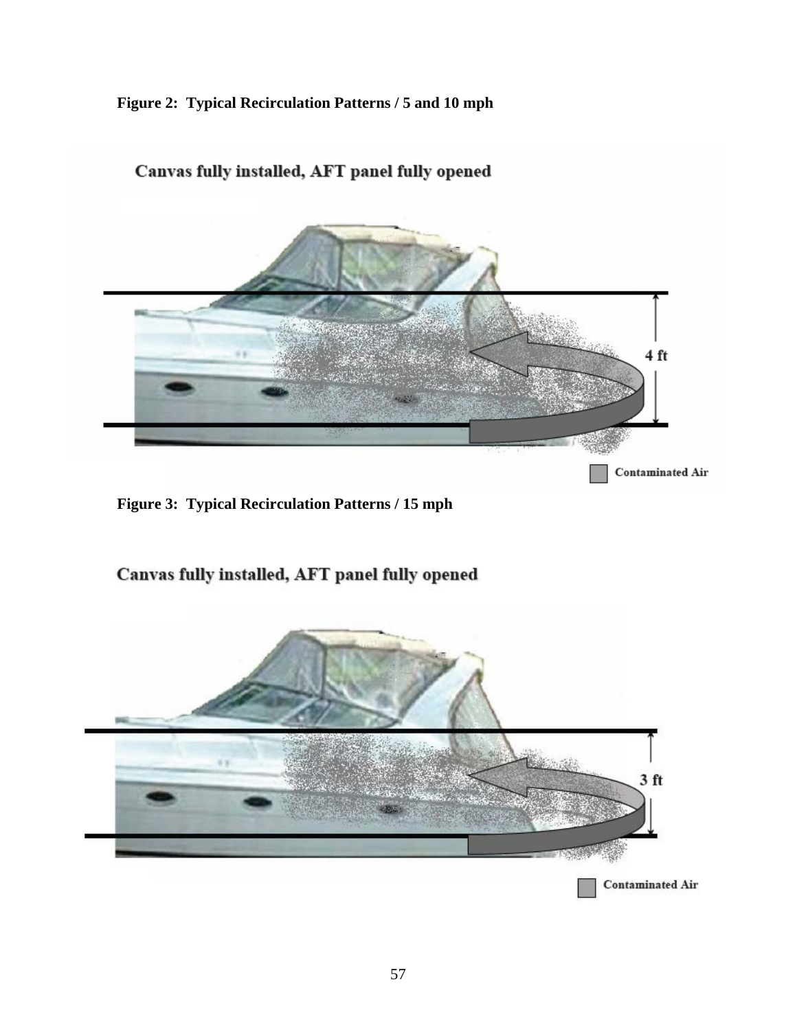#### **Figure 2: Typical Recirculation Patterns / 5 and 10 mph**



#### Canvas fully installed, AFT panel fully opened

**Figure 3: Typical Recirculation Patterns / 15 mph** 

 $\overline{\phantom{a}}$ 



Canvas fully installed, AFT panel fully opened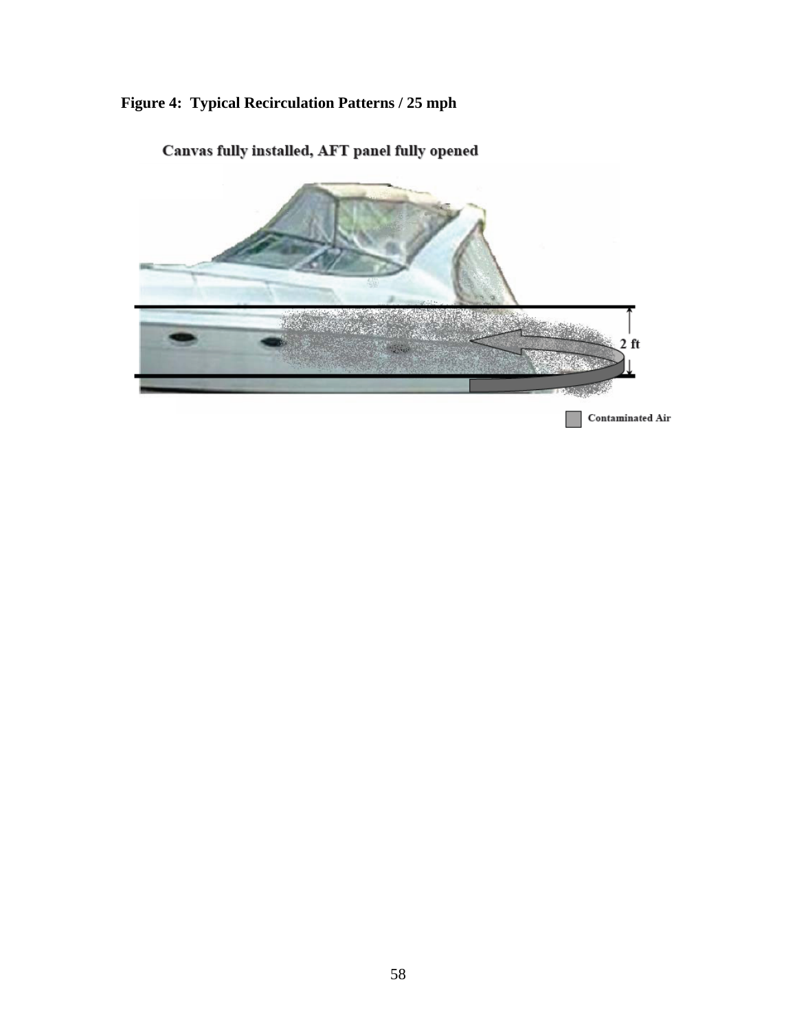### **Figure 4: Typical Recirculation Patterns / 25 mph**



Canvas fully installed, AFT panel fully opened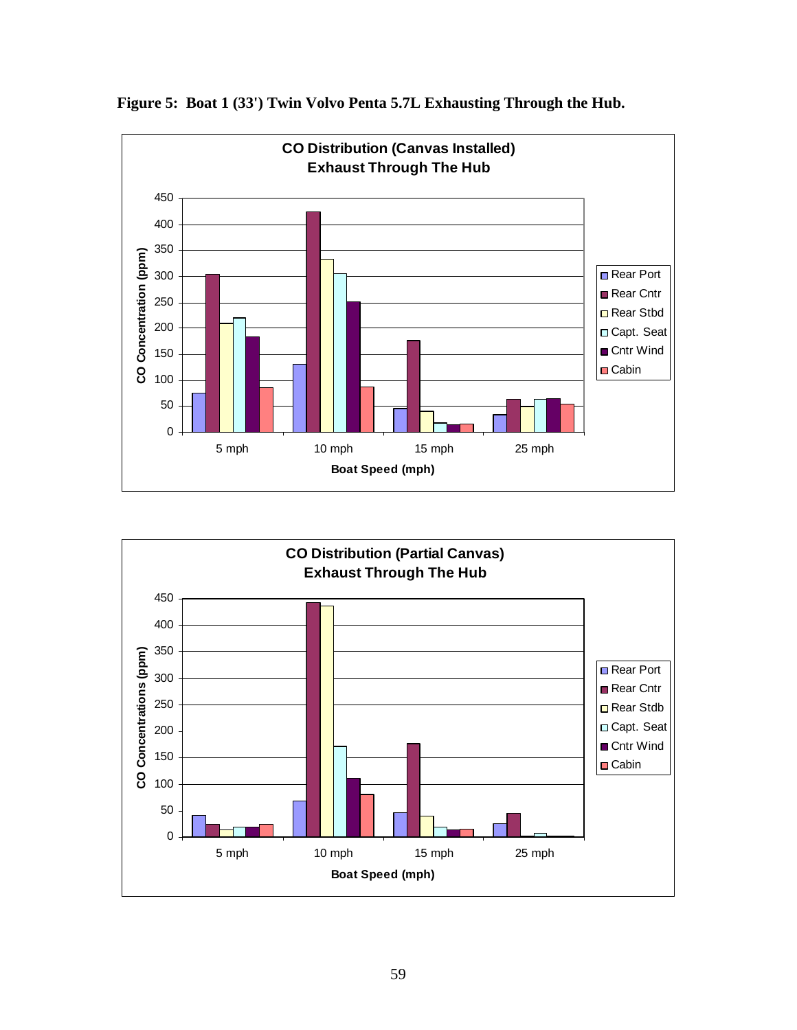

**Figure 5: Boat 1 (33') Twin Volvo Penta 5.7L Exhausting Through the Hub.** 

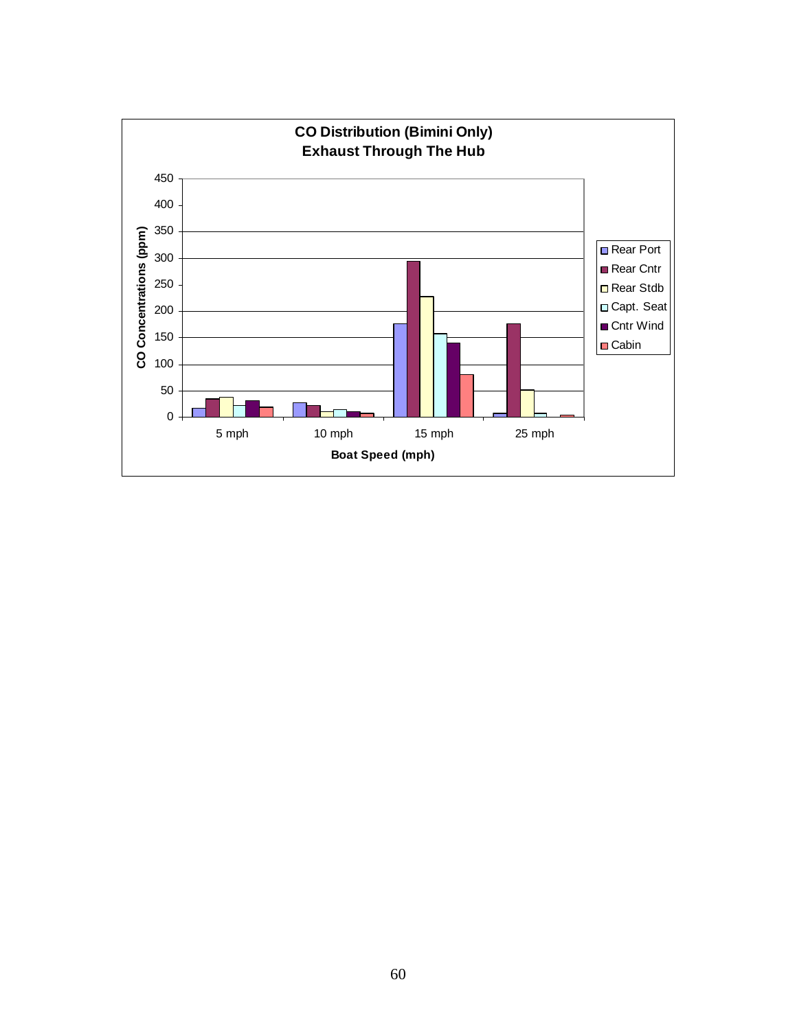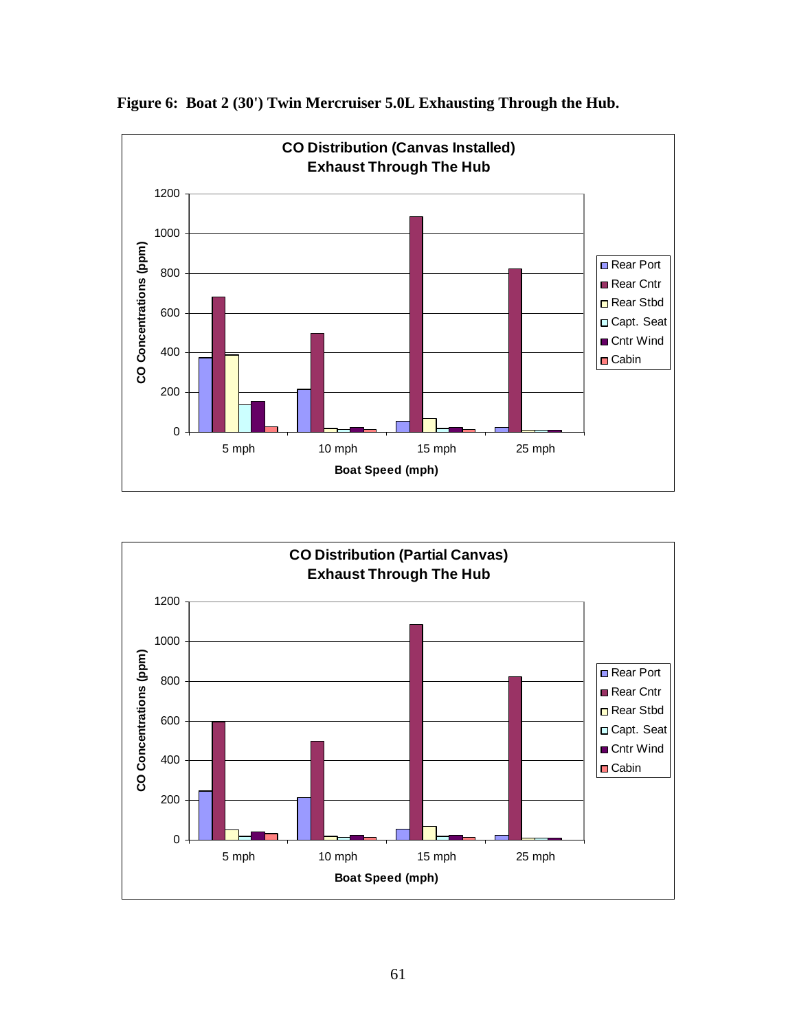

**Figure 6: Boat 2 (30') Twin Mercruiser 5.0L Exhausting Through the Hub.** 

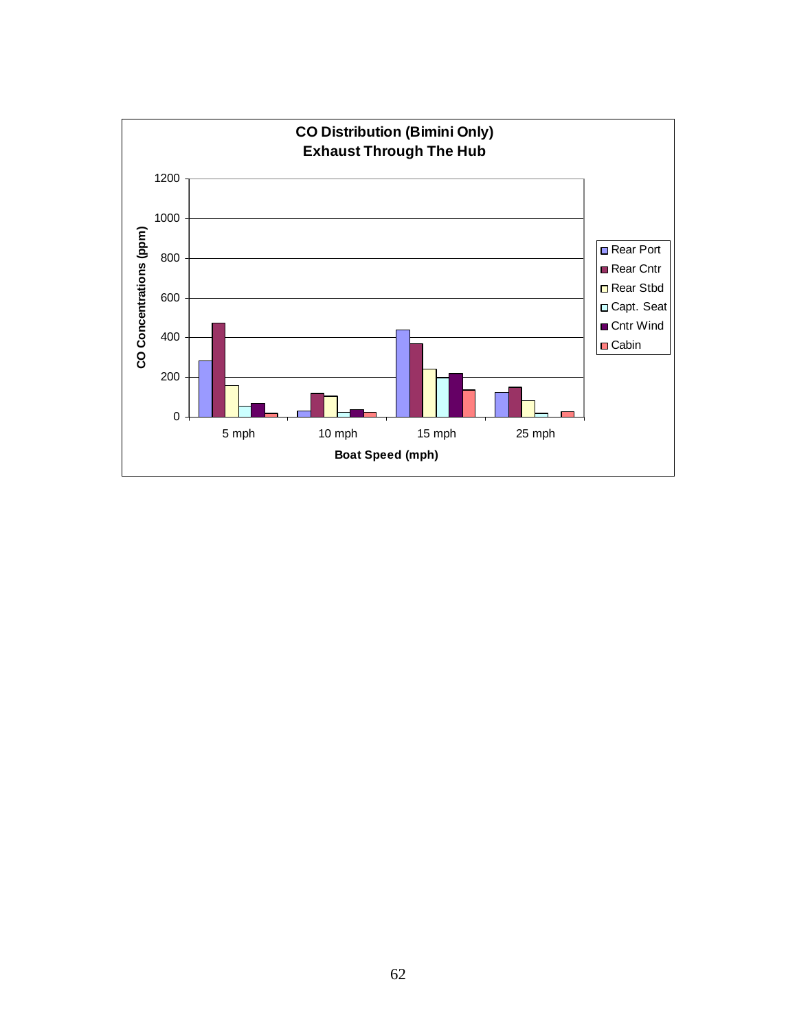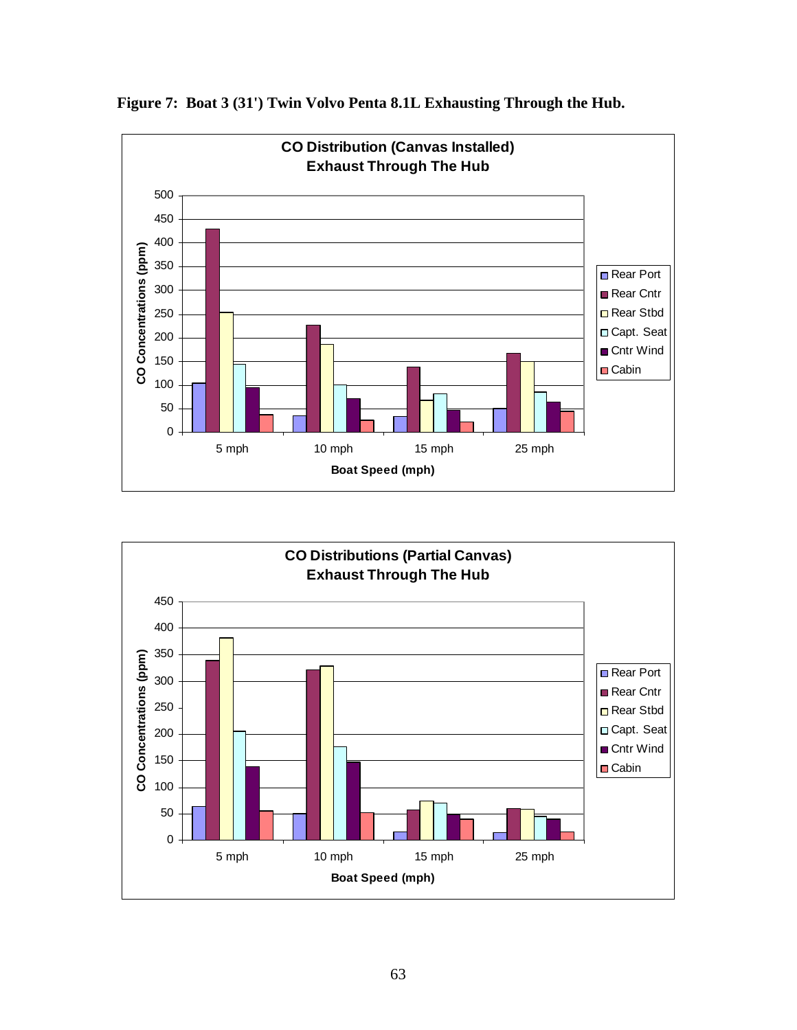

**Figure 7: Boat 3 (31') Twin Volvo Penta 8.1L Exhausting Through the Hub.** 

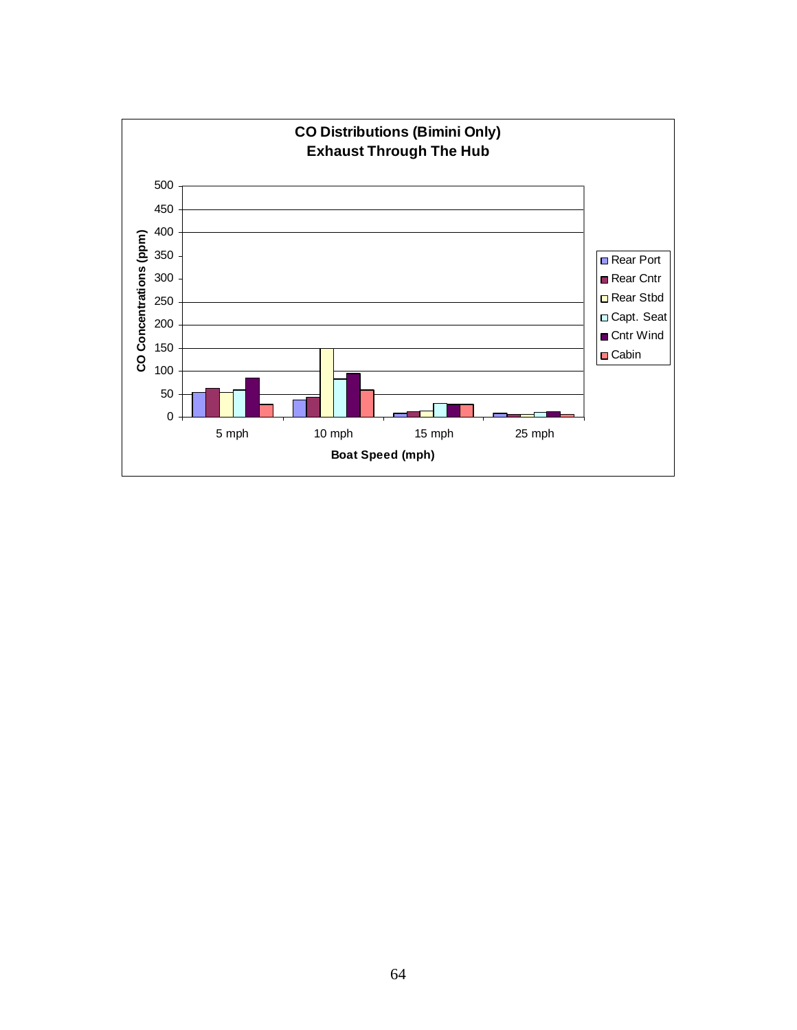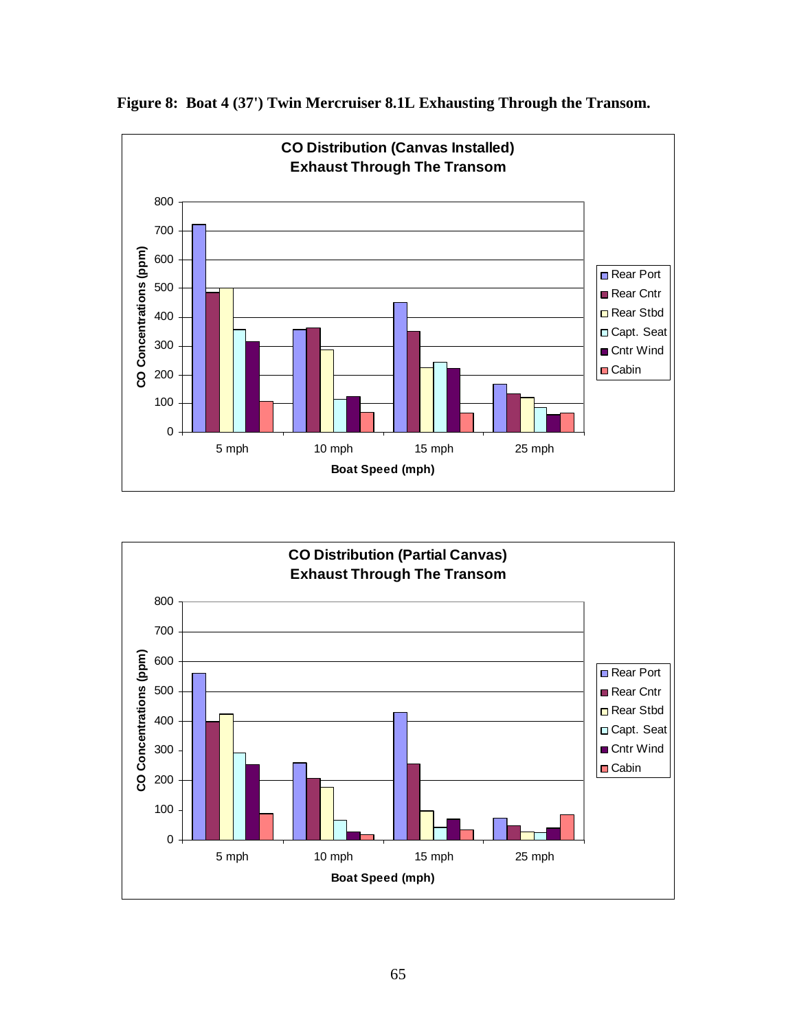

**Figure 8: Boat 4 (37') Twin Mercruiser 8.1L Exhausting Through the Transom.** 

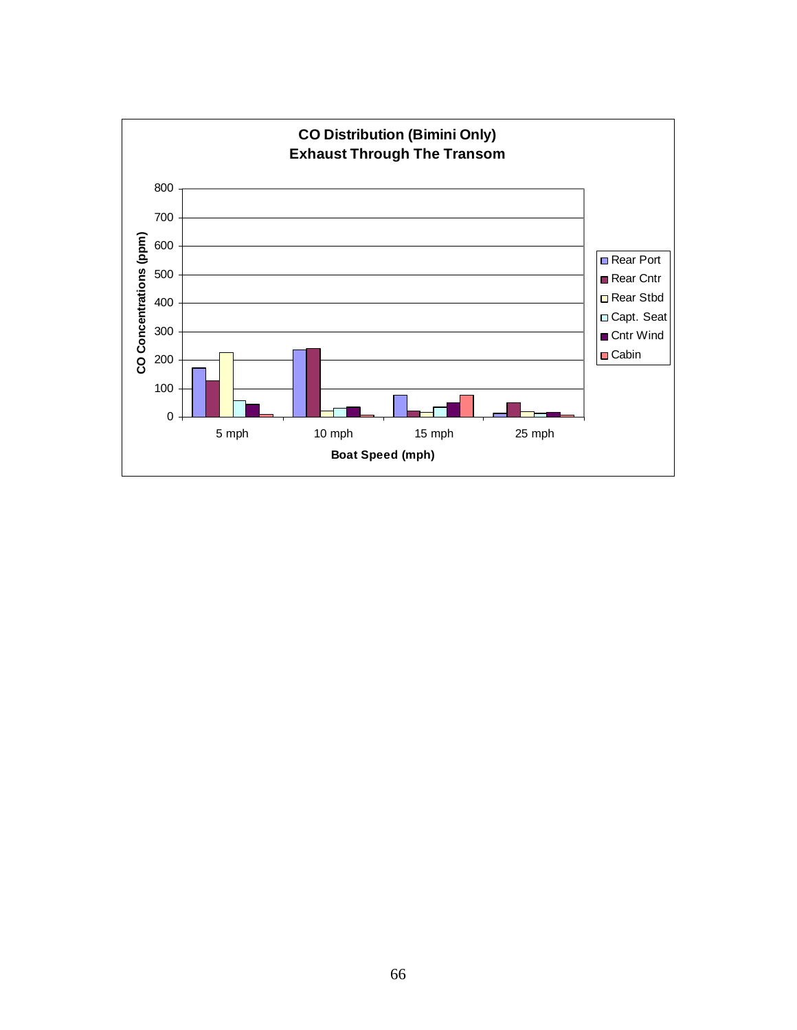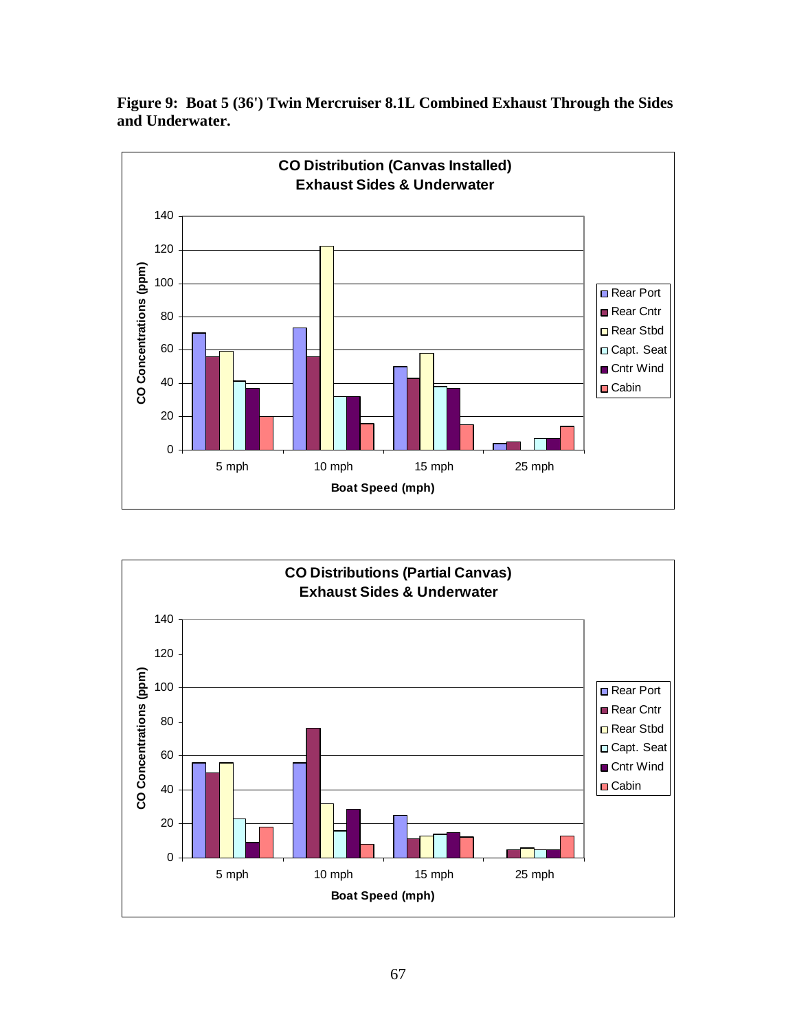



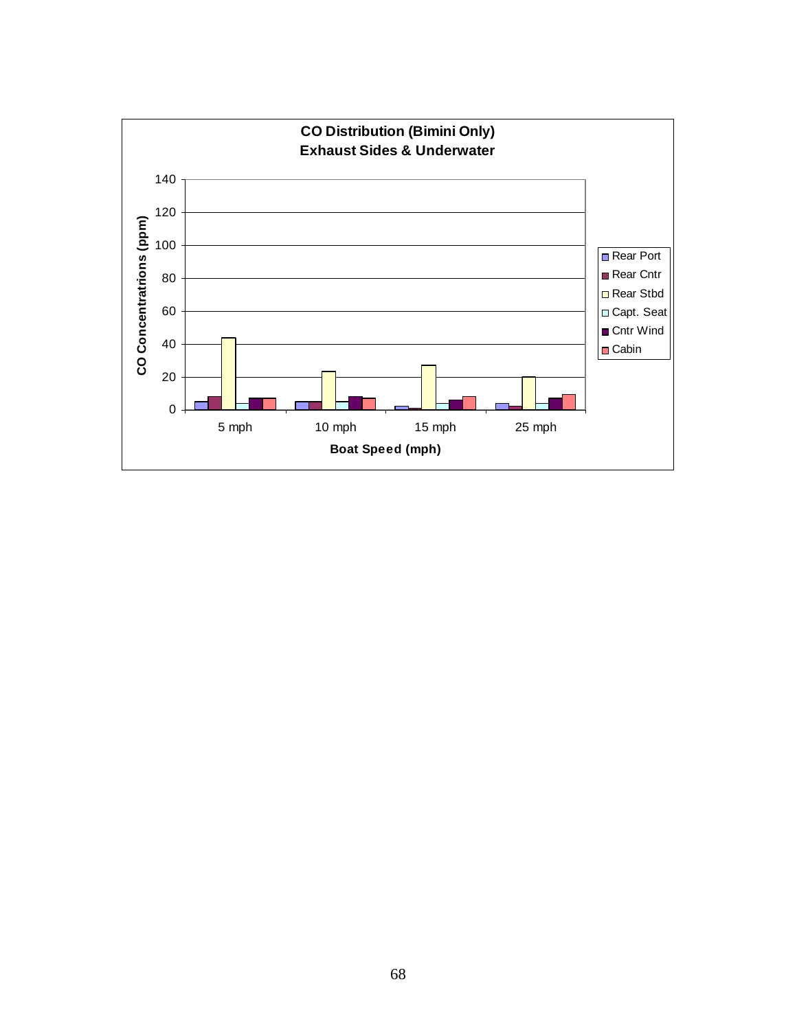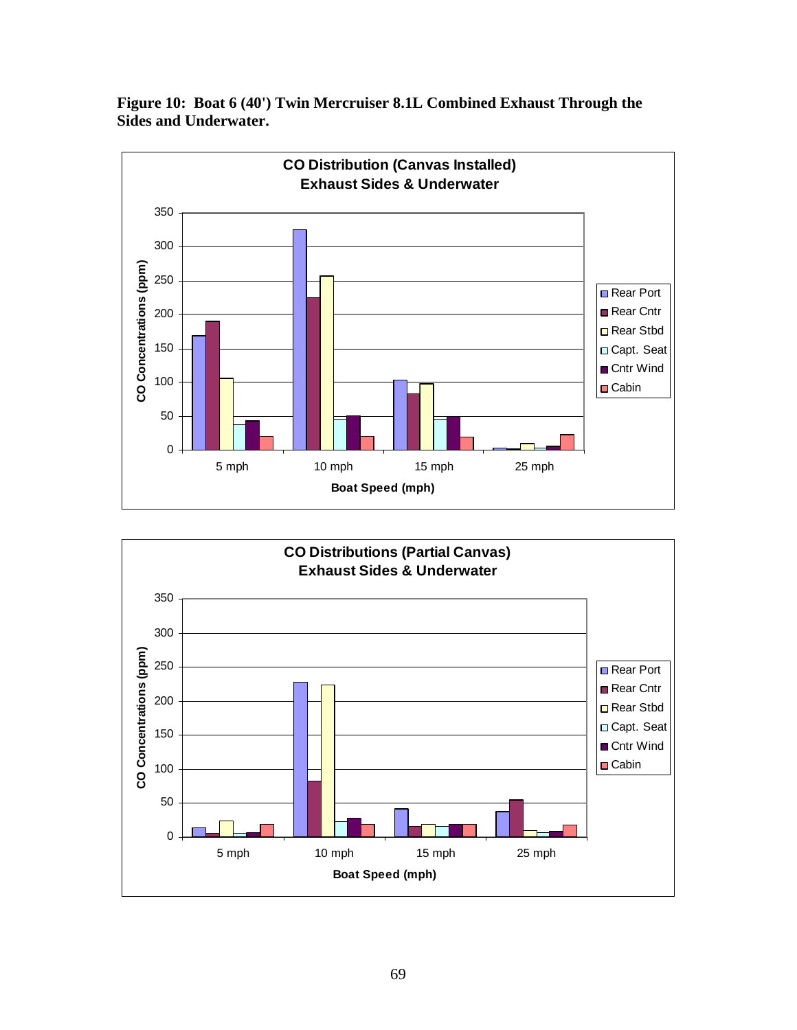



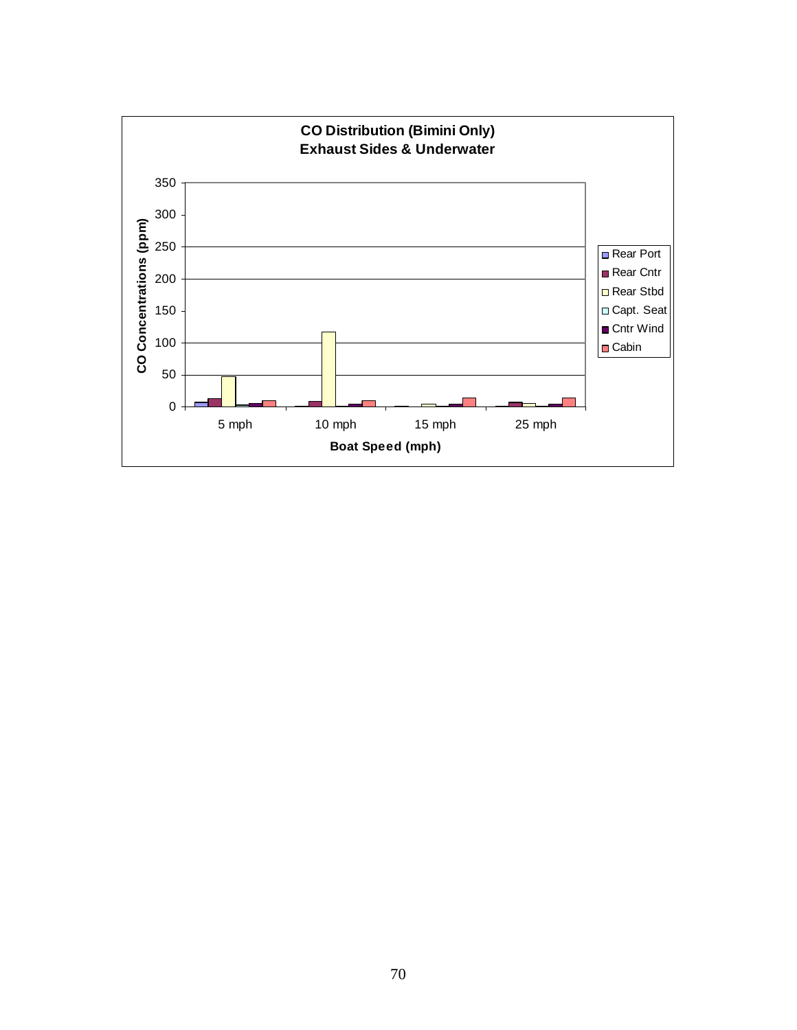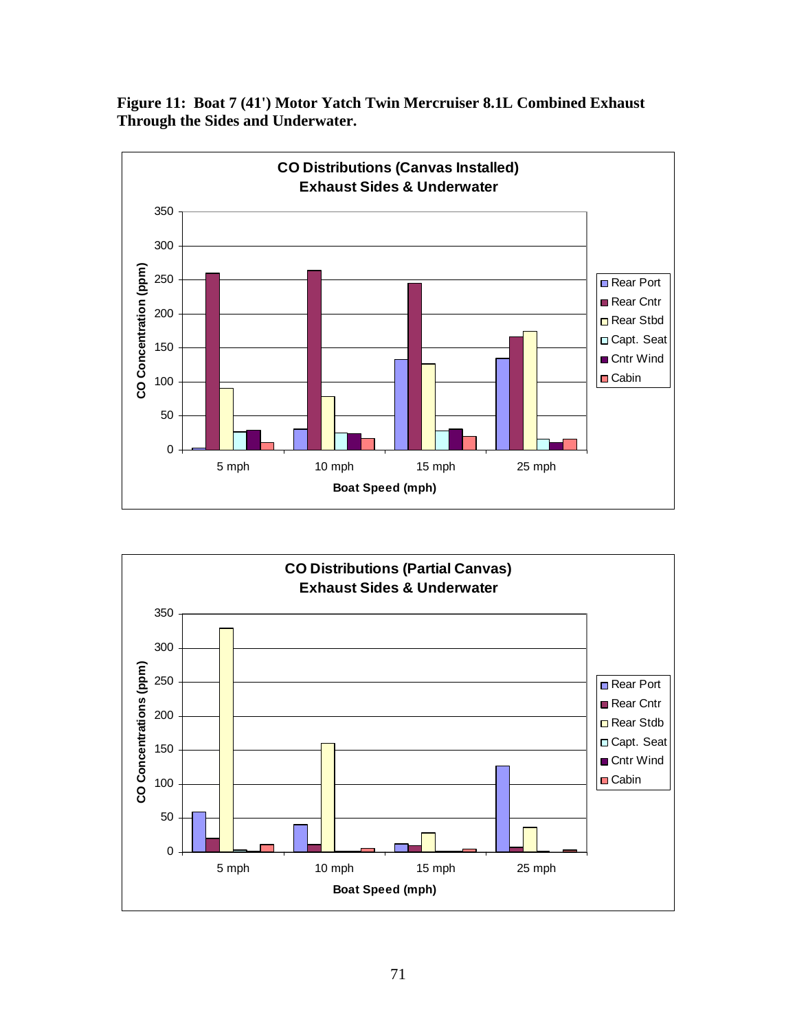**Figure 11: Boat 7 (41') Motor Yatch Twin Mercruiser 8.1L Combined Exhaust Through the Sides and Underwater.**



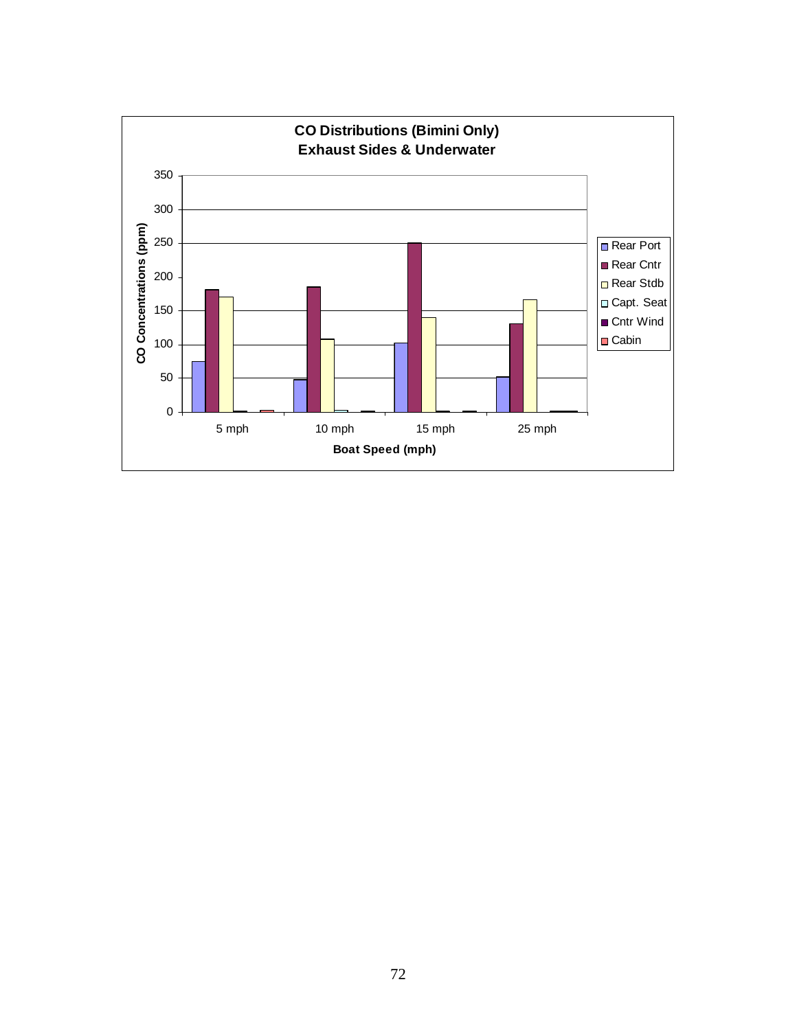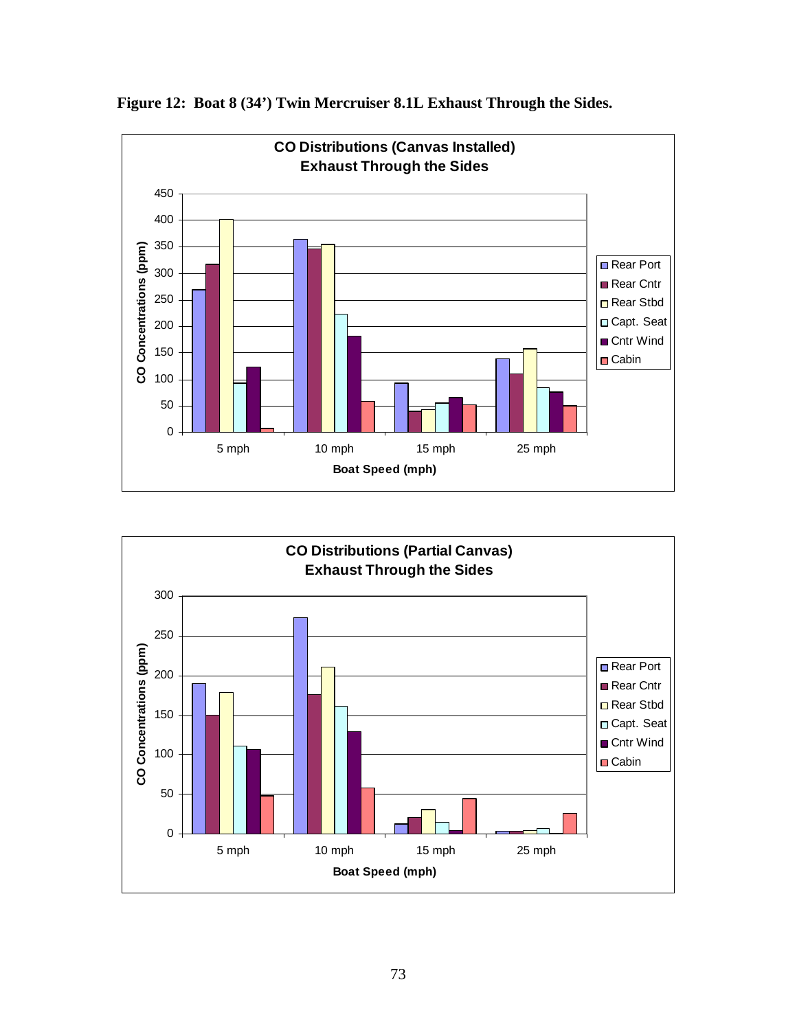

**Figure 12: Boat 8 (34') Twin Mercruiser 8.1L Exhaust Through the Sides.**

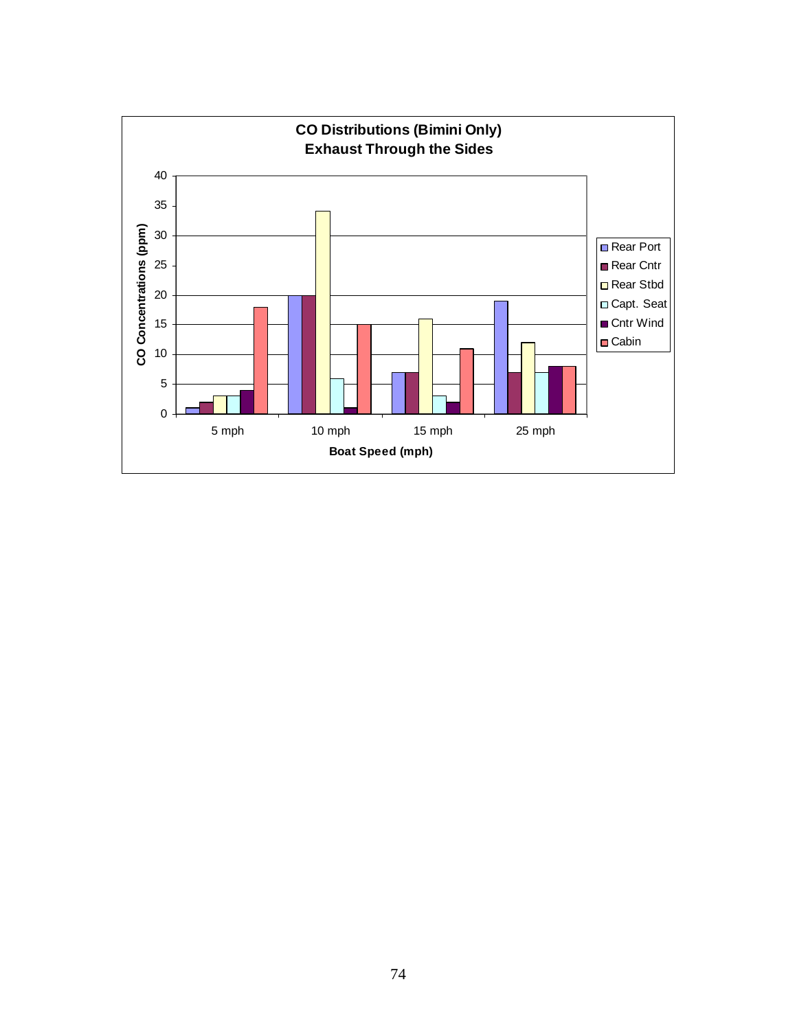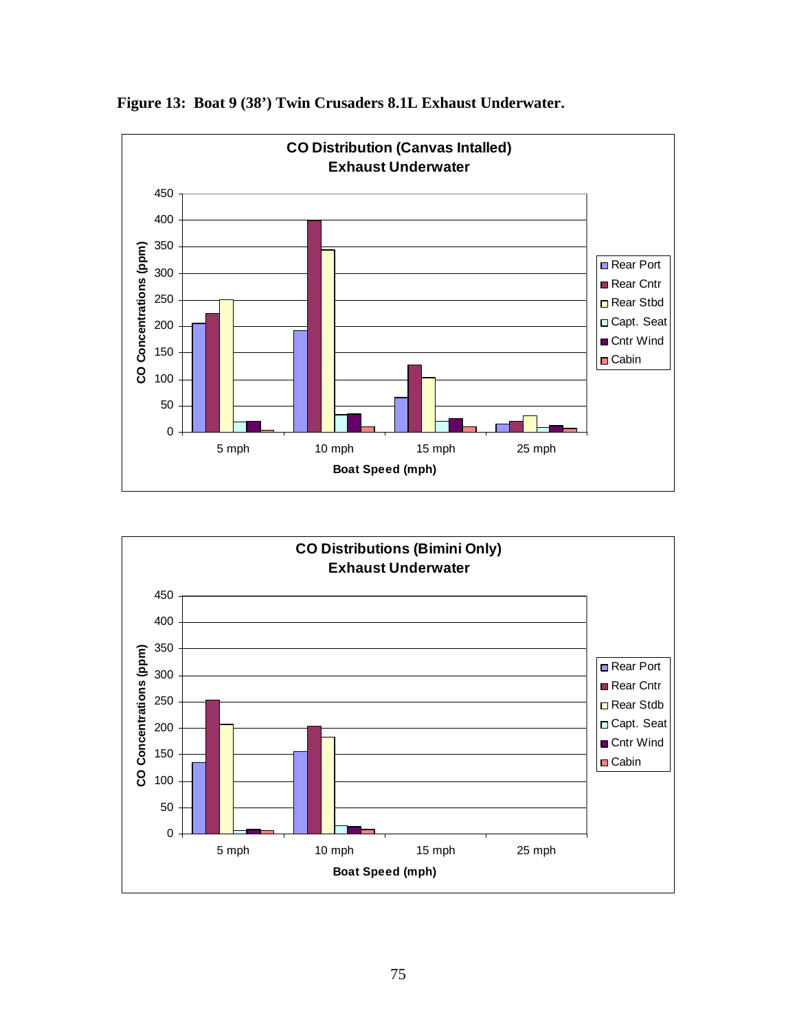

**Figure 13: Boat 9 (38') Twin Crusaders 8.1L Exhaust Underwater.**

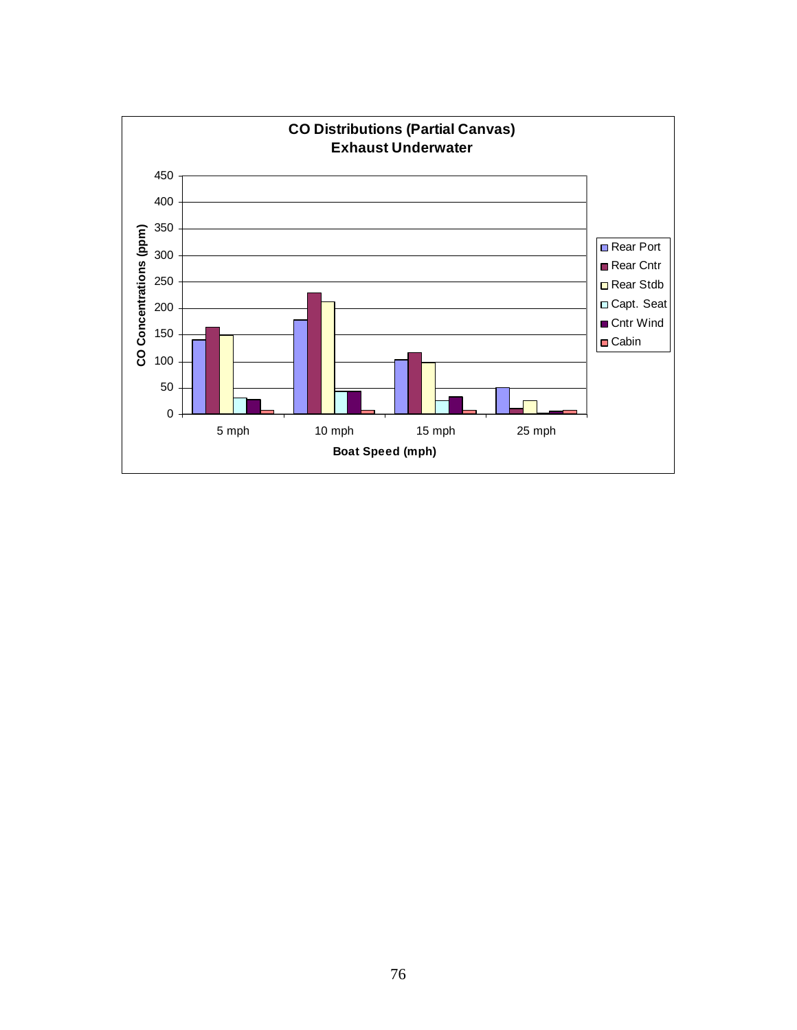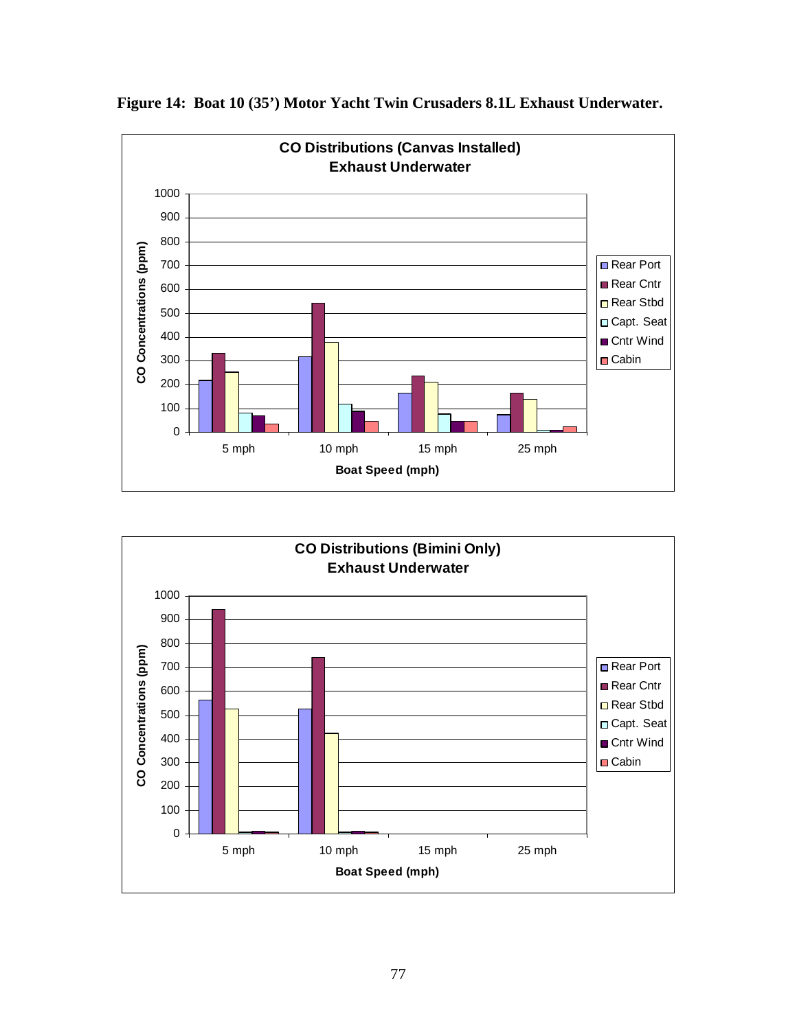

**Figure 14: Boat 10 (35') Motor Yacht Twin Crusaders 8.1L Exhaust Underwater.**